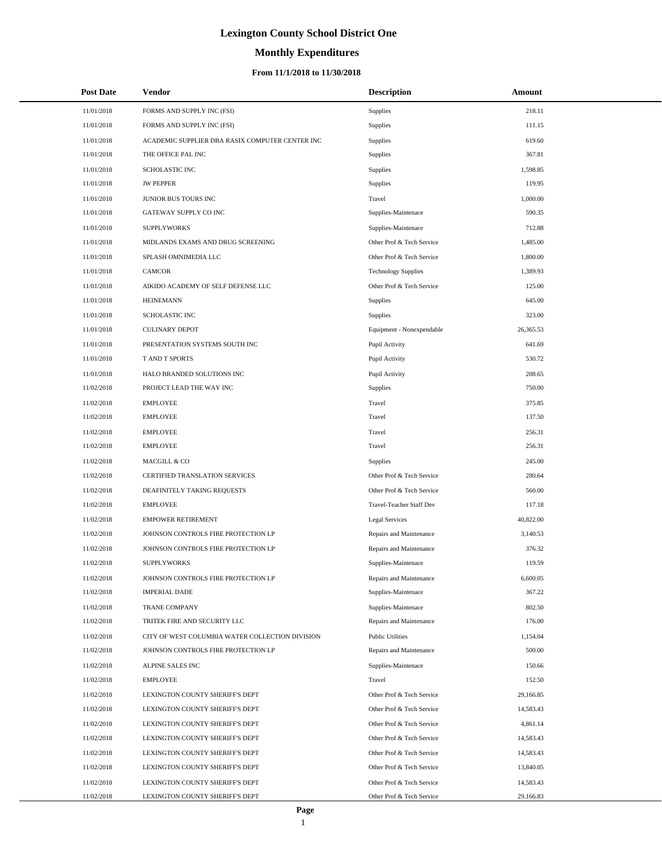# **Monthly Expenditures**

| <b>Post Date</b> | Vendor                                          | <b>Description</b>         | Amount    |
|------------------|-------------------------------------------------|----------------------------|-----------|
| 11/01/2018       | FORMS AND SUPPLY INC (FSI)                      | Supplies                   | 218.11    |
| 11/01/2018       | FORMS AND SUPPLY INC (FSI)                      | Supplies                   | 111.15    |
| 11/01/2018       | ACADEMIC SUPPLIER DBA RASIX COMPUTER CENTER INC | Supplies                   | 619.60    |
| 11/01/2018       | THE OFFICE PAL INC                              | <b>Supplies</b>            | 367.81    |
| 11/01/2018       | <b>SCHOLASTIC INC</b>                           | Supplies                   | 1,598.85  |
| 11/01/2018       | <b>JW PEPPER</b>                                | Supplies                   | 119.95    |
| 11/01/2018       | JUNIOR BUS TOURS INC                            | Travel                     | 1,000.00  |
| 11/01/2018       | GATEWAY SUPPLY CO INC                           | Supplies-Maintenace        | 590.35    |
| 11/01/2018       | <b>SUPPLYWORKS</b>                              | Supplies-Maintenace        | 712.88    |
| 11/01/2018       | MIDLANDS EXAMS AND DRUG SCREENING               | Other Prof & Tech Service  | 1,485.00  |
| 11/01/2018       | SPLASH OMNIMEDIA LLC                            | Other Prof & Tech Service  | 1,800.00  |
| 11/01/2018       | <b>CAMCOR</b>                                   | <b>Technology Supplies</b> | 1,389.93  |
| 11/01/2018       | AIKIDO ACADEMY OF SELF DEFENSE LLC              | Other Prof & Tech Service  | 125.00    |
| 11/01/2018       | <b>HEINEMANN</b>                                | <b>Supplies</b>            | 645.00    |
| 11/01/2018       | <b>SCHOLASTIC INC</b>                           | Supplies                   | 323.00    |
| 11/01/2018       | <b>CULINARY DEPOT</b>                           | Equipment - Nonexpendable  | 26,365.53 |
| 11/01/2018       | PRESENTATION SYSTEMS SOUTH INC                  | Pupil Activity             | 641.69    |
| 11/01/2018       | T AND T SPORTS                                  | Pupil Activity             | 530.72    |
| 11/01/2018       | HALO BRANDED SOLUTIONS INC                      | Pupil Activity             | 208.65    |
| 11/02/2018       | PROJECT LEAD THE WAY INC                        | <b>Supplies</b>            | 750.00    |
| 11/02/2018       | <b>EMPLOYEE</b>                                 | Travel                     | 375.85    |
| 11/02/2018       | <b>EMPLOYEE</b>                                 | Travel                     | 137.50    |
| 11/02/2018       | <b>EMPLOYEE</b>                                 | Travel                     | 256.31    |
| 11/02/2018       | <b>EMPLOYEE</b>                                 | Travel                     | 256.31    |
| 11/02/2018       | MACGILL & CO                                    | <b>Supplies</b>            | 245.00    |
| 11/02/2018       | CERTIFIED TRANSLATION SERVICES                  | Other Prof & Tech Service  | 280.64    |
| 11/02/2018       | DEAFINITELY TAKING REQUESTS                     | Other Prof & Tech Service  | 560.00    |
| 11/02/2018       | <b>EMPLOYEE</b>                                 | Travel-Teacher Staff Dev   | 117.18    |
| 11/02/2018       | <b>EMPOWER RETIREMENT</b>                       | <b>Legal Services</b>      | 40,822.00 |
| 11/02/2018       | JOHNSON CONTROLS FIRE PROTECTION LP             | Repairs and Maintenance    | 3,140.53  |
| 11/02/2018       | JOHNSON CONTROLS FIRE PROTECTION LP             | Repairs and Maintenance    | 376.32    |
| 11/02/2018       | <b>SUPPLYWORKS</b>                              | Supplies-Maintenace        | 119.59    |
| 11/02/2018       | JOHNSON CONTROLS FIRE PROTECTION LP             | Repairs and Maintenance    | 6,600.05  |
| 11/02/2018       | <b>IMPERIAL DADE</b>                            | Supplies-Maintenace        | 367.22    |
| 11/02/2018       | <b>TRANE COMPANY</b>                            | Supplies-Maintenace        | 802.50    |
| 11/02/2018       | TRITEK FIRE AND SECURITY LLC                    | Repairs and Maintenance    | 176.00    |
| 11/02/2018       | CITY OF WEST COLUMBIA WATER COLLECTION DIVISION | <b>Public Utilities</b>    | 1,154.04  |
| 11/02/2018       | JOHNSON CONTROLS FIRE PROTECTION LP             | Repairs and Maintenance    | 500.00    |
| 11/02/2018       | <b>ALPINE SALES INC</b>                         | Supplies-Maintenace        | 150.66    |
| 11/02/2018       | <b>EMPLOYEE</b>                                 | Travel                     | 152.50    |
| 11/02/2018       | LEXINGTON COUNTY SHERIFF'S DEPT                 | Other Prof & Tech Service  | 29,166.85 |
| 11/02/2018       | LEXINGTON COUNTY SHERIFF'S DEPT                 | Other Prof & Tech Service  | 14,583.43 |
| 11/02/2018       | LEXINGTON COUNTY SHERIFF'S DEPT                 | Other Prof & Tech Service  | 4,861.14  |
| 11/02/2018       | LEXINGTON COUNTY SHERIFF'S DEPT                 | Other Prof & Tech Service  | 14,583.43 |
| 11/02/2018       | LEXINGTON COUNTY SHERIFF'S DEPT                 | Other Prof & Tech Service  | 14,583.43 |
| 11/02/2018       | LEXINGTON COUNTY SHERIFF'S DEPT                 | Other Prof & Tech Service  | 13,840.05 |
| 11/02/2018       | LEXINGTON COUNTY SHERIFF'S DEPT                 | Other Prof & Tech Service  | 14,583.43 |
| 11/02/2018       | LEXINGTON COUNTY SHERIFF'S DEPT                 | Other Prof & Tech Service  | 29,166.83 |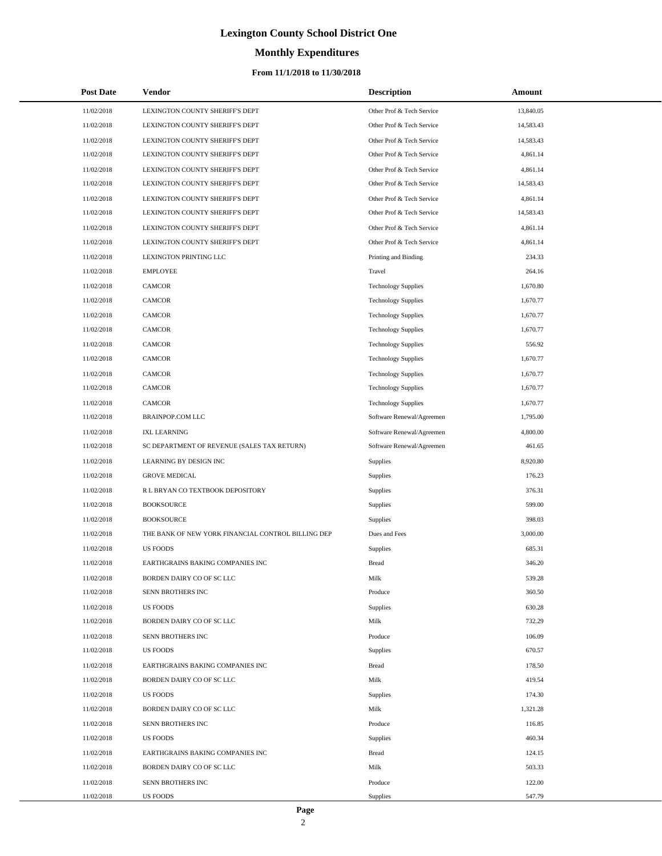# **Monthly Expenditures**

### **From 11/1/2018 to 11/30/2018**

| <b>Post Date</b> | Vendor                                             | <b>Description</b>         | Amount    |
|------------------|----------------------------------------------------|----------------------------|-----------|
| 11/02/2018       | LEXINGTON COUNTY SHERIFF'S DEPT                    | Other Prof & Tech Service  | 13,840.05 |
| 11/02/2018       | LEXINGTON COUNTY SHERIFF'S DEPT                    | Other Prof & Tech Service  | 14,583.43 |
| 11/02/2018       | LEXINGTON COUNTY SHERIFF'S DEPT                    | Other Prof & Tech Service  | 14,583.43 |
| 11/02/2018       | LEXINGTON COUNTY SHERIFF'S DEPT                    | Other Prof & Tech Service  | 4,861.14  |
| 11/02/2018       | LEXINGTON COUNTY SHERIFF'S DEPT                    | Other Prof & Tech Service  | 4,861.14  |
| 11/02/2018       | LEXINGTON COUNTY SHERIFF'S DEPT                    | Other Prof & Tech Service  | 14,583.43 |
| 11/02/2018       | LEXINGTON COUNTY SHERIFF'S DEPT                    | Other Prof & Tech Service  | 4,861.14  |
| 11/02/2018       | LEXINGTON COUNTY SHERIFF'S DEPT                    | Other Prof & Tech Service  | 14,583.43 |
| 11/02/2018       | LEXINGTON COUNTY SHERIFF'S DEPT                    | Other Prof & Tech Service  | 4,861.14  |
| 11/02/2018       | LEXINGTON COUNTY SHERIFF'S DEPT                    | Other Prof & Tech Service  | 4,861.14  |
| 11/02/2018       | LEXINGTON PRINTING LLC                             | Printing and Binding       | 234.33    |
| 11/02/2018       | <b>EMPLOYEE</b>                                    | Travel                     | 264.16    |
| 11/02/2018       | <b>CAMCOR</b>                                      | <b>Technology Supplies</b> | 1,670.80  |
| 11/02/2018       | <b>CAMCOR</b>                                      | <b>Technology Supplies</b> | 1,670.77  |
| 11/02/2018       | <b>CAMCOR</b>                                      | <b>Technology Supplies</b> | 1,670.77  |
| 11/02/2018       | CAMCOR                                             | <b>Technology Supplies</b> | 1,670.77  |
| 11/02/2018       | <b>CAMCOR</b>                                      | <b>Technology Supplies</b> | 556.92    |
| 11/02/2018       | <b>CAMCOR</b>                                      | <b>Technology Supplies</b> | 1,670.77  |
| 11/02/2018       | <b>CAMCOR</b>                                      | <b>Technology Supplies</b> | 1,670.77  |
| 11/02/2018       | <b>CAMCOR</b>                                      | <b>Technology Supplies</b> | 1,670.77  |
| 11/02/2018       | <b>CAMCOR</b>                                      | <b>Technology Supplies</b> | 1,670.77  |
| 11/02/2018       | <b>BRAINPOP.COM LLC</b>                            | Software Renewal/Agreemen  | 1,795.00  |
| 11/02/2018       | <b>IXL LEARNING</b>                                | Software Renewal/Agreemen  | 4,800.00  |
| 11/02/2018       | SC DEPARTMENT OF REVENUE (SALES TAX RETURN)        | Software Renewal/Agreemen  | 461.65    |
| 11/02/2018       | LEARNING BY DESIGN INC                             | Supplies                   | 8,920.80  |
| 11/02/2018       | <b>GROVE MEDICAL</b>                               | Supplies                   | 176.23    |
| 11/02/2018       | R L BRYAN CO TEXTBOOK DEPOSITORY                   | Supplies                   | 376.31    |
| 11/02/2018       | <b>BOOKSOURCE</b>                                  | Supplies                   | 599.00    |
| 11/02/2018       | <b>BOOKSOURCE</b>                                  | <b>Supplies</b>            | 398.03    |
| 11/02/2018       | THE BANK OF NEW YORK FINANCIAL CONTROL BILLING DEP | Dues and Fees              | 3,000.00  |
| 11/02/2018       | <b>US FOODS</b>                                    | Supplies                   | 685.31    |
| 11/02/2018       | EARTHGRAINS BAKING COMPANIES INC                   | <b>Bread</b>               | 346.20    |
| 11/02/2018       | BORDEN DAIRY CO OF SC LLC                          | Milk                       | 539.28    |
| 11/02/2018       | SENN BROTHERS INC                                  | Produce                    | 360.50    |
| 11/02/2018       | <b>US FOODS</b>                                    | Supplies                   | 630.28    |
| 11/02/2018       | BORDEN DAIRY CO OF SC LLC                          | Milk                       | 732.29    |
| 11/02/2018       | SENN BROTHERS INC                                  | Produce                    | 106.09    |
| 11/02/2018       | <b>US FOODS</b>                                    | <b>Supplies</b>            | 670.57    |
| 11/02/2018       | EARTHGRAINS BAKING COMPANIES INC                   | <b>Bread</b>               | 178.50    |
| 11/02/2018       | BORDEN DAIRY CO OF SC LLC                          | Milk                       | 419.54    |
| 11/02/2018       | <b>US FOODS</b>                                    | <b>Supplies</b>            | 174.30    |
| 11/02/2018       | BORDEN DAIRY CO OF SC LLC                          | Milk                       | 1,321.28  |
| 11/02/2018       | SENN BROTHERS INC                                  | Produce                    | 116.85    |
| 11/02/2018       | <b>US FOODS</b>                                    | Supplies                   | 460.34    |
| 11/02/2018       | EARTHGRAINS BAKING COMPANIES INC                   | <b>Bread</b>               | 124.15    |
| 11/02/2018       | BORDEN DAIRY CO OF SC LLC                          | Milk                       | 503.33    |
| 11/02/2018       | SENN BROTHERS INC                                  | Produce                    | 122.00    |
| 11/02/2018       | US FOODS                                           | <b>Supplies</b>            | 547.79    |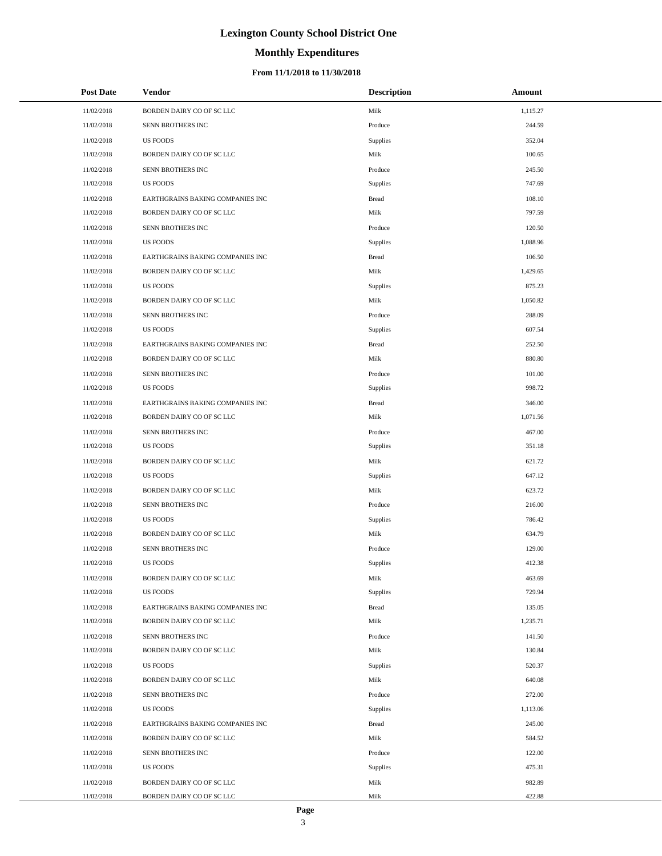# **Monthly Expenditures**

### **From 11/1/2018 to 11/30/2018**

| <b>Post Date</b> | <b>Vendor</b>                    | <b>Description</b> | Amount   |
|------------------|----------------------------------|--------------------|----------|
| 11/02/2018       | BORDEN DAIRY CO OF SC LLC        | Milk               | 1,115.27 |
| 11/02/2018       | SENN BROTHERS INC                | Produce            | 244.59   |
| 11/02/2018       | <b>US FOODS</b>                  | Supplies           | 352.04   |
| 11/02/2018       | BORDEN DAIRY CO OF SC LLC        | Milk               | 100.65   |
| 11/02/2018       | SENN BROTHERS INC                | Produce            | 245.50   |
| 11/02/2018       | <b>US FOODS</b>                  | Supplies           | 747.69   |
| 11/02/2018       | EARTHGRAINS BAKING COMPANIES INC | <b>Bread</b>       | 108.10   |
| 11/02/2018       | BORDEN DAIRY CO OF SC LLC        | Milk               | 797.59   |
| 11/02/2018       | SENN BROTHERS INC                | Produce            | 120.50   |
| 11/02/2018       | <b>US FOODS</b>                  | Supplies           | 1,088.96 |
| 11/02/2018       | EARTHGRAINS BAKING COMPANIES INC | <b>Bread</b>       | 106.50   |
| 11/02/2018       | BORDEN DAIRY CO OF SC LLC        | Milk               | 1,429.65 |
| 11/02/2018       | <b>US FOODS</b>                  | Supplies           | 875.23   |
| 11/02/2018       | BORDEN DAIRY CO OF SC LLC        | Milk               | 1,050.82 |
| 11/02/2018       | SENN BROTHERS INC                | Produce            | 288.09   |
| 11/02/2018       | <b>US FOODS</b>                  | Supplies           | 607.54   |
| 11/02/2018       | EARTHGRAINS BAKING COMPANIES INC | <b>Bread</b>       | 252.50   |
| 11/02/2018       | BORDEN DAIRY CO OF SC LLC        | Milk               | 880.80   |
| 11/02/2018       | SENN BROTHERS INC                | Produce            | 101.00   |
| 11/02/2018       | <b>US FOODS</b>                  | Supplies           | 998.72   |
| 11/02/2018       | EARTHGRAINS BAKING COMPANIES INC | <b>Bread</b>       | 346.00   |
| 11/02/2018       | BORDEN DAIRY CO OF SC LLC        | Milk               | 1,071.56 |
| 11/02/2018       | SENN BROTHERS INC                | Produce            | 467.00   |
| 11/02/2018       | <b>US FOODS</b>                  | Supplies           | 351.18   |
| 11/02/2018       | BORDEN DAIRY CO OF SC LLC        | Milk               | 621.72   |
| 11/02/2018       | <b>US FOODS</b>                  | Supplies           | 647.12   |
| 11/02/2018       | BORDEN DAIRY CO OF SC LLC        | Milk               | 623.72   |
| 11/02/2018       | SENN BROTHERS INC                | Produce            | 216.00   |
| 11/02/2018       | <b>US FOODS</b>                  | Supplies           | 786.42   |
| 11/02/2018       | BORDEN DAIRY CO OF SC LLC        | Milk               | 634.79   |
| 11/02/2018       | SENN BROTHERS INC                | Produce            | 129.00   |
| 11/02/2018       | <b>US FOODS</b>                  | Supplies           | 412.38   |
| 11/02/2018       | BORDEN DAIRY CO OF SC LLC        | Milk               | 463.69   |
| 11/02/2018       | <b>US FOODS</b>                  | Supplies           | 729.94   |
| 11/02/2018       | EARTHGRAINS BAKING COMPANIES INC | <b>Bread</b>       | 135.05   |
| 11/02/2018       | BORDEN DAIRY CO OF SC LLC        | Milk               | 1,235.71 |
| 11/02/2018       | SENN BROTHERS INC                | Produce            | 141.50   |
| 11/02/2018       | BORDEN DAIRY CO OF SC LLC        | Milk               | 130.84   |
| 11/02/2018       | <b>US FOODS</b>                  | Supplies           | 520.37   |
| 11/02/2018       | BORDEN DAIRY CO OF SC LLC        | Milk               | 640.08   |
| 11/02/2018       | SENN BROTHERS INC                | Produce            | 272.00   |
| 11/02/2018       | <b>US FOODS</b>                  | Supplies           | 1,113.06 |
| 11/02/2018       | EARTHGRAINS BAKING COMPANIES INC | <b>Bread</b>       | 245.00   |
| 11/02/2018       | BORDEN DAIRY CO OF SC LLC        | Milk               | 584.52   |
| 11/02/2018       | SENN BROTHERS INC                | Produce            | 122.00   |
| 11/02/2018       | <b>US FOODS</b>                  | Supplies           | 475.31   |
| 11/02/2018       | BORDEN DAIRY CO OF SC LLC        | Milk               | 982.89   |
| 11/02/2018       | BORDEN DAIRY CO OF SC LLC        | Milk               | 422.88   |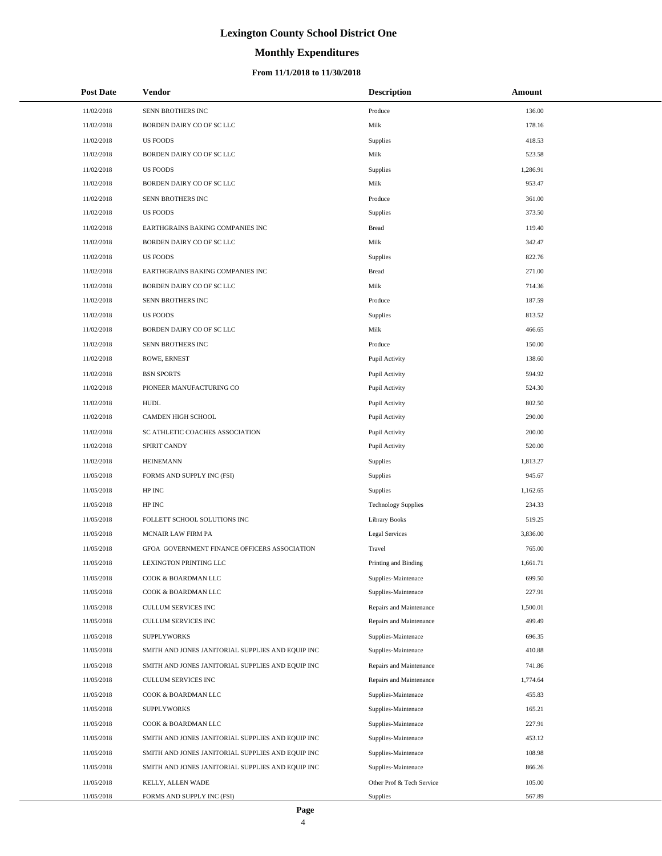# **Monthly Expenditures**

| <b>Post Date</b>         | Vendor                                                                   | <b>Description</b>                                 | Amount             |
|--------------------------|--------------------------------------------------------------------------|----------------------------------------------------|--------------------|
| 11/02/2018               | SENN BROTHERS INC                                                        | Produce                                            | 136.00             |
| 11/02/2018               | BORDEN DAIRY CO OF SC LLC                                                | Milk                                               | 178.16             |
| 11/02/2018               | <b>US FOODS</b>                                                          | Supplies                                           | 418.53             |
| 11/02/2018               | BORDEN DAIRY CO OF SC LLC                                                | Milk                                               | 523.58             |
| 11/02/2018               | <b>US FOODS</b>                                                          | Supplies                                           | 1,286.91           |
| 11/02/2018               | BORDEN DAIRY CO OF SC LLC                                                | Milk                                               | 953.47             |
| 11/02/2018               | SENN BROTHERS INC                                                        | Produce                                            | 361.00             |
| 11/02/2018               | <b>US FOODS</b>                                                          | Supplies                                           | 373.50             |
| 11/02/2018               | EARTHGRAINS BAKING COMPANIES INC                                         | <b>Bread</b>                                       | 119.40             |
| 11/02/2018               | BORDEN DAIRY CO OF SC LLC                                                | Milk                                               | 342.47             |
| 11/02/2018               | <b>US FOODS</b>                                                          | Supplies                                           | 822.76             |
| 11/02/2018               | EARTHGRAINS BAKING COMPANIES INC                                         | <b>Bread</b>                                       | 271.00             |
| 11/02/2018               | BORDEN DAIRY CO OF SC LLC                                                | Milk                                               | 714.36             |
| 11/02/2018               | SENN BROTHERS INC                                                        | Produce                                            | 187.59             |
| 11/02/2018               | <b>US FOODS</b>                                                          | Supplies                                           | 813.52             |
| 11/02/2018               | BORDEN DAIRY CO OF SC LLC                                                | Milk                                               | 466.65             |
| 11/02/2018               | SENN BROTHERS INC                                                        | Produce                                            | 150.00             |
| 11/02/2018               | ROWE, ERNEST                                                             | Pupil Activity                                     | 138.60             |
| 11/02/2018               | <b>BSN SPORTS</b>                                                        | Pupil Activity                                     | 594.92             |
| 11/02/2018               | PIONEER MANUFACTURING CO                                                 | Pupil Activity                                     | 524.30             |
| 11/02/2018               | <b>HUDL</b>                                                              | Pupil Activity                                     | 802.50             |
| 11/02/2018               | CAMDEN HIGH SCHOOL                                                       | Pupil Activity                                     | 290.00             |
| 11/02/2018               | SC ATHLETIC COACHES ASSOCIATION                                          | Pupil Activity                                     | 200.00             |
| 11/02/2018               | SPIRIT CANDY                                                             | Pupil Activity                                     | 520.00             |
| 11/02/2018               | <b>HEINEMANN</b>                                                         | Supplies                                           | 1,813.27           |
| 11/05/2018               | FORMS AND SUPPLY INC (FSI)                                               | Supplies                                           | 945.67             |
| 11/05/2018               | HP INC                                                                   | Supplies                                           | 1,162.65           |
| 11/05/2018               | HP INC                                                                   | <b>Technology Supplies</b>                         | 234.33             |
| 11/05/2018               | FOLLETT SCHOOL SOLUTIONS INC                                             | <b>Library Books</b>                               | 519.25             |
| 11/05/2018               | MCNAIR LAW FIRM PA                                                       | <b>Legal Services</b>                              | 3,836.00           |
| 11/05/2018               | GFOA GOVERNMENT FINANCE OFFICERS ASSOCIATION                             | Travel                                             | 765.00             |
| 11/05/2018               | LEXINGTON PRINTING LLC                                                   | Printing and Binding                               | 1,661.71           |
| 11/05/2018               | COOK & BOARDMAN LLC                                                      | Supplies-Maintenace                                | 699.50             |
| 11/05/2018               | COOK & BOARDMAN LLC                                                      | Supplies-Maintenace                                | 227.91             |
| 11/05/2018               | <b>CULLUM SERVICES INC</b>                                               | Repairs and Maintenance                            | 1,500.01           |
| 11/05/2018               | <b>CULLUM SERVICES INC</b>                                               | Repairs and Maintenance                            | 499.49             |
| 11/05/2018               | <b>SUPPLYWORKS</b>                                                       | Supplies-Maintenace                                | 696.35             |
| 11/05/2018               | SMITH AND JONES JANITORIAL SUPPLIES AND EQUIP INC                        | Supplies-Maintenace                                | 410.88             |
| 11/05/2018<br>11/05/2018 | SMITH AND JONES JANITORIAL SUPPLIES AND EQUIP INC<br>CULLUM SERVICES INC | Repairs and Maintenance<br>Repairs and Maintenance | 741.86<br>1,774.64 |
|                          | COOK & BOARDMAN LLC                                                      | Supplies-Maintenace                                |                    |
| 11/05/2018<br>11/05/2018 | <b>SUPPLYWORKS</b>                                                       | Supplies-Maintenace                                | 455.83<br>165.21   |
|                          |                                                                          |                                                    | 227.91             |
| 11/05/2018<br>11/05/2018 | COOK & BOARDMAN LLC<br>SMITH AND JONES JANITORIAL SUPPLIES AND EQUIP INC | Supplies-Maintenace<br>Supplies-Maintenace         | 453.12             |
| 11/05/2018               | SMITH AND JONES JANITORIAL SUPPLIES AND EQUIP INC                        | Supplies-Maintenace                                | 108.98             |
| 11/05/2018               | SMITH AND JONES JANITORIAL SUPPLIES AND EQUIP INC                        | Supplies-Maintenace                                | 866.26             |
| 11/05/2018               | KELLY, ALLEN WADE                                                        | Other Prof & Tech Service                          | 105.00             |
| 11/05/2018               | FORMS AND SUPPLY INC (FSI)                                               | <b>Supplies</b>                                    | 567.89             |
|                          |                                                                          |                                                    |                    |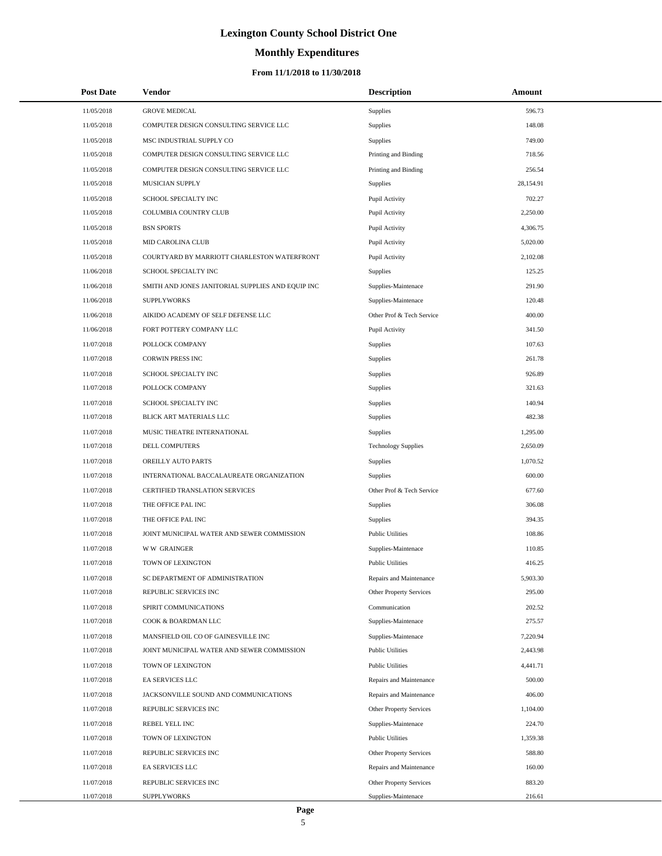# **Monthly Expenditures**

| <b>Post Date</b> | Vendor                                            | <b>Description</b>         | Amount    |
|------------------|---------------------------------------------------|----------------------------|-----------|
| 11/05/2018       | <b>GROVE MEDICAL</b>                              | Supplies                   | 596.73    |
| 11/05/2018       | COMPUTER DESIGN CONSULTING SERVICE LLC            | Supplies                   | 148.08    |
| 11/05/2018       | MSC INDUSTRIAL SUPPLY CO                          | <b>Supplies</b>            | 749.00    |
| 11/05/2018       | COMPUTER DESIGN CONSULTING SERVICE LLC            | Printing and Binding       | 718.56    |
| 11/05/2018       | COMPUTER DESIGN CONSULTING SERVICE LLC            | Printing and Binding       | 256.54    |
| 11/05/2018       | MUSICIAN SUPPLY                                   | Supplies                   | 28,154.91 |
| 11/05/2018       | SCHOOL SPECIALTY INC                              | Pupil Activity             | 702.27    |
| 11/05/2018       | COLUMBIA COUNTRY CLUB                             | Pupil Activity             | 2,250.00  |
| 11/05/2018       | <b>BSN SPORTS</b>                                 | Pupil Activity             | 4,306.75  |
| 11/05/2018       | MID CAROLINA CLUB                                 | Pupil Activity             | 5,020.00  |
| 11/05/2018       | COURTYARD BY MARRIOTT CHARLESTON WATERFRONT       | Pupil Activity             | 2,102.08  |
| 11/06/2018       | SCHOOL SPECIALTY INC                              | Supplies                   | 125.25    |
| 11/06/2018       | SMITH AND JONES JANITORIAL SUPPLIES AND EQUIP INC | Supplies-Maintenace        | 291.90    |
| 11/06/2018       | <b>SUPPLYWORKS</b>                                | Supplies-Maintenace        | 120.48    |
| 11/06/2018       | AIKIDO ACADEMY OF SELF DEFENSE LLC                | Other Prof & Tech Service  | 400.00    |
| 11/06/2018       | FORT POTTERY COMPANY LLC                          | Pupil Activity             | 341.50    |
| 11/07/2018       | POLLOCK COMPANY                                   | Supplies                   | 107.63    |
| 11/07/2018       | <b>CORWIN PRESS INC</b>                           | Supplies                   | 261.78    |
| 11/07/2018       | SCHOOL SPECIALTY INC                              | Supplies                   | 926.89    |
| 11/07/2018       | POLLOCK COMPANY                                   | Supplies                   | 321.63    |
| 11/07/2018       | SCHOOL SPECIALTY INC                              | Supplies                   | 140.94    |
| 11/07/2018       | BLICK ART MATERIALS LLC                           | Supplies                   | 482.38    |
| 11/07/2018       | MUSIC THEATRE INTERNATIONAL                       | Supplies                   | 1,295.00  |
| 11/07/2018       | DELL COMPUTERS                                    | <b>Technology Supplies</b> | 2,650.09  |
| 11/07/2018       | OREILLY AUTO PARTS                                | Supplies                   | 1,070.52  |
| 11/07/2018       | INTERNATIONAL BACCALAUREATE ORGANIZATION          | Supplies                   | 600.00    |
| 11/07/2018       | CERTIFIED TRANSLATION SERVICES                    | Other Prof & Tech Service  | 677.60    |
| 11/07/2018       | THE OFFICE PAL INC                                | Supplies                   | 306.08    |
| 11/07/2018       | THE OFFICE PAL INC                                | Supplies                   | 394.35    |
| 11/07/2018       | JOINT MUNICIPAL WATER AND SEWER COMMISSION        | <b>Public Utilities</b>    | 108.86    |
| 11/07/2018       | W W GRAINGER                                      | Supplies-Maintenace        | 110.85    |
| 11/07/2018       | TOWN OF LEXINGTON                                 | <b>Public Utilities</b>    | 416.25    |
| 11/07/2018       | SC DEPARTMENT OF ADMINISTRATION                   | Repairs and Maintenance    | 5,903.30  |
| 11/07/2018       | REPUBLIC SERVICES INC                             | Other Property Services    | 295.00    |
| 11/07/2018       | SPIRIT COMMUNICATIONS                             | Communication              | 202.52    |
| 11/07/2018       | COOK & BOARDMAN LLC                               | Supplies-Maintenace        | 275.57    |
| 11/07/2018       | MANSFIELD OIL CO OF GAINESVILLE INC               | Supplies-Maintenace        | 7,220.94  |
| 11/07/2018       | JOINT MUNICIPAL WATER AND SEWER COMMISSION        | <b>Public Utilities</b>    | 2,443.98  |
| 11/07/2018       | TOWN OF LEXINGTON                                 | <b>Public Utilities</b>    | 4,441.71  |
| 11/07/2018       | EA SERVICES LLC                                   | Repairs and Maintenance    | 500.00    |
| 11/07/2018       | JACKSONVILLE SOUND AND COMMUNICATIONS             | Repairs and Maintenance    | 406.00    |
| 11/07/2018       | REPUBLIC SERVICES INC                             | Other Property Services    | 1,104.00  |
| 11/07/2018       | REBEL YELL INC                                    | Supplies-Maintenace        | 224.70    |
| 11/07/2018       | TOWN OF LEXINGTON                                 | <b>Public Utilities</b>    | 1,359.38  |
| 11/07/2018       | REPUBLIC SERVICES INC                             | Other Property Services    | 588.80    |
| 11/07/2018       | EA SERVICES LLC                                   | Repairs and Maintenance    | 160.00    |
| 11/07/2018       | REPUBLIC SERVICES INC                             | Other Property Services    | 883.20    |
| 11/07/2018       | <b>SUPPLYWORKS</b>                                | Supplies-Maintenace        | 216.61    |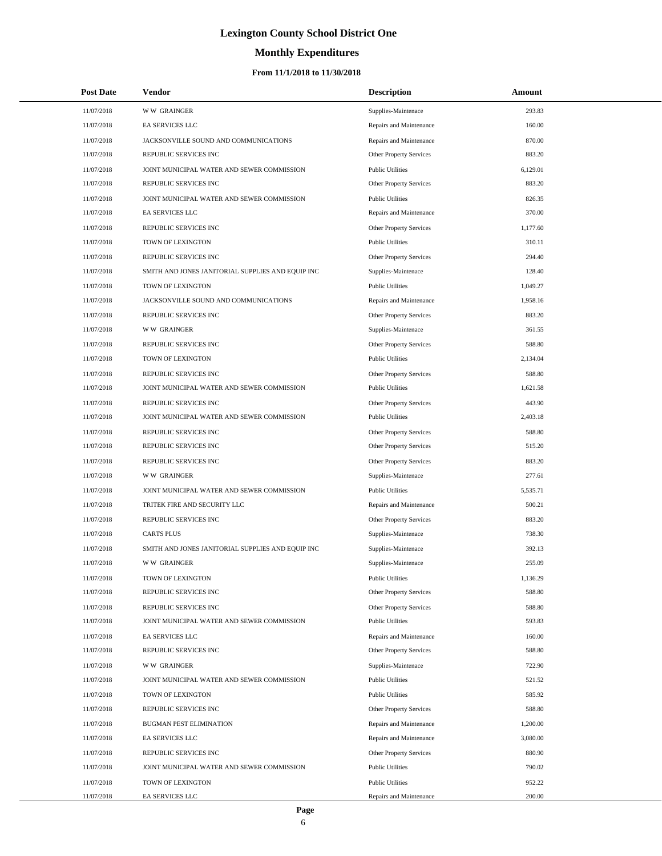# **Monthly Expenditures**

| <b>Post Date</b> | Vendor                                            | <b>Description</b>             | Amount   |
|------------------|---------------------------------------------------|--------------------------------|----------|
| 11/07/2018       | <b>WW GRAINGER</b>                                | Supplies-Maintenace            | 293.83   |
| 11/07/2018       | EA SERVICES LLC                                   | Repairs and Maintenance        | 160.00   |
| 11/07/2018       | JACKSONVILLE SOUND AND COMMUNICATIONS             | Repairs and Maintenance        | 870.00   |
| 11/07/2018       | REPUBLIC SERVICES INC                             | Other Property Services        | 883.20   |
| 11/07/2018       | JOINT MUNICIPAL WATER AND SEWER COMMISSION        | <b>Public Utilities</b>        | 6,129.01 |
| 11/07/2018       | REPUBLIC SERVICES INC                             | <b>Other Property Services</b> | 883.20   |
| 11/07/2018       | JOINT MUNICIPAL WATER AND SEWER COMMISSION        | <b>Public Utilities</b>        | 826.35   |
| 11/07/2018       | EA SERVICES LLC                                   | Repairs and Maintenance        | 370.00   |
| 11/07/2018       | REPUBLIC SERVICES INC                             | Other Property Services        | 1,177.60 |
| 11/07/2018       | TOWN OF LEXINGTON                                 | <b>Public Utilities</b>        | 310.11   |
| 11/07/2018       | REPUBLIC SERVICES INC                             | Other Property Services        | 294.40   |
| 11/07/2018       | SMITH AND JONES JANITORIAL SUPPLIES AND EQUIP INC | Supplies-Maintenace            | 128.40   |
| 11/07/2018       | TOWN OF LEXINGTON                                 | <b>Public Utilities</b>        | 1,049.27 |
| 11/07/2018       | JACKSONVILLE SOUND AND COMMUNICATIONS             | Repairs and Maintenance        | 1,958.16 |
| 11/07/2018       | REPUBLIC SERVICES INC                             | Other Property Services        | 883.20   |
| 11/07/2018       | <b>WW GRAINGER</b>                                | Supplies-Maintenace            | 361.55   |
| 11/07/2018       | REPUBLIC SERVICES INC                             | Other Property Services        | 588.80   |
| 11/07/2018       | TOWN OF LEXINGTON                                 | <b>Public Utilities</b>        | 2,134.04 |
| 11/07/2018       | REPUBLIC SERVICES INC                             | Other Property Services        | 588.80   |
| 11/07/2018       | JOINT MUNICIPAL WATER AND SEWER COMMISSION        | <b>Public Utilities</b>        | 1,621.58 |
| 11/07/2018       | REPUBLIC SERVICES INC                             | Other Property Services        | 443.90   |
| 11/07/2018       | JOINT MUNICIPAL WATER AND SEWER COMMISSION        | <b>Public Utilities</b>        | 2,403.18 |
| 11/07/2018       | REPUBLIC SERVICES INC                             | Other Property Services        | 588.80   |
| 11/07/2018       | REPUBLIC SERVICES INC                             | Other Property Services        | 515.20   |
| 11/07/2018       | REPUBLIC SERVICES INC                             | Other Property Services        | 883.20   |
| 11/07/2018       | <b>WW GRAINGER</b>                                | Supplies-Maintenace            | 277.61   |
| 11/07/2018       | JOINT MUNICIPAL WATER AND SEWER COMMISSION        | <b>Public Utilities</b>        | 5,535.71 |
| 11/07/2018       | TRITEK FIRE AND SECURITY LLC                      | Repairs and Maintenance        | 500.21   |
| 11/07/2018       | REPUBLIC SERVICES INC                             | Other Property Services        | 883.20   |
| 11/07/2018       | <b>CARTS PLUS</b>                                 | Supplies-Maintenace            | 738.30   |
| 11/07/2018       | SMITH AND JONES JANITORIAL SUPPLIES AND EQUIP INC | Supplies-Maintenace            | 392.13   |
| 11/07/2018       | <b>WW GRAINGER</b>                                | Supplies-Maintenace            | 255.09   |
| 11/07/2018       | TOWN OF LEXINGTON                                 | <b>Public Utilities</b>        | 1,136.29 |
| 11/07/2018       | REPUBLIC SERVICES INC                             | Other Property Services        | 588.80   |
| 11/07/2018       | REPUBLIC SERVICES INC                             | Other Property Services        | 588.80   |
| 11/07/2018       | JOINT MUNICIPAL WATER AND SEWER COMMISSION        | <b>Public Utilities</b>        | 593.83   |
| 11/07/2018       | EA SERVICES LLC                                   | Repairs and Maintenance        | 160.00   |
| 11/07/2018       | REPUBLIC SERVICES INC                             | Other Property Services        | 588.80   |
| 11/07/2018       | <b>WW GRAINGER</b>                                | Supplies-Maintenace            | 722.90   |
| 11/07/2018       | JOINT MUNICIPAL WATER AND SEWER COMMISSION        | <b>Public Utilities</b>        | 521.52   |
| 11/07/2018       | TOWN OF LEXINGTON                                 | <b>Public Utilities</b>        | 585.92   |
| 11/07/2018       | REPUBLIC SERVICES INC                             | Other Property Services        | 588.80   |
| 11/07/2018       | BUGMAN PEST ELIMINATION                           | Repairs and Maintenance        | 1,200.00 |
| 11/07/2018       | EA SERVICES LLC                                   | Repairs and Maintenance        | 3,080.00 |
| 11/07/2018       | REPUBLIC SERVICES INC                             | Other Property Services        | 880.90   |
| 11/07/2018       | JOINT MUNICIPAL WATER AND SEWER COMMISSION        | <b>Public Utilities</b>        | 790.02   |
| 11/07/2018       | TOWN OF LEXINGTON                                 | <b>Public Utilities</b>        | 952.22   |
| 11/07/2018       | EA SERVICES LLC                                   | Repairs and Maintenance        | 200.00   |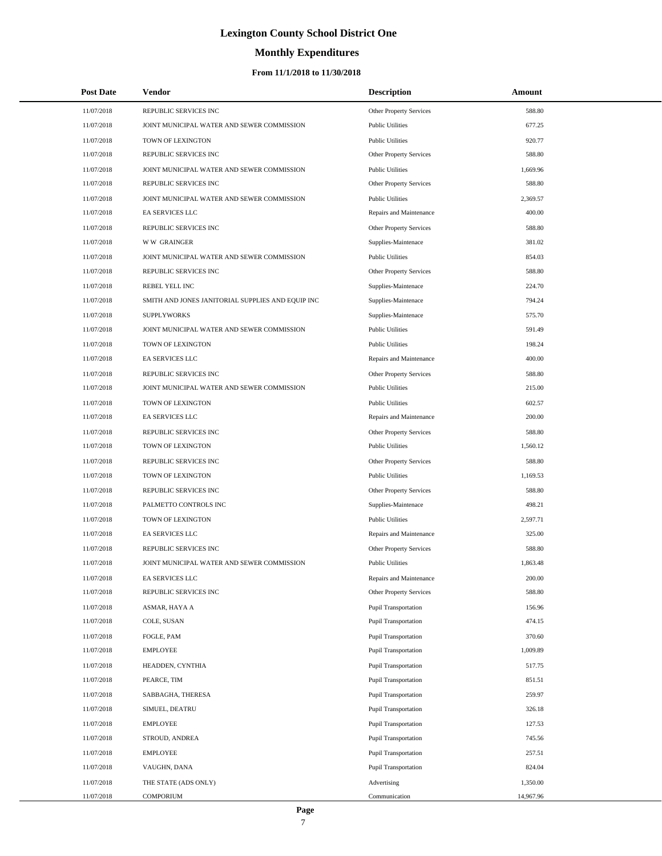# **Monthly Expenditures**

### **From 11/1/2018 to 11/30/2018**

| <b>Post Date</b> | Vendor                                            | <b>Description</b>          | Amount    |  |
|------------------|---------------------------------------------------|-----------------------------|-----------|--|
| 11/07/2018       | REPUBLIC SERVICES INC                             | Other Property Services     | 588.80    |  |
| 11/07/2018       | JOINT MUNICIPAL WATER AND SEWER COMMISSION        | <b>Public Utilities</b>     | 677.25    |  |
| 11/07/2018       | TOWN OF LEXINGTON                                 | <b>Public Utilities</b>     | 920.77    |  |
| 11/07/2018       | REPUBLIC SERVICES INC                             | Other Property Services     | 588.80    |  |
| 11/07/2018       | JOINT MUNICIPAL WATER AND SEWER COMMISSION        | <b>Public Utilities</b>     | 1,669.96  |  |
| 11/07/2018       | REPUBLIC SERVICES INC                             | Other Property Services     | 588.80    |  |
| 11/07/2018       | JOINT MUNICIPAL WATER AND SEWER COMMISSION        | <b>Public Utilities</b>     | 2,369.57  |  |
| 11/07/2018       | EA SERVICES LLC                                   | Repairs and Maintenance     | 400.00    |  |
| 11/07/2018       | REPUBLIC SERVICES INC                             | Other Property Services     | 588.80    |  |
| 11/07/2018       | <b>WW GRAINGER</b>                                | Supplies-Maintenace         | 381.02    |  |
| 11/07/2018       | JOINT MUNICIPAL WATER AND SEWER COMMISSION        | <b>Public Utilities</b>     | 854.03    |  |
| 11/07/2018       | REPUBLIC SERVICES INC                             | Other Property Services     | 588.80    |  |
| 11/07/2018       | REBEL YELL INC                                    | Supplies-Maintenace         | 224.70    |  |
| 11/07/2018       | SMITH AND JONES JANITORIAL SUPPLIES AND EQUIP INC | Supplies-Maintenace         | 794.24    |  |
| 11/07/2018       | <b>SUPPLYWORKS</b>                                | Supplies-Maintenace         | 575.70    |  |
| 11/07/2018       | JOINT MUNICIPAL WATER AND SEWER COMMISSION        | <b>Public Utilities</b>     | 591.49    |  |
| 11/07/2018       | TOWN OF LEXINGTON                                 | <b>Public Utilities</b>     | 198.24    |  |
| 11/07/2018       | <b>EA SERVICES LLC</b>                            | Repairs and Maintenance     | 400.00    |  |
| 11/07/2018       | REPUBLIC SERVICES INC                             | Other Property Services     | 588.80    |  |
| 11/07/2018       | JOINT MUNICIPAL WATER AND SEWER COMMISSION        | <b>Public Utilities</b>     | 215.00    |  |
| 11/07/2018       | TOWN OF LEXINGTON                                 | <b>Public Utilities</b>     | 602.57    |  |
| 11/07/2018       | EA SERVICES LLC                                   | Repairs and Maintenance     | 200.00    |  |
| 11/07/2018       | REPUBLIC SERVICES INC                             | Other Property Services     | 588.80    |  |
| 11/07/2018       | TOWN OF LEXINGTON                                 | <b>Public Utilities</b>     | 1,560.12  |  |
| 11/07/2018       | REPUBLIC SERVICES INC                             | Other Property Services     | 588.80    |  |
| 11/07/2018       | TOWN OF LEXINGTON                                 | <b>Public Utilities</b>     | 1,169.53  |  |
| 11/07/2018       | REPUBLIC SERVICES INC                             | Other Property Services     | 588.80    |  |
| 11/07/2018       | PALMETTO CONTROLS INC                             | Supplies-Maintenace         | 498.21    |  |
| 11/07/2018       | TOWN OF LEXINGTON                                 | <b>Public Utilities</b>     | 2,597.71  |  |
| 11/07/2018       | EA SERVICES LLC                                   | Repairs and Maintenance     | 325.00    |  |
| 11/07/2018       | REPUBLIC SERVICES INC                             | Other Property Services     | 588.80    |  |
| 11/07/2018       | JOINT MUNICIPAL WATER AND SEWER COMMISSION        | <b>Public Utilities</b>     | 1,863.48  |  |
| 11/07/2018       | EA SERVICES LLC                                   | Repairs and Maintenance     | 200.00    |  |
| 11/07/2018       | REPUBLIC SERVICES INC                             | Other Property Services     | 588.80    |  |
| 11/07/2018       | ASMAR, HAYA A                                     | <b>Pupil Transportation</b> | 156.96    |  |
| 11/07/2018       | COLE, SUSAN                                       | <b>Pupil Transportation</b> | 474.15    |  |
| 11/07/2018       | FOGLE, PAM                                        | <b>Pupil Transportation</b> | 370.60    |  |
| 11/07/2018       | <b>EMPLOYEE</b>                                   | <b>Pupil Transportation</b> | 1,009.89  |  |
| 11/07/2018       | HEADDEN, CYNTHIA                                  | <b>Pupil Transportation</b> | 517.75    |  |
| 11/07/2018       | PEARCE, TIM                                       | <b>Pupil Transportation</b> | 851.51    |  |
| 11/07/2018       | SABBAGHA, THERESA                                 | <b>Pupil Transportation</b> | 259.97    |  |
| 11/07/2018       | SIMUEL, DEATRU                                    | <b>Pupil Transportation</b> | 326.18    |  |
| 11/07/2018       | <b>EMPLOYEE</b>                                   | <b>Pupil Transportation</b> | 127.53    |  |
| 11/07/2018       | STROUD, ANDREA                                    | <b>Pupil Transportation</b> | 745.56    |  |
| 11/07/2018       | <b>EMPLOYEE</b>                                   | <b>Pupil Transportation</b> | 257.51    |  |
| 11/07/2018       | VAUGHN, DANA                                      | Pupil Transportation        | 824.04    |  |
| 11/07/2018       | THE STATE (ADS ONLY)                              | Advertising                 | 1,350.00  |  |
| 11/07/2018       | COMPORIUM                                         | Communication               | 14,967.96 |  |

L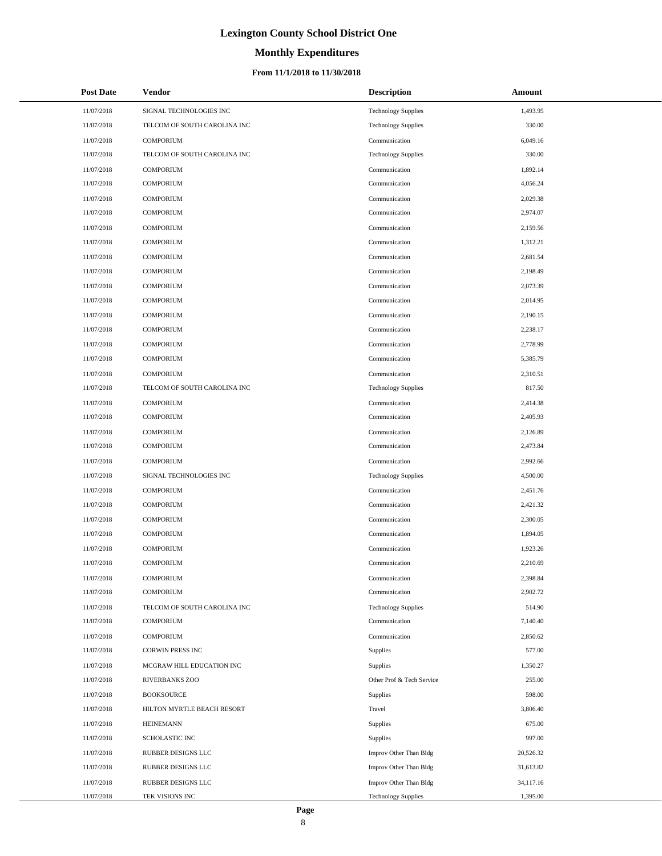# **Monthly Expenditures**

### **From 11/1/2018 to 11/30/2018**

| <b>Post Date</b> | Vendor                       | <b>Description</b>         | Amount    |
|------------------|------------------------------|----------------------------|-----------|
| 11/07/2018       | SIGNAL TECHNOLOGIES INC      | <b>Technology Supplies</b> | 1,493.95  |
| 11/07/2018       | TELCOM OF SOUTH CAROLINA INC | <b>Technology Supplies</b> | 330.00    |
| 11/07/2018       | <b>COMPORIUM</b>             | Communication              | 6,049.16  |
| 11/07/2018       | TELCOM OF SOUTH CAROLINA INC | <b>Technology Supplies</b> | 330.00    |
| 11/07/2018       | <b>COMPORIUM</b>             | Communication              | 1,892.14  |
| 11/07/2018       | <b>COMPORIUM</b>             | Communication              | 4,056.24  |
| 11/07/2018       | <b>COMPORIUM</b>             | Communication              | 2,029.38  |
| 11/07/2018       | <b>COMPORIUM</b>             | Communication              | 2,974.07  |
| 11/07/2018       | <b>COMPORIUM</b>             | Communication              | 2,159.56  |
| 11/07/2018       | <b>COMPORIUM</b>             | Communication              | 1,312.21  |
| 11/07/2018       | <b>COMPORIUM</b>             | Communication              | 2,681.54  |
| 11/07/2018       | <b>COMPORIUM</b>             | Communication              | 2,198.49  |
| 11/07/2018       | <b>COMPORIUM</b>             | Communication              | 2,073.39  |
| 11/07/2018       | <b>COMPORIUM</b>             | Communication              | 2,014.95  |
| 11/07/2018       | <b>COMPORIUM</b>             | Communication              | 2,190.15  |
| 11/07/2018       | <b>COMPORIUM</b>             | Communication              | 2,238.17  |
| 11/07/2018       | <b>COMPORIUM</b>             | Communication              | 2,778.99  |
| 11/07/2018       | <b>COMPORIUM</b>             | Communication              | 5,385.79  |
| 11/07/2018       | <b>COMPORIUM</b>             | Communication              | 2,310.51  |
| 11/07/2018       | TELCOM OF SOUTH CAROLINA INC | <b>Technology Supplies</b> | 817.50    |
| 11/07/2018       | <b>COMPORIUM</b>             | Communication              | 2,414.38  |
| 11/07/2018       | <b>COMPORIUM</b>             | Communication              | 2,405.93  |
| 11/07/2018       | <b>COMPORIUM</b>             | Communication              | 2,126.89  |
| 11/07/2018       | <b>COMPORIUM</b>             | Communication              | 2,473.84  |
| 11/07/2018       | <b>COMPORIUM</b>             | Communication              | 2,992.66  |
| 11/07/2018       | SIGNAL TECHNOLOGIES INC      | <b>Technology Supplies</b> | 4,500.00  |
| 11/07/2018       | <b>COMPORIUM</b>             | Communication              | 2,451.76  |
| 11/07/2018       | <b>COMPORIUM</b>             | Communication              | 2,421.32  |
| 11/07/2018       | <b>COMPORIUM</b>             | Communication              | 2,300.05  |
| 11/07/2018       | <b>COMPORIUM</b>             | Communication              | 1,894.05  |
| 11/07/2018       | <b>COMPORIUM</b>             | Communication              | 1,923.26  |
| 11/07/2018       | <b>COMPORIUM</b>             | Communication              | 2,210.69  |
| 11/07/2018       | <b>COMPORIUM</b>             | Communication              | 2,398.84  |
| 11/07/2018       | <b>COMPORIUM</b>             | Communication              | 2,902.72  |
| 11/07/2018       | TELCOM OF SOUTH CAROLINA INC | <b>Technology Supplies</b> | 514.90    |
| 11/07/2018       | <b>COMPORIUM</b>             | Communication              | 7,140.40  |
| 11/07/2018       | <b>COMPORIUM</b>             | Communication              | 2,850.62  |
| 11/07/2018       | <b>CORWIN PRESS INC</b>      | Supplies                   | 577.00    |
| 11/07/2018       | MCGRAW HILL EDUCATION INC    | Supplies                   | 1,350.27  |
| 11/07/2018       | RIVERBANKS ZOO               | Other Prof & Tech Service  | 255.00    |
| 11/07/2018       | <b>BOOKSOURCE</b>            | Supplies                   | 598.00    |
| 11/07/2018       | HILTON MYRTLE BEACH RESORT   | Travel                     | 3,806.40  |
| 11/07/2018       | <b>HEINEMANN</b>             | Supplies                   | 675.00    |
| 11/07/2018       | SCHOLASTIC INC               | Supplies                   | 997.00    |
| 11/07/2018       | RUBBER DESIGNS LLC           | Improv Other Than Bldg     | 20,526.32 |
| 11/07/2018       | RUBBER DESIGNS LLC           | Improv Other Than Bldg     | 31,613.82 |
| 11/07/2018       | RUBBER DESIGNS LLC           | Improv Other Than Bldg     | 34,117.16 |
| 11/07/2018       | TEK VISIONS INC              | <b>Technology Supplies</b> | 1,395.00  |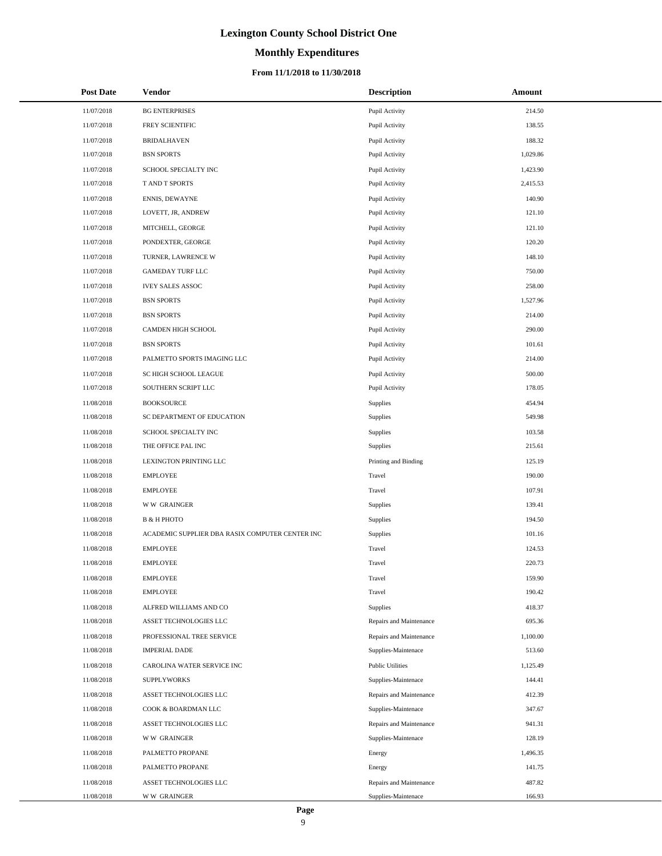### **Monthly Expenditures**

### **From 11/1/2018 to 11/30/2018**

| <b>Post Date</b> | Vendor                                          | <b>Description</b>      | <b>Amount</b> |
|------------------|-------------------------------------------------|-------------------------|---------------|
| 11/07/2018       | <b>BG ENTERPRISES</b>                           | Pupil Activity          | 214.50        |
| 11/07/2018       | FREY SCIENTIFIC                                 | Pupil Activity          | 138.55        |
| 11/07/2018       | <b>BRIDALHAVEN</b>                              | Pupil Activity          | 188.32        |
| 11/07/2018       | <b>BSN SPORTS</b>                               | Pupil Activity          | 1,029.86      |
| 11/07/2018       | SCHOOL SPECIALTY INC                            | Pupil Activity          | 1,423.90      |
| 11/07/2018       | T AND T SPORTS                                  | Pupil Activity          | 2,415.53      |
| 11/07/2018       | ENNIS, DEWAYNE                                  | Pupil Activity          | 140.90        |
| 11/07/2018       | LOVETT, JR, ANDREW                              | Pupil Activity          | 121.10        |
| 11/07/2018       | MITCHELL, GEORGE                                | Pupil Activity          | 121.10        |
| 11/07/2018       | PONDEXTER, GEORGE                               | Pupil Activity          | 120.20        |
| 11/07/2018       | TURNER, LAWRENCE W                              | Pupil Activity          | 148.10        |
| 11/07/2018       | <b>GAMEDAY TURF LLC</b>                         | Pupil Activity          | 750.00        |
| 11/07/2018       | <b>IVEY SALES ASSOC</b>                         | Pupil Activity          | 258.00        |
| 11/07/2018       | <b>BSN SPORTS</b>                               | Pupil Activity          | 1,527.96      |
| 11/07/2018       | <b>BSN SPORTS</b>                               | Pupil Activity          | 214.00        |
| 11/07/2018       | CAMDEN HIGH SCHOOL                              | Pupil Activity          | 290.00        |
| 11/07/2018       | <b>BSN SPORTS</b>                               | Pupil Activity          | 101.61        |
| 11/07/2018       | PALMETTO SPORTS IMAGING LLC                     | Pupil Activity          | 214.00        |
| 11/07/2018       | SC HIGH SCHOOL LEAGUE                           | Pupil Activity          | 500.00        |
| 11/07/2018       | SOUTHERN SCRIPT LLC                             | Pupil Activity          | 178.05        |
| 11/08/2018       | <b>BOOKSOURCE</b>                               | Supplies                | 454.94        |
| 11/08/2018       | SC DEPARTMENT OF EDUCATION                      | Supplies                | 549.98        |
| 11/08/2018       | SCHOOL SPECIALTY INC                            | Supplies                | 103.58        |
| 11/08/2018       | THE OFFICE PAL INC                              | Supplies                | 215.61        |
| 11/08/2018       | LEXINGTON PRINTING LLC                          | Printing and Binding    | 125.19        |
| 11/08/2018       | <b>EMPLOYEE</b>                                 | Travel                  | 190.00        |
| 11/08/2018       | <b>EMPLOYEE</b>                                 | Travel                  | 107.91        |
| 11/08/2018       | <b>WW GRAINGER</b>                              | Supplies                | 139.41        |
| 11/08/2018       | <b>B &amp; H PHOTO</b>                          | Supplies                | 194.50        |
| 11/08/2018       | ACADEMIC SUPPLIER DBA RASIX COMPUTER CENTER INC | Supplies                | 101.16        |
| 11/08/2018       | <b>EMPLOYEE</b>                                 | Travel                  | 124.53        |
| 11/08/2018       | <b>EMPLOYEE</b>                                 | Travel                  | 220.73        |
| 11/08/2018       | <b>EMPLOYEE</b>                                 | Travel                  | 159.90        |
| 11/08/2018       | <b>EMPLOYEE</b>                                 | Travel                  | 190.42        |
| 11/08/2018       | ALFRED WILLIAMS AND CO                          | Supplies                | 418.37        |
| 11/08/2018       | ASSET TECHNOLOGIES LLC                          | Repairs and Maintenance | 695.36        |
| 11/08/2018       | PROFESSIONAL TREE SERVICE                       | Repairs and Maintenance | 1,100.00      |
| 11/08/2018       | <b>IMPERIAL DADE</b>                            | Supplies-Maintenace     | 513.60        |
| 11/08/2018       | CAROLINA WATER SERVICE INC                      | <b>Public Utilities</b> | 1,125.49      |
| 11/08/2018       | <b>SUPPLYWORKS</b>                              | Supplies-Maintenace     | 144.41        |
| 11/08/2018       | ASSET TECHNOLOGIES LLC                          | Repairs and Maintenance | 412.39        |
| 11/08/2018       | COOK & BOARDMAN LLC                             | Supplies-Maintenace     | 347.67        |
| 11/08/2018       | ASSET TECHNOLOGIES LLC                          | Repairs and Maintenance | 941.31        |
| 11/08/2018       | <b>WW GRAINGER</b>                              | Supplies-Maintenace     | 128.19        |
| 11/08/2018       | PALMETTO PROPANE                                | Energy                  | 1,496.35      |
| 11/08/2018       | PALMETTO PROPANE                                | Energy                  | 141.75        |
| 11/08/2018       | ASSET TECHNOLOGIES LLC                          | Repairs and Maintenance | 487.82        |
| 11/08/2018       | <b>WW GRAINGER</b>                              | Supplies-Maintenace     | 166.93        |

 $\overline{a}$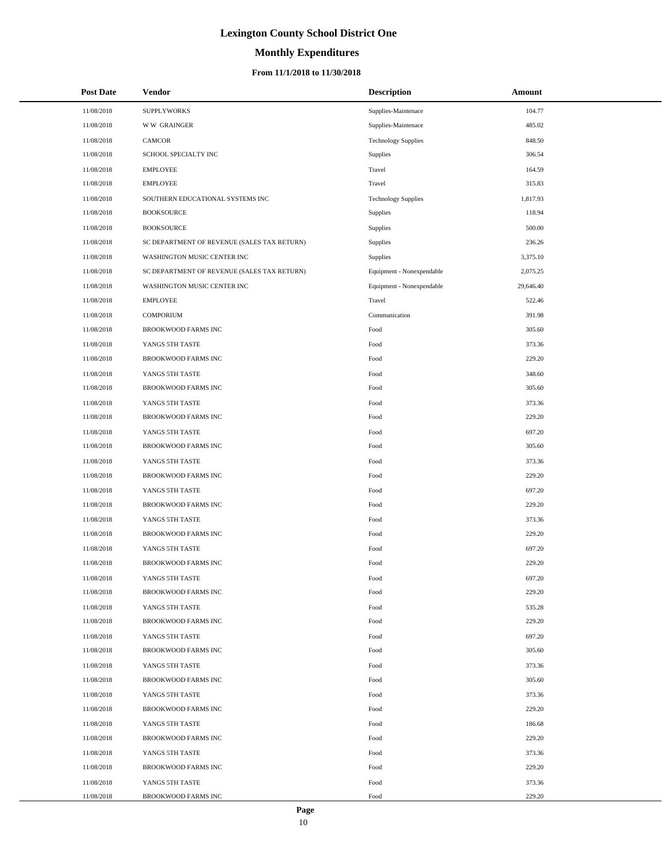# **Monthly Expenditures**

| <b>Post Date</b> | Vendor                                      | <b>Description</b>         | Amount    |
|------------------|---------------------------------------------|----------------------------|-----------|
| 11/08/2018       | <b>SUPPLYWORKS</b>                          | Supplies-Maintenace        | 104.77    |
| 11/08/2018       | <b>WW GRAINGER</b>                          | Supplies-Maintenace        | 485.02    |
| 11/08/2018       | <b>CAMCOR</b>                               | <b>Technology Supplies</b> | 848.50    |
| 11/08/2018       | SCHOOL SPECIALTY INC                        | Supplies                   | 306.54    |
| 11/08/2018       | <b>EMPLOYEE</b>                             | Travel                     | 164.59    |
| 11/08/2018       | <b>EMPLOYEE</b>                             | Travel                     | 315.83    |
| 11/08/2018       | SOUTHERN EDUCATIONAL SYSTEMS INC            | <b>Technology Supplies</b> | 1,817.93  |
| 11/08/2018       | <b>BOOKSOURCE</b>                           | Supplies                   | 118.94    |
| 11/08/2018       | <b>BOOKSOURCE</b>                           | Supplies                   | 500.00    |
| 11/08/2018       | SC DEPARTMENT OF REVENUE (SALES TAX RETURN) | Supplies                   | 236.26    |
| 11/08/2018       | WASHINGTON MUSIC CENTER INC                 | Supplies                   | 3,375.10  |
| 11/08/2018       | SC DEPARTMENT OF REVENUE (SALES TAX RETURN) | Equipment - Nonexpendable  | 2,075.25  |
| 11/08/2018       | WASHINGTON MUSIC CENTER INC                 | Equipment - Nonexpendable  | 29,646.40 |
| 11/08/2018       | <b>EMPLOYEE</b>                             | Travel                     | 522.46    |
| 11/08/2018       | <b>COMPORIUM</b>                            | Communication              | 391.98    |
| 11/08/2018       | <b>BROOKWOOD FARMS INC</b>                  | Food                       | 305.60    |
| 11/08/2018       | YANGS 5TH TASTE                             | Food                       | 373.36    |
| 11/08/2018       | BROOKWOOD FARMS INC                         | Food                       | 229.20    |
| 11/08/2018       | YANGS 5TH TASTE                             | Food                       | 348.60    |
| 11/08/2018       | <b>BROOKWOOD FARMS INC</b>                  | Food                       | 305.60    |
| 11/08/2018       | YANGS 5TH TASTE                             | Food                       | 373.36    |
| 11/08/2018       | BROOKWOOD FARMS INC                         | Food                       | 229.20    |
| 11/08/2018       | YANGS 5TH TASTE                             | Food                       | 697.20    |
| 11/08/2018       | BROOKWOOD FARMS INC                         | Food                       | 305.60    |
| 11/08/2018       | YANGS 5TH TASTE                             | Food                       | 373.36    |
| 11/08/2018       | BROOKWOOD FARMS INC                         | Food                       | 229.20    |
| 11/08/2018       | YANGS 5TH TASTE                             | Food                       | 697.20    |
| 11/08/2018       | <b>BROOKWOOD FARMS INC</b>                  | Food                       | 229.20    |
| 11/08/2018       | YANGS 5TH TASTE                             | Food                       | 373.36    |
| 11/08/2018       | <b>BROOKWOOD FARMS INC</b>                  | Food                       | 229.20    |
| 11/08/2018       | YANGS 5TH TASTE                             | Food                       | 697.20    |
| 11/08/2018       | <b>BROOKWOOD FARMS INC</b>                  | Food                       | 229.20    |
| 11/08/2018       | YANGS 5TH TASTE                             | Food                       | 697.20    |
| 11/08/2018       | <b>BROOKWOOD FARMS INC</b>                  | Food                       | 229.20    |
| 11/08/2018       | YANGS 5TH TASTE                             | Food                       | 535.28    |
| 11/08/2018       | BROOKWOOD FARMS INC                         | Food                       | 229.20    |
| 11/08/2018       | YANGS 5TH TASTE                             | Food                       | 697.20    |
| 11/08/2018       | BROOKWOOD FARMS INC                         | Food                       | 305.60    |
| 11/08/2018       | YANGS 5TH TASTE                             | Food                       | 373.36    |
| 11/08/2018       | BROOKWOOD FARMS INC                         | Food                       | 305.60    |
| 11/08/2018       | YANGS 5TH TASTE                             | Food                       | 373.36    |
| 11/08/2018       | BROOKWOOD FARMS INC                         | Food                       | 229.20    |
| 11/08/2018       | YANGS 5TH TASTE                             | Food                       | 186.68    |
| 11/08/2018       | BROOKWOOD FARMS INC                         | Food                       | 229.20    |
| 11/08/2018       | YANGS 5TH TASTE                             | Food                       | 373.36    |
| 11/08/2018       | BROOKWOOD FARMS INC                         | Food                       | 229.20    |
| 11/08/2018       | YANGS 5TH TASTE                             | Food                       | 373.36    |
| 11/08/2018       | BROOKWOOD FARMS INC                         | Food                       | 229.20    |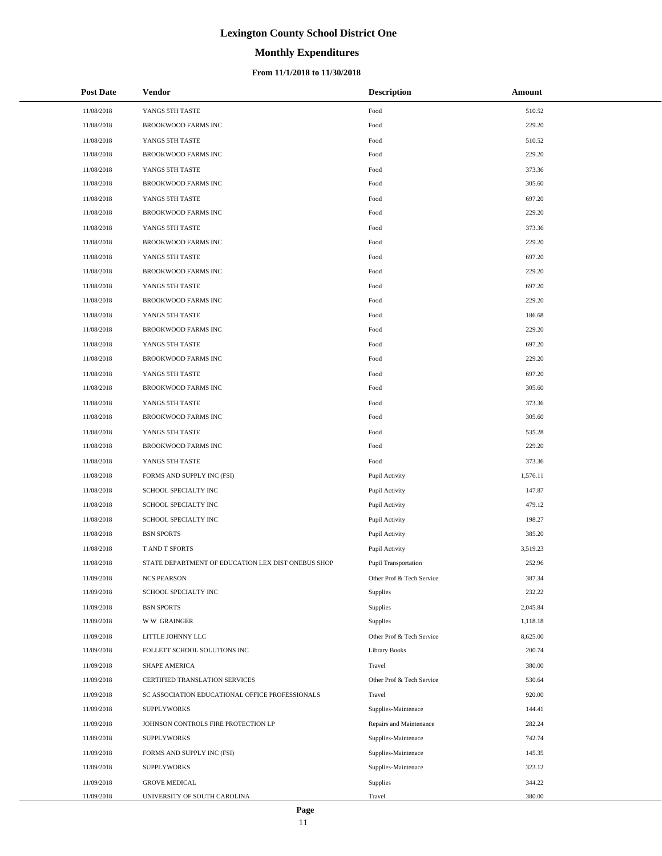# **Monthly Expenditures**

### **From 11/1/2018 to 11/30/2018**

| <b>Post Date</b> | <b>Vendor</b>                                      | <b>Description</b>          | Amount   |
|------------------|----------------------------------------------------|-----------------------------|----------|
| 11/08/2018       | YANGS 5TH TASTE                                    | Food                        | 510.52   |
| 11/08/2018       | BROOKWOOD FARMS INC                                | Food                        | 229.20   |
| 11/08/2018       | YANGS 5TH TASTE                                    | Food                        | 510.52   |
| 11/08/2018       | BROOKWOOD FARMS INC                                | Food                        | 229.20   |
| 11/08/2018       | YANGS 5TH TASTE                                    | Food                        | 373.36   |
| 11/08/2018       | BROOKWOOD FARMS INC                                | Food                        | 305.60   |
| 11/08/2018       | YANGS 5TH TASTE                                    | Food                        | 697.20   |
| 11/08/2018       | <b>BROOKWOOD FARMS INC</b>                         | Food                        | 229.20   |
| 11/08/2018       | YANGS 5TH TASTE                                    | Food                        | 373.36   |
| 11/08/2018       | <b>BROOKWOOD FARMS INC</b>                         | Food                        | 229.20   |
| 11/08/2018       | YANGS 5TH TASTE                                    | Food                        | 697.20   |
| 11/08/2018       | <b>BROOKWOOD FARMS INC</b>                         | Food                        | 229.20   |
| 11/08/2018       | YANGS 5TH TASTE                                    | Food                        | 697.20   |
| 11/08/2018       | BROOKWOOD FARMS INC                                | Food                        | 229.20   |
| 11/08/2018       | YANGS 5TH TASTE                                    | Food                        | 186.68   |
| 11/08/2018       | BROOKWOOD FARMS INC                                | Food                        | 229.20   |
| 11/08/2018       | YANGS 5TH TASTE                                    | Food                        | 697.20   |
| 11/08/2018       | BROOKWOOD FARMS INC                                | Food                        | 229.20   |
| 11/08/2018       | YANGS 5TH TASTE                                    | Food                        | 697.20   |
| 11/08/2018       | BROOKWOOD FARMS INC                                | Food                        | 305.60   |
| 11/08/2018       | YANGS 5TH TASTE                                    | Food                        | 373.36   |
| 11/08/2018       | BROOKWOOD FARMS INC                                | Food                        | 305.60   |
| 11/08/2018       | YANGS 5TH TASTE                                    | Food                        | 535.28   |
| 11/08/2018       | <b>BROOKWOOD FARMS INC</b>                         | Food                        | 229.20   |
| 11/08/2018       | YANGS 5TH TASTE                                    | Food                        | 373.36   |
| 11/08/2018       | FORMS AND SUPPLY INC (FSI)                         | Pupil Activity              | 1,576.11 |
| 11/08/2018       | SCHOOL SPECIALTY INC                               | Pupil Activity              | 147.87   |
| 11/08/2018       | SCHOOL SPECIALTY INC                               | Pupil Activity              | 479.12   |
| 11/08/2018       | SCHOOL SPECIALTY INC                               | Pupil Activity              | 198.27   |
| 11/08/2018       | <b>BSN SPORTS</b>                                  | Pupil Activity              | 385.20   |
| 11/08/2018       | T AND T SPORTS                                     | Pupil Activity              | 3,519.23 |
| 11/08/2018       | STATE DEPARTMENT OF EDUCATION LEX DIST ONEBUS SHOP | <b>Pupil Transportation</b> | 252.96   |
| 11/09/2018       | <b>NCS PEARSON</b>                                 | Other Prof & Tech Service   | 387.34   |
| 11/09/2018       | SCHOOL SPECIALTY INC                               | Supplies                    | 232.22   |
| 11/09/2018       | <b>BSN SPORTS</b>                                  | Supplies                    | 2,045.84 |
| 11/09/2018       | <b>WW GRAINGER</b>                                 | Supplies                    | 1,118.18 |
| 11/09/2018       | LITTLE JOHNNY LLC                                  | Other Prof & Tech Service   | 8,625.00 |
| 11/09/2018       | FOLLETT SCHOOL SOLUTIONS INC                       | Library Books               | 200.74   |
| 11/09/2018       | SHAPE AMERICA                                      | Travel                      | 380.00   |
| 11/09/2018       | CERTIFIED TRANSLATION SERVICES                     | Other Prof & Tech Service   | 530.64   |
| 11/09/2018       | SC ASSOCIATION EDUCATIONAL OFFICE PROFESSIONALS    | Travel                      | 920.00   |
| 11/09/2018       | <b>SUPPLYWORKS</b>                                 | Supplies-Maintenace         | 144.41   |
| 11/09/2018       | JOHNSON CONTROLS FIRE PROTECTION LP                | Repairs and Maintenance     | 282.24   |
| 11/09/2018       | <b>SUPPLYWORKS</b>                                 | Supplies-Maintenace         | 742.74   |
| 11/09/2018       | FORMS AND SUPPLY INC (FSI)                         | Supplies-Maintenace         | 145.35   |
| 11/09/2018       | <b>SUPPLYWORKS</b>                                 | Supplies-Maintenace         | 323.12   |
| 11/09/2018       | <b>GROVE MEDICAL</b>                               | Supplies                    | 344.22   |
| 11/09/2018       | UNIVERSITY OF SOUTH CAROLINA                       | Travel                      | 380.00   |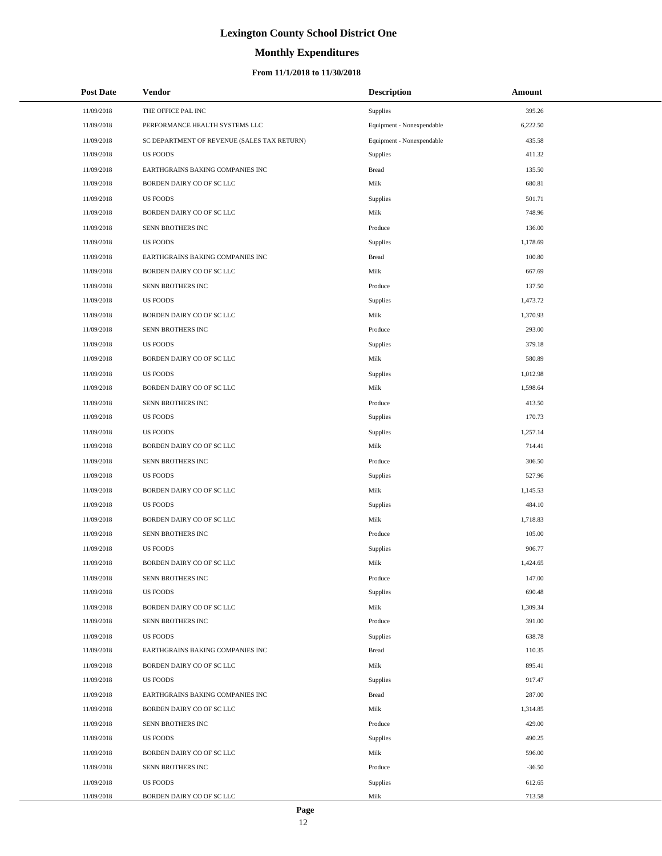# **Monthly Expenditures**

| <b>Post Date</b> | <b>Vendor</b>                               | <b>Description</b>        | Amount   |
|------------------|---------------------------------------------|---------------------------|----------|
| 11/09/2018       | THE OFFICE PAL INC                          | Supplies                  | 395.26   |
| 11/09/2018       | PERFORMANCE HEALTH SYSTEMS LLC              | Equipment - Nonexpendable | 6,222.50 |
| 11/09/2018       | SC DEPARTMENT OF REVENUE (SALES TAX RETURN) | Equipment - Nonexpendable | 435.58   |
| 11/09/2018       | <b>US FOODS</b>                             | Supplies                  | 411.32   |
| 11/09/2018       | EARTHGRAINS BAKING COMPANIES INC            | <b>Bread</b>              | 135.50   |
| 11/09/2018       | BORDEN DAIRY CO OF SC LLC                   | Milk                      | 680.81   |
| 11/09/2018       | <b>US FOODS</b>                             | Supplies                  | 501.71   |
| 11/09/2018       | BORDEN DAIRY CO OF SC LLC                   | Milk                      | 748.96   |
| 11/09/2018       | SENN BROTHERS INC                           | Produce                   | 136.00   |
| 11/09/2018       | <b>US FOODS</b>                             | Supplies                  | 1,178.69 |
| 11/09/2018       | EARTHGRAINS BAKING COMPANIES INC            | <b>Bread</b>              | 100.80   |
| 11/09/2018       | BORDEN DAIRY CO OF SC LLC                   | Milk                      | 667.69   |
| 11/09/2018       | SENN BROTHERS INC                           | Produce                   | 137.50   |
| 11/09/2018       | <b>US FOODS</b>                             | Supplies                  | 1,473.72 |
| 11/09/2018       | BORDEN DAIRY CO OF SC LLC                   | Milk                      | 1,370.93 |
| 11/09/2018       | SENN BROTHERS INC                           | Produce                   | 293.00   |
| 11/09/2018       | <b>US FOODS</b>                             | Supplies                  | 379.18   |
| 11/09/2018       | BORDEN DAIRY CO OF SC LLC                   | Milk                      | 580.89   |
| 11/09/2018       | <b>US FOODS</b>                             | Supplies                  | 1,012.98 |
| 11/09/2018       | BORDEN DAIRY CO OF SC LLC                   | Milk                      | 1,598.64 |
| 11/09/2018       | SENN BROTHERS INC                           | Produce                   | 413.50   |
| 11/09/2018       | <b>US FOODS</b>                             | Supplies                  | 170.73   |
| 11/09/2018       | <b>US FOODS</b>                             | Supplies                  | 1,257.14 |
| 11/09/2018       | BORDEN DAIRY CO OF SC LLC                   | Milk                      | 714.41   |
| 11/09/2018       | SENN BROTHERS INC                           | Produce                   | 306.50   |
| 11/09/2018       | <b>US FOODS</b>                             | Supplies                  | 527.96   |
| 11/09/2018       | BORDEN DAIRY CO OF SC LLC                   | Milk                      | 1,145.53 |
| 11/09/2018       | <b>US FOODS</b>                             | Supplies                  | 484.10   |
| 11/09/2018       | BORDEN DAIRY CO OF SC LLC                   | Milk                      | 1,718.83 |
| 11/09/2018       | SENN BROTHERS INC                           | Produce                   | 105.00   |
| 11/09/2018       | <b>US FOODS</b>                             | Supplies                  | 906.77   |
| 11/09/2018       | BORDEN DAIRY CO OF SC LLC                   | Milk                      | 1,424.65 |
| 11/09/2018       | SENN BROTHERS INC                           | Produce                   | 147.00   |
| 11/09/2018       | <b>US FOODS</b>                             | Supplies                  | 690.48   |
| 11/09/2018       | BORDEN DAIRY CO OF SC LLC                   | Milk                      | 1,309.34 |
| 11/09/2018       | SENN BROTHERS INC                           | Produce                   | 391.00   |
| 11/09/2018       | <b>US FOODS</b>                             | Supplies                  | 638.78   |
| 11/09/2018       | EARTHGRAINS BAKING COMPANIES INC            | <b>Bread</b>              | 110.35   |
| 11/09/2018       | BORDEN DAIRY CO OF SC LLC                   | Milk                      | 895.41   |
| 11/09/2018       | <b>US FOODS</b>                             | Supplies                  | 917.47   |
| 11/09/2018       | EARTHGRAINS BAKING COMPANIES INC            | <b>Bread</b>              | 287.00   |
| 11/09/2018       | BORDEN DAIRY CO OF SC LLC                   | Milk                      | 1,314.85 |
| 11/09/2018       | SENN BROTHERS INC                           | Produce                   | 429.00   |
| 11/09/2018       | <b>US FOODS</b>                             | Supplies                  | 490.25   |
| 11/09/2018       | BORDEN DAIRY CO OF SC LLC                   | Milk                      | 596.00   |
| 11/09/2018       | SENN BROTHERS INC                           | Produce                   | $-36.50$ |
| 11/09/2018       | <b>US FOODS</b>                             | Supplies                  | 612.65   |
| 11/09/2018       | BORDEN DAIRY CO OF SC LLC                   | Milk                      | 713.58   |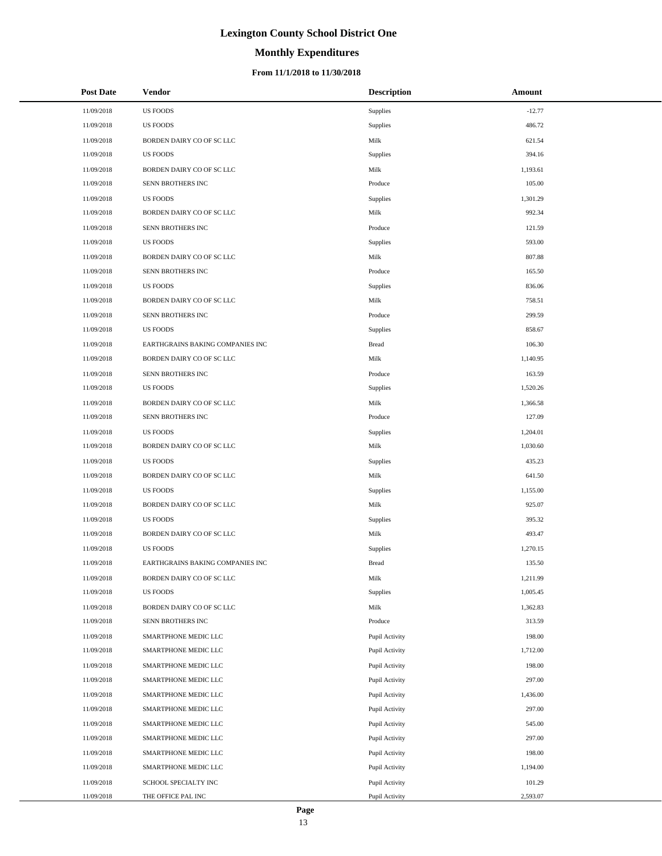# **Monthly Expenditures**

### **From 11/1/2018 to 11/30/2018**

| <b>Post Date</b> | <b>Vendor</b>                    | <b>Description</b> | Amount   |
|------------------|----------------------------------|--------------------|----------|
| 11/09/2018       | <b>US FOODS</b>                  | Supplies           | $-12.77$ |
| 11/09/2018       | <b>US FOODS</b>                  | Supplies           | 486.72   |
| 11/09/2018       | BORDEN DAIRY CO OF SC LLC        | Milk               | 621.54   |
| 11/09/2018       | <b>US FOODS</b>                  | Supplies           | 394.16   |
| 11/09/2018       | BORDEN DAIRY CO OF SC LLC        | Milk               | 1,193.61 |
| 11/09/2018       | SENN BROTHERS INC                | Produce            | 105.00   |
| 11/09/2018       | <b>US FOODS</b>                  | Supplies           | 1,301.29 |
| 11/09/2018       | BORDEN DAIRY CO OF SC LLC        | Milk               | 992.34   |
| 11/09/2018       | SENN BROTHERS INC                | Produce            | 121.59   |
| 11/09/2018       | <b>US FOODS</b>                  | Supplies           | 593.00   |
| 11/09/2018       | BORDEN DAIRY CO OF SC LLC        | Milk               | 807.88   |
| 11/09/2018       | SENN BROTHERS INC                | Produce            | 165.50   |
| 11/09/2018       | <b>US FOODS</b>                  | Supplies           | 836.06   |
| 11/09/2018       | BORDEN DAIRY CO OF SC LLC        | Milk               | 758.51   |
| 11/09/2018       | SENN BROTHERS INC                | Produce            | 299.59   |
| 11/09/2018       | <b>US FOODS</b>                  | Supplies           | 858.67   |
| 11/09/2018       | EARTHGRAINS BAKING COMPANIES INC | <b>Bread</b>       | 106.30   |
| 11/09/2018       | BORDEN DAIRY CO OF SC LLC        | Milk               | 1,140.95 |
| 11/09/2018       | SENN BROTHERS INC                | Produce            | 163.59   |
| 11/09/2018       | US FOODS                         | Supplies           | 1,520.26 |
| 11/09/2018       | BORDEN DAIRY CO OF SC LLC        | Milk               | 1,366.58 |
| 11/09/2018       | SENN BROTHERS INC                | Produce            | 127.09   |
| 11/09/2018       | <b>US FOODS</b>                  | Supplies           | 1,204.01 |
| 11/09/2018       | BORDEN DAIRY CO OF SC LLC        | Milk               | 1,030.60 |
| 11/09/2018       | <b>US FOODS</b>                  | Supplies           | 435.23   |
| 11/09/2018       | BORDEN DAIRY CO OF SC LLC        | Milk               | 641.50   |
| 11/09/2018       | <b>US FOODS</b>                  | Supplies           | 1,155.00 |
| 11/09/2018       | BORDEN DAIRY CO OF SC LLC        | Milk               | 925.07   |
| 11/09/2018       | <b>US FOODS</b>                  | Supplies           | 395.32   |
| 11/09/2018       | BORDEN DAIRY CO OF SC LLC        | Milk               | 493.47   |
| 11/09/2018       | <b>US FOODS</b>                  | Supplies           | 1,270.15 |
| 11/09/2018       | EARTHGRAINS BAKING COMPANIES INC | <b>Bread</b>       | 135.50   |
| 11/09/2018       | BORDEN DAIRY CO OF SC LLC        | Milk               | 1,211.99 |
| 11/09/2018       | <b>US FOODS</b>                  | Supplies           | 1,005.45 |
| 11/09/2018       | BORDEN DAIRY CO OF SC LLC        | Milk               | 1,362.83 |
| 11/09/2018       | SENN BROTHERS INC                | Produce            | 313.59   |
| 11/09/2018       | SMARTPHONE MEDIC LLC             | Pupil Activity     | 198.00   |
| 11/09/2018       | SMARTPHONE MEDIC LLC             | Pupil Activity     | 1,712.00 |
| 11/09/2018       | SMARTPHONE MEDIC LLC             | Pupil Activity     | 198.00   |
| 11/09/2018       | SMARTPHONE MEDIC LLC             | Pupil Activity     | 297.00   |
| 11/09/2018       | SMARTPHONE MEDIC LLC             | Pupil Activity     | 1,436.00 |
| 11/09/2018       | SMARTPHONE MEDIC LLC             | Pupil Activity     | 297.00   |
| 11/09/2018       | SMARTPHONE MEDIC LLC             | Pupil Activity     | 545.00   |
| 11/09/2018       | SMARTPHONE MEDIC LLC             | Pupil Activity     | 297.00   |
| 11/09/2018       | SMARTPHONE MEDIC LLC             | Pupil Activity     | 198.00   |
| 11/09/2018       | SMARTPHONE MEDIC LLC             | Pupil Activity     | 1,194.00 |
| 11/09/2018       | SCHOOL SPECIALTY INC             | Pupil Activity     | 101.29   |
| 11/09/2018       | THE OFFICE PAL INC               | Pupil Activity     | 2,593.07 |

÷.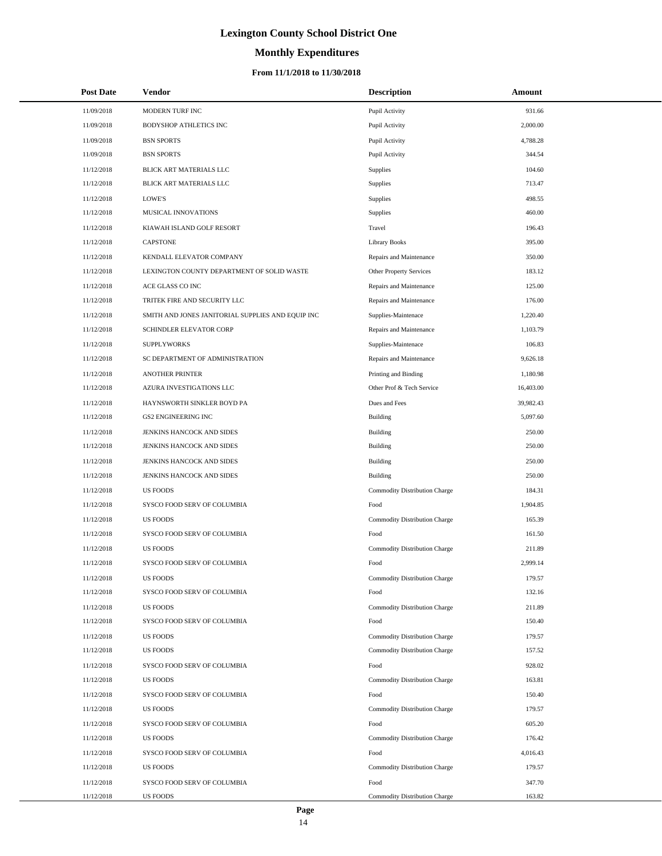# **Monthly Expenditures**

### **From 11/1/2018 to 11/30/2018**

| <b>Post Date</b> | Vendor                                            | <b>Description</b>                   | Amount    |
|------------------|---------------------------------------------------|--------------------------------------|-----------|
| 11/09/2018       | MODERN TURF INC                                   | Pupil Activity                       | 931.66    |
| 11/09/2018       | <b>BODYSHOP ATHLETICS INC</b>                     | Pupil Activity                       | 2,000.00  |
| 11/09/2018       | <b>BSN SPORTS</b>                                 | Pupil Activity                       | 4,788.28  |
| 11/09/2018       | <b>BSN SPORTS</b>                                 | Pupil Activity                       | 344.54    |
| 11/12/2018       | BLICK ART MATERIALS LLC                           | Supplies                             | 104.60    |
| 11/12/2018       | BLICK ART MATERIALS LLC                           | Supplies                             | 713.47    |
| 11/12/2018       | LOWE'S                                            | Supplies                             | 498.55    |
| 11/12/2018       | MUSICAL INNOVATIONS                               | Supplies                             | 460.00    |
| 11/12/2018       | KIAWAH ISLAND GOLF RESORT                         | Travel                               | 196.43    |
| 11/12/2018       | <b>CAPSTONE</b>                                   | <b>Library Books</b>                 | 395.00    |
| 11/12/2018       | KENDALL ELEVATOR COMPANY                          | Repairs and Maintenance              | 350.00    |
| 11/12/2018       | LEXINGTON COUNTY DEPARTMENT OF SOLID WASTE        | Other Property Services              | 183.12    |
| 11/12/2018       | ACE GLASS CO INC                                  | Repairs and Maintenance              | 125.00    |
| 11/12/2018       | TRITEK FIRE AND SECURITY LLC                      | Repairs and Maintenance              | 176.00    |
| 11/12/2018       | SMITH AND JONES JANITORIAL SUPPLIES AND EQUIP INC | Supplies-Maintenace                  | 1,220.40  |
| 11/12/2018       | SCHINDLER ELEVATOR CORP                           | Repairs and Maintenance              | 1,103.79  |
| 11/12/2018       | <b>SUPPLYWORKS</b>                                | Supplies-Maintenace                  | 106.83    |
| 11/12/2018       | SC DEPARTMENT OF ADMINISTRATION                   | Repairs and Maintenance              | 9,626.18  |
| 11/12/2018       | <b>ANOTHER PRINTER</b>                            | Printing and Binding                 | 1,180.98  |
| 11/12/2018       | AZURA INVESTIGATIONS LLC                          | Other Prof & Tech Service            | 16,403.00 |
| 11/12/2018       | HAYNSWORTH SINKLER BOYD PA                        | Dues and Fees                        | 39,982.43 |
| 11/12/2018       | <b>GS2 ENGINEERING INC</b>                        | Building                             | 5,097.60  |
| 11/12/2018       | JENKINS HANCOCK AND SIDES                         | <b>Building</b>                      | 250.00    |
| 11/12/2018       | JENKINS HANCOCK AND SIDES                         | <b>Building</b>                      | 250.00    |
| 11/12/2018       | JENKINS HANCOCK AND SIDES                         | <b>Building</b>                      | 250.00    |
| 11/12/2018       | JENKINS HANCOCK AND SIDES                         | <b>Building</b>                      | 250.00    |
| 11/12/2018       | <b>US FOODS</b>                                   | Commodity Distribution Charge        | 184.31    |
| 11/12/2018       | SYSCO FOOD SERV OF COLUMBIA                       | Food                                 | 1,904.85  |
| 11/12/2018       | <b>US FOODS</b>                                   | Commodity Distribution Charge        | 165.39    |
| 11/12/2018       | SYSCO FOOD SERV OF COLUMBIA                       | Food                                 | 161.50    |
| 11/12/2018       | <b>US FOODS</b>                                   | Commodity Distribution Charge        | 211.89    |
| 11/12/2018       | SYSCO FOOD SERV OF COLUMBIA                       | Food                                 | 2,999.14  |
| 11/12/2018       | <b>US FOODS</b>                                   | Commodity Distribution Charge        | 179.57    |
| 11/12/2018       | SYSCO FOOD SERV OF COLUMBIA                       | Food                                 | 132.16    |
| 11/12/2018       | <b>US FOODS</b>                                   | Commodity Distribution Charge        | 211.89    |
| 11/12/2018       | SYSCO FOOD SERV OF COLUMBIA                       | Food                                 | 150.40    |
| 11/12/2018       | <b>US FOODS</b>                                   | <b>Commodity Distribution Charge</b> | 179.57    |
| 11/12/2018       | <b>US FOODS</b>                                   | Commodity Distribution Charge        | 157.52    |
| 11/12/2018       | SYSCO FOOD SERV OF COLUMBIA                       | Food                                 | 928.02    |
| 11/12/2018       | <b>US FOODS</b>                                   | Commodity Distribution Charge        | 163.81    |
| 11/12/2018       | SYSCO FOOD SERV OF COLUMBIA                       | Food                                 | 150.40    |
| 11/12/2018       | <b>US FOODS</b>                                   | Commodity Distribution Charge        | 179.57    |
| 11/12/2018       | SYSCO FOOD SERV OF COLUMBIA                       | Food                                 | 605.20    |
| 11/12/2018       | <b>US FOODS</b>                                   | Commodity Distribution Charge        | 176.42    |
| 11/12/2018       | SYSCO FOOD SERV OF COLUMBIA                       | Food                                 | 4,016.43  |
| 11/12/2018       | <b>US FOODS</b>                                   | Commodity Distribution Charge        | 179.57    |
| 11/12/2018       | SYSCO FOOD SERV OF COLUMBIA                       | Food                                 | 347.70    |
| 11/12/2018       | <b>US FOODS</b>                                   | Commodity Distribution Charge        | 163.82    |

L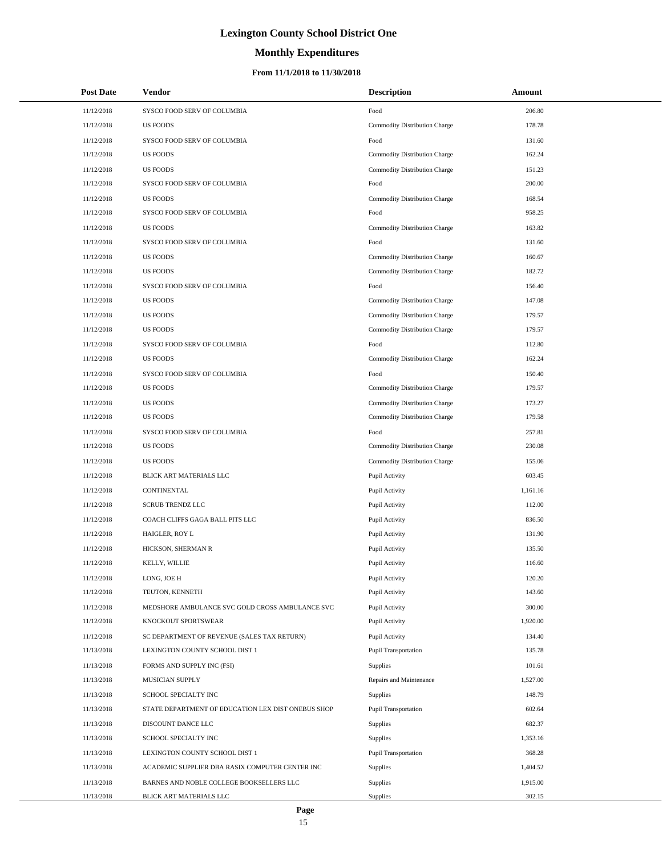# **Monthly Expenditures**

### **From 11/1/2018 to 11/30/2018**

| <b>Post Date</b> | Vendor                                             | <b>Description</b>            | Amount   |
|------------------|----------------------------------------------------|-------------------------------|----------|
| 11/12/2018       | SYSCO FOOD SERV OF COLUMBIA                        | Food                          | 206.80   |
| 11/12/2018       | <b>US FOODS</b>                                    | Commodity Distribution Charge | 178.78   |
| 11/12/2018       | SYSCO FOOD SERV OF COLUMBIA                        | Food                          | 131.60   |
| 11/12/2018       | <b>US FOODS</b>                                    | Commodity Distribution Charge | 162.24   |
| 11/12/2018       | <b>US FOODS</b>                                    | Commodity Distribution Charge | 151.23   |
| 11/12/2018       | SYSCO FOOD SERV OF COLUMBIA                        | Food                          | 200.00   |
| 11/12/2018       | <b>US FOODS</b>                                    | Commodity Distribution Charge | 168.54   |
| 11/12/2018       | SYSCO FOOD SERV OF COLUMBIA                        | Food                          | 958.25   |
| 11/12/2018       | <b>US FOODS</b>                                    | Commodity Distribution Charge | 163.82   |
| 11/12/2018       | SYSCO FOOD SERV OF COLUMBIA                        | Food                          | 131.60   |
| 11/12/2018       | <b>US FOODS</b>                                    | Commodity Distribution Charge | 160.67   |
| 11/12/2018       | <b>US FOODS</b>                                    | Commodity Distribution Charge | 182.72   |
| 11/12/2018       | SYSCO FOOD SERV OF COLUMBIA                        | Food                          | 156.40   |
| 11/12/2018       | <b>US FOODS</b>                                    | Commodity Distribution Charge | 147.08   |
| 11/12/2018       | <b>US FOODS</b>                                    | Commodity Distribution Charge | 179.57   |
| 11/12/2018       | <b>US FOODS</b>                                    | Commodity Distribution Charge | 179.57   |
| 11/12/2018       | SYSCO FOOD SERV OF COLUMBIA                        | Food                          | 112.80   |
| 11/12/2018       | <b>US FOODS</b>                                    | Commodity Distribution Charge | 162.24   |
| 11/12/2018       | SYSCO FOOD SERV OF COLUMBIA                        | Food                          | 150.40   |
| 11/12/2018       | <b>US FOODS</b>                                    | Commodity Distribution Charge | 179.57   |
| 11/12/2018       | <b>US FOODS</b>                                    | Commodity Distribution Charge | 173.27   |
| 11/12/2018       | <b>US FOODS</b>                                    | Commodity Distribution Charge | 179.58   |
| 11/12/2018       | SYSCO FOOD SERV OF COLUMBIA                        | Food                          | 257.81   |
| 11/12/2018       | <b>US FOODS</b>                                    | Commodity Distribution Charge | 230.08   |
| 11/12/2018       | <b>US FOODS</b>                                    | Commodity Distribution Charge | 155.06   |
| 11/12/2018       | BLICK ART MATERIALS LLC                            | Pupil Activity                | 603.45   |
| 11/12/2018       | CONTINENTAL                                        | Pupil Activity                | 1,161.16 |
| 11/12/2018       | <b>SCRUB TRENDZ LLC</b>                            | Pupil Activity                | 112.00   |
| 11/12/2018       | COACH CLIFFS GAGA BALL PITS LLC                    | Pupil Activity                | 836.50   |
| 11/12/2018       | HAIGLER, ROY L                                     | Pupil Activity                | 131.90   |
| 11/12/2018       | HICKSON, SHERMAN R                                 | Pupil Activity                | 135.50   |
| 11/12/2018       | KELLY, WILLIE                                      | Pupil Activity                | 116.60   |
| 11/12/2018       | LONG, JOE H                                        | Pupil Activity                | 120.20   |
| 11/12/2018       | TEUTON, KENNETH                                    | Pupil Activity                | 143.60   |
| 11/12/2018       | MEDSHORE AMBULANCE SVC GOLD CROSS AMBULANCE SVC    | Pupil Activity                | 300.00   |
| 11/12/2018       | KNOCKOUT SPORTSWEAR                                | Pupil Activity                | 1,920.00 |
| 11/12/2018       | SC DEPARTMENT OF REVENUE (SALES TAX RETURN)        | Pupil Activity                | 134.40   |
| 11/13/2018       | LEXINGTON COUNTY SCHOOL DIST 1                     | Pupil Transportation          | 135.78   |
| 11/13/2018       | FORMS AND SUPPLY INC (FSI)                         | Supplies                      | 101.61   |
| 11/13/2018       | MUSICIAN SUPPLY                                    | Repairs and Maintenance       | 1,527.00 |
| 11/13/2018       | SCHOOL SPECIALTY INC                               | Supplies                      | 148.79   |
| 11/13/2018       | STATE DEPARTMENT OF EDUCATION LEX DIST ONEBUS SHOP | Pupil Transportation          | 602.64   |
| 11/13/2018       | DISCOUNT DANCE LLC                                 | Supplies                      | 682.37   |
| 11/13/2018       | SCHOOL SPECIALTY INC                               | Supplies                      | 1,353.16 |
| 11/13/2018       | LEXINGTON COUNTY SCHOOL DIST 1                     | Pupil Transportation          | 368.28   |
| 11/13/2018       | ACADEMIC SUPPLIER DBA RASIX COMPUTER CENTER INC    | Supplies                      | 1,404.52 |
| 11/13/2018       | BARNES AND NOBLE COLLEGE BOOKSELLERS LLC           | Supplies                      | 1,915.00 |
| 11/13/2018       | BLICK ART MATERIALS LLC                            | Supplies                      | 302.15   |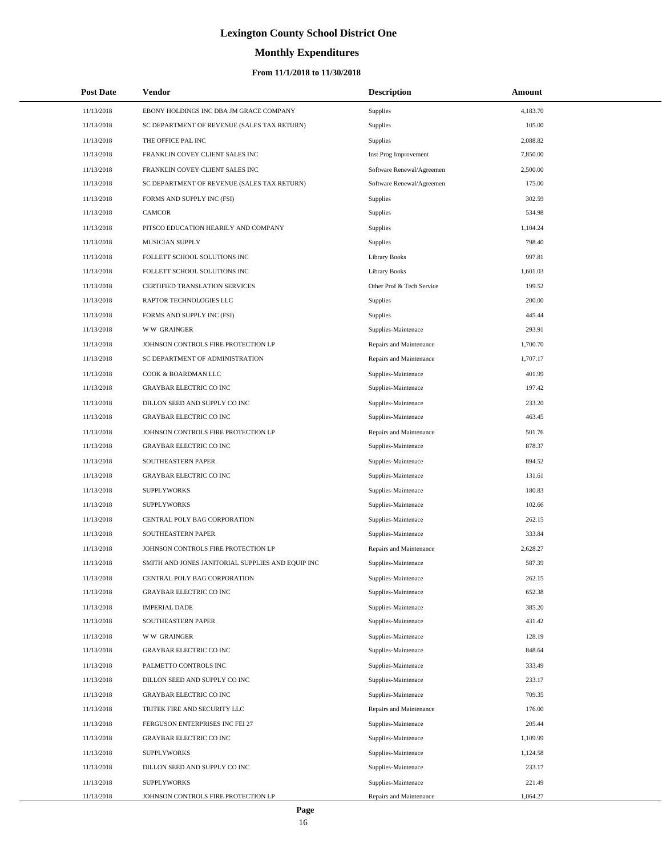# **Monthly Expenditures**

### **From 11/1/2018 to 11/30/2018**

| <b>Post Date</b> | Vendor                                            | <b>Description</b>        | Amount   |  |
|------------------|---------------------------------------------------|---------------------------|----------|--|
| 11/13/2018       | EBONY HOLDINGS INC DBA JM GRACE COMPANY           | Supplies                  | 4,183.70 |  |
| 11/13/2018       | SC DEPARTMENT OF REVENUE (SALES TAX RETURN)       | Supplies                  | 105.00   |  |
| 11/13/2018       | THE OFFICE PAL INC                                | <b>Supplies</b>           | 2,088.82 |  |
| 11/13/2018       | FRANKLIN COVEY CLIENT SALES INC                   | Inst Prog Improvement     | 7,850.00 |  |
| 11/13/2018       | FRANKLIN COVEY CLIENT SALES INC                   | Software Renewal/Agreemen | 2,500.00 |  |
| 11/13/2018       | SC DEPARTMENT OF REVENUE (SALES TAX RETURN)       | Software Renewal/Agreemen | 175.00   |  |
| 11/13/2018       | FORMS AND SUPPLY INC (FSI)                        | <b>Supplies</b>           | 302.59   |  |
| 11/13/2018       | <b>CAMCOR</b>                                     | Supplies                  | 534.98   |  |
| 11/13/2018       | PITSCO EDUCATION HEARILY AND COMPANY              | <b>Supplies</b>           | 1,104.24 |  |
| 11/13/2018       | MUSICIAN SUPPLY                                   | <b>Supplies</b>           | 798.40   |  |
| 11/13/2018       | FOLLETT SCHOOL SOLUTIONS INC                      | <b>Library Books</b>      | 997.81   |  |
| 11/13/2018       | FOLLETT SCHOOL SOLUTIONS INC                      | <b>Library Books</b>      | 1,601.03 |  |
| 11/13/2018       | CERTIFIED TRANSLATION SERVICES                    | Other Prof & Tech Service | 199.52   |  |
| 11/13/2018       | RAPTOR TECHNOLOGIES LLC                           | Supplies                  | 200.00   |  |
| 11/13/2018       | FORMS AND SUPPLY INC (FSI)                        | <b>Supplies</b>           | 445.44   |  |
| 11/13/2018       | W W GRAINGER                                      | Supplies-Maintenace       | 293.91   |  |
| 11/13/2018       | JOHNSON CONTROLS FIRE PROTECTION LP               | Repairs and Maintenance   | 1,700.70 |  |
| 11/13/2018       | SC DEPARTMENT OF ADMINISTRATION                   | Repairs and Maintenance   | 1,707.17 |  |
| 11/13/2018       | COOK & BOARDMAN LLC                               | Supplies-Maintenace       | 401.99   |  |
| 11/13/2018       | <b>GRAYBAR ELECTRIC CO INC</b>                    | Supplies-Maintenace       | 197.42   |  |
| 11/13/2018       | DILLON SEED AND SUPPLY CO INC                     | Supplies-Maintenace       | 233.20   |  |
| 11/13/2018       | <b>GRAYBAR ELECTRIC CO INC</b>                    | Supplies-Maintenace       | 463.45   |  |
| 11/13/2018       | JOHNSON CONTROLS FIRE PROTECTION LP               | Repairs and Maintenance   | 501.76   |  |
| 11/13/2018       | <b>GRAYBAR ELECTRIC CO INC</b>                    | Supplies-Maintenace       | 878.37   |  |
| 11/13/2018       | SOUTHEASTERN PAPER                                | Supplies-Maintenace       | 894.52   |  |
| 11/13/2018       | <b>GRAYBAR ELECTRIC CO INC</b>                    | Supplies-Maintenace       | 131.61   |  |
| 11/13/2018       | <b>SUPPLYWORKS</b>                                | Supplies-Maintenace       | 180.83   |  |
| 11/13/2018       | <b>SUPPLYWORKS</b>                                | Supplies-Maintenace       | 102.66   |  |
| 11/13/2018       | CENTRAL POLY BAG CORPORATION                      | Supplies-Maintenace       | 262.15   |  |
| 11/13/2018       | SOUTHEASTERN PAPER                                | Supplies-Maintenace       | 333.84   |  |
| 11/13/2018       | JOHNSON CONTROLS FIRE PROTECTION LP               | Repairs and Maintenance   | 2,628.27 |  |
| 11/13/2018       | SMITH AND JONES JANITORIAL SUPPLIES AND EQUIP INC | Supplies-Maintenace       | 587.39   |  |
| 11/13/2018       | CENTRAL POLY BAG CORPORATION                      | Supplies-Maintenace       | 262.15   |  |
| 11/13/2018       | <b>GRAYBAR ELECTRIC CO INC</b>                    | Supplies-Maintenace       | 652.38   |  |
| 11/13/2018       | <b>IMPERIAL DADE</b>                              | Supplies-Maintenace       | 385.20   |  |
| 11/13/2018       | SOUTHEASTERN PAPER                                | Supplies-Maintenace       | 431.42   |  |
| 11/13/2018       | <b>WW GRAINGER</b>                                | Supplies-Maintenace       | 128.19   |  |
| 11/13/2018       | GRAYBAR ELECTRIC CO INC                           | Supplies-Maintenace       | 848.64   |  |
| 11/13/2018       | PALMETTO CONTROLS INC                             | Supplies-Maintenace       | 333.49   |  |
| 11/13/2018       | DILLON SEED AND SUPPLY CO INC                     | Supplies-Maintenace       | 233.17   |  |
| 11/13/2018       | <b>GRAYBAR ELECTRIC CO INC</b>                    | Supplies-Maintenace       | 709.35   |  |
| 11/13/2018       | TRITEK FIRE AND SECURITY LLC                      | Repairs and Maintenance   | 176.00   |  |
| 11/13/2018       | FERGUSON ENTERPRISES INC FEI 27                   | Supplies-Maintenace       | 205.44   |  |
| 11/13/2018       | GRAYBAR ELECTRIC CO INC                           | Supplies-Maintenace       | 1,109.99 |  |
| 11/13/2018       | <b>SUPPLYWORKS</b>                                | Supplies-Maintenace       | 1,124.58 |  |
| 11/13/2018       | DILLON SEED AND SUPPLY CO INC                     | Supplies-Maintenace       | 233.17   |  |
| 11/13/2018       | <b>SUPPLYWORKS</b>                                | Supplies-Maintenace       | 221.49   |  |
| 11/13/2018       | JOHNSON CONTROLS FIRE PROTECTION LP               | Repairs and Maintenance   | 1,064.27 |  |

 $\overline{a}$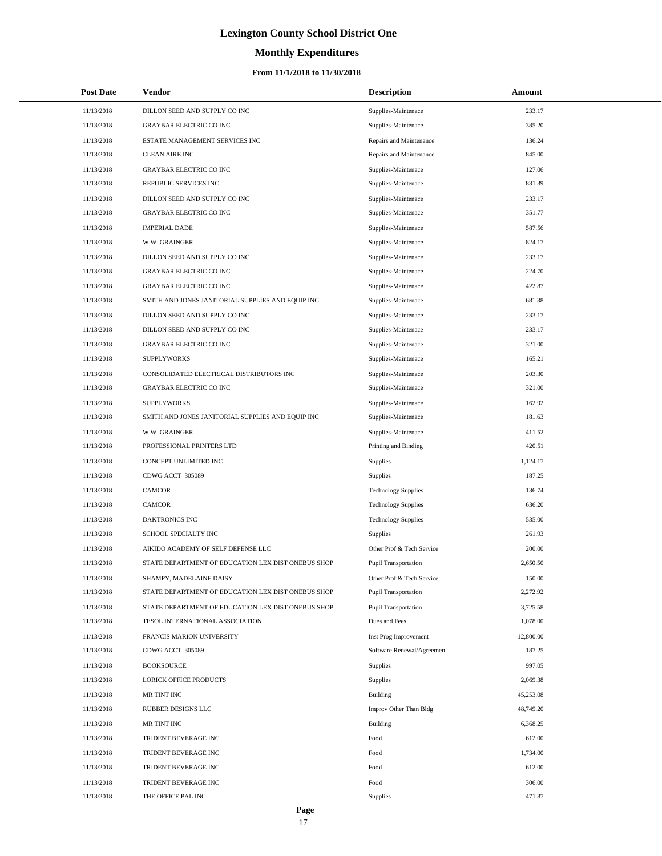# **Monthly Expenditures**

| <b>Post Date</b> | Vendor                                             | <b>Description</b>          | Amount    |
|------------------|----------------------------------------------------|-----------------------------|-----------|
| 11/13/2018       | DILLON SEED AND SUPPLY CO INC                      | Supplies-Maintenace         | 233.17    |
| 11/13/2018       | <b>GRAYBAR ELECTRIC CO INC</b>                     | Supplies-Maintenace         | 385.20    |
| 11/13/2018       | ESTATE MANAGEMENT SERVICES INC                     | Repairs and Maintenance     | 136.24    |
| 11/13/2018       | <b>CLEAN AIRE INC</b>                              | Repairs and Maintenance     | 845.00    |
| 11/13/2018       | <b>GRAYBAR ELECTRIC CO INC</b>                     | Supplies-Maintenace         | 127.06    |
| 11/13/2018       | REPUBLIC SERVICES INC                              | Supplies-Maintenace         | 831.39    |
| 11/13/2018       | DILLON SEED AND SUPPLY CO INC                      | Supplies-Maintenace         | 233.17    |
| 11/13/2018       | <b>GRAYBAR ELECTRIC CO INC</b>                     | Supplies-Maintenace         | 351.77    |
| 11/13/2018       | <b>IMPERIAL DADE</b>                               | Supplies-Maintenace         | 587.56    |
| 11/13/2018       | <b>WW GRAINGER</b>                                 | Supplies-Maintenace         | 824.17    |
| 11/13/2018       | DILLON SEED AND SUPPLY CO INC                      | Supplies-Maintenace         | 233.17    |
| 11/13/2018       | <b>GRAYBAR ELECTRIC CO INC</b>                     | Supplies-Maintenace         | 224.70    |
| 11/13/2018       | <b>GRAYBAR ELECTRIC CO INC</b>                     | Supplies-Maintenace         | 422.87    |
| 11/13/2018       | SMITH AND JONES JANITORIAL SUPPLIES AND EQUIP INC  | Supplies-Maintenace         | 681.38    |
| 11/13/2018       | DILLON SEED AND SUPPLY CO INC                      | Supplies-Maintenace         | 233.17    |
| 11/13/2018       | DILLON SEED AND SUPPLY CO INC                      | Supplies-Maintenace         | 233.17    |
| 11/13/2018       | <b>GRAYBAR ELECTRIC CO INC</b>                     | Supplies-Maintenace         | 321.00    |
| 11/13/2018       | <b>SUPPLYWORKS</b>                                 | Supplies-Maintenace         | 165.21    |
| 11/13/2018       | CONSOLIDATED ELECTRICAL DISTRIBUTORS INC           | Supplies-Maintenace         | 203.30    |
| 11/13/2018       | <b>GRAYBAR ELECTRIC CO INC</b>                     | Supplies-Maintenace         | 321.00    |
| 11/13/2018       | <b>SUPPLYWORKS</b>                                 | Supplies-Maintenace         | 162.92    |
| 11/13/2018       | SMITH AND JONES JANITORIAL SUPPLIES AND EQUIP INC  | Supplies-Maintenace         | 181.63    |
| 11/13/2018       | <b>WW GRAINGER</b>                                 | Supplies-Maintenace         | 411.52    |
| 11/13/2018       | PROFESSIONAL PRINTERS LTD                          | Printing and Binding        | 420.51    |
| 11/13/2018       | CONCEPT UNLIMITED INC                              | Supplies                    | 1,124.17  |
| 11/13/2018       | CDWG ACCT 305089                                   | Supplies                    | 187.25    |
| 11/13/2018       | CAMCOR                                             | <b>Technology Supplies</b>  | 136.74    |
| 11/13/2018       | <b>CAMCOR</b>                                      | <b>Technology Supplies</b>  | 636.20    |
| 11/13/2018       | DAKTRONICS INC                                     | <b>Technology Supplies</b>  | 535.00    |
| 11/13/2018       | SCHOOL SPECIALTY INC                               | Supplies                    | 261.93    |
| 11/13/2018       | AIKIDO ACADEMY OF SELF DEFENSE LLC                 | Other Prof & Tech Service   | 200.00    |
| 11/13/2018       | STATE DEPARTMENT OF EDUCATION LEX DIST ONEBUS SHOP | <b>Pupil Transportation</b> | 2,650.50  |
| 11/13/2018       | SHAMPY, MADELAINE DAISY                            | Other Prof & Tech Service   | 150.00    |
| 11/13/2018       | STATE DEPARTMENT OF EDUCATION LEX DIST ONEBUS SHOP | Pupil Transportation        | 2,272.92  |
| 11/13/2018       | STATE DEPARTMENT OF EDUCATION LEX DIST ONEBUS SHOP | <b>Pupil Transportation</b> | 3,725.58  |
| 11/13/2018       | TESOL INTERNATIONAL ASSOCIATION                    | Dues and Fees               | 1,078.00  |
| 11/13/2018       | FRANCIS MARION UNIVERSITY                          | Inst Prog Improvement       | 12,800.00 |
| 11/13/2018       | CDWG ACCT 305089                                   | Software Renewal/Agreemen   | 187.25    |
| 11/13/2018       | <b>BOOKSOURCE</b>                                  | Supplies                    | 997.05    |
| 11/13/2018       | <b>LORICK OFFICE PRODUCTS</b>                      | Supplies                    | 2,069.38  |
| 11/13/2018       | MR TINT INC                                        | <b>Building</b>             | 45,253.08 |
| 11/13/2018       | <b>RUBBER DESIGNS LLC</b>                          | Improv Other Than Bldg      | 48,749.20 |
| 11/13/2018       | MR TINT INC                                        | <b>Building</b>             | 6,368.25  |
| 11/13/2018       | TRIDENT BEVERAGE INC                               | Food                        | 612.00    |
| 11/13/2018       | TRIDENT BEVERAGE INC                               | Food                        | 1,734.00  |
| 11/13/2018       | TRIDENT BEVERAGE INC                               | Food                        | 612.00    |
| 11/13/2018       | TRIDENT BEVERAGE INC                               | Food                        | 306.00    |
| 11/13/2018       | THE OFFICE PAL INC                                 | Supplies                    | 471.87    |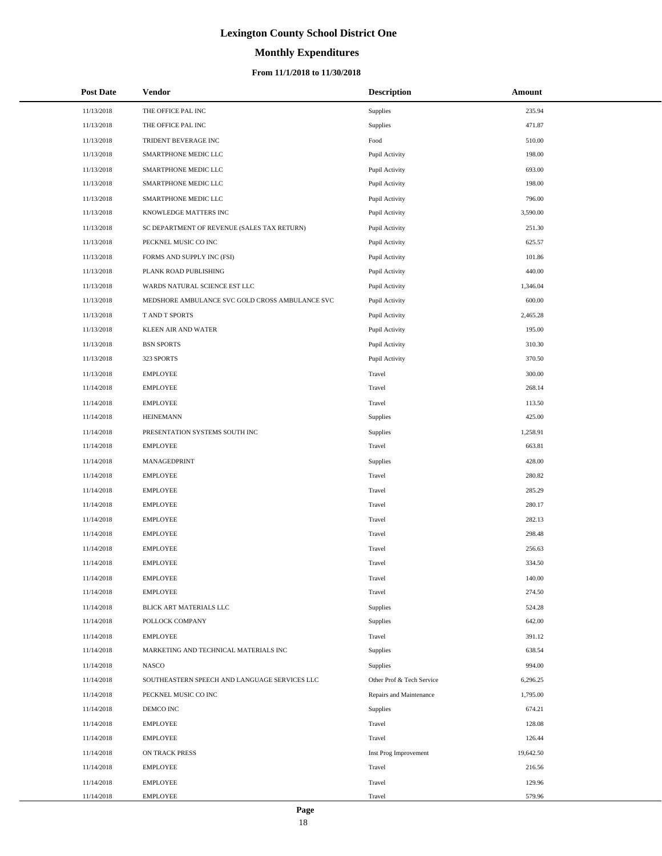# **Monthly Expenditures**

### **From 11/1/2018 to 11/30/2018**

| <b>Post Date</b> | Vendor                                          | <b>Description</b>        | <b>Amount</b> |
|------------------|-------------------------------------------------|---------------------------|---------------|
| 11/13/2018       | THE OFFICE PAL INC                              | Supplies                  | 235.94        |
| 11/13/2018       | THE OFFICE PAL INC                              | Supplies                  | 471.87        |
| 11/13/2018       | TRIDENT BEVERAGE INC                            | $\operatorname*{Food}$    | 510.00        |
| 11/13/2018       | SMARTPHONE MEDIC LLC                            | Pupil Activity            | 198.00        |
| 11/13/2018       | SMARTPHONE MEDIC LLC                            | Pupil Activity            | 693.00        |
| 11/13/2018       | SMARTPHONE MEDIC LLC                            | Pupil Activity            | 198.00        |
| 11/13/2018       | SMARTPHONE MEDIC LLC                            | Pupil Activity            | 796.00        |
| 11/13/2018       | KNOWLEDGE MATTERS INC                           | Pupil Activity            | 3,590.00      |
| 11/13/2018       | SC DEPARTMENT OF REVENUE (SALES TAX RETURN)     | Pupil Activity            | 251.30        |
| 11/13/2018       | PECKNEL MUSIC CO INC                            | Pupil Activity            | 625.57        |
| 11/13/2018       | FORMS AND SUPPLY INC (FSI)                      | Pupil Activity            | 101.86        |
| 11/13/2018       | PLANK ROAD PUBLISHING                           | Pupil Activity            | 440.00        |
| 11/13/2018       | WARDS NATURAL SCIENCE EST LLC                   | Pupil Activity            | 1,346.04      |
| 11/13/2018       | MEDSHORE AMBULANCE SVC GOLD CROSS AMBULANCE SVC | Pupil Activity            | 600.00        |
| 11/13/2018       | T AND T SPORTS                                  | Pupil Activity            | 2,465.28      |
| 11/13/2018       | <b>KLEEN AIR AND WATER</b>                      | Pupil Activity            | 195.00        |
| 11/13/2018       | <b>BSN SPORTS</b>                               | Pupil Activity            | 310.30        |
| 11/13/2018       | 323 SPORTS                                      | Pupil Activity            | 370.50        |
| 11/13/2018       | <b>EMPLOYEE</b>                                 | Travel                    | 300.00        |
| 11/14/2018       | <b>EMPLOYEE</b>                                 | Travel                    | 268.14        |
| 11/14/2018       | <b>EMPLOYEE</b>                                 | Travel                    | 113.50        |
| 11/14/2018       | <b>HEINEMANN</b>                                | Supplies                  | 425.00        |
| 11/14/2018       | PRESENTATION SYSTEMS SOUTH INC                  | Supplies                  | 1,258.91      |
| 11/14/2018       | <b>EMPLOYEE</b>                                 | Travel                    | 663.81        |
| 11/14/2018       | MANAGEDPRINT                                    | Supplies                  | 428.00        |
| 11/14/2018       | <b>EMPLOYEE</b>                                 | Travel                    | 280.82        |
| 11/14/2018       | <b>EMPLOYEE</b>                                 | Travel                    | 285.29        |
| 11/14/2018       | <b>EMPLOYEE</b>                                 | Travel                    | 280.17        |
| 11/14/2018       | <b>EMPLOYEE</b>                                 | Travel                    | 282.13        |
| 11/14/2018       | <b>EMPLOYEE</b>                                 | Travel                    | 298.48        |
| 11/14/2018       | <b>EMPLOYEE</b>                                 | Travel                    | 256.63        |
| 11/14/2018       | <b>EMPLOYEE</b>                                 | Travel                    | 334.50        |
| 11/14/2018       | <b>EMPLOYEE</b>                                 | Travel                    | 140.00        |
| 11/14/2018       | <b>EMPLOYEE</b>                                 | Travel                    | 274.50        |
| 11/14/2018       | BLICK ART MATERIALS LLC                         | Supplies                  | 524.28        |
| 11/14/2018       | POLLOCK COMPANY                                 | Supplies                  | 642.00        |
| 11/14/2018       | <b>EMPLOYEE</b>                                 | Travel                    | 391.12        |
| 11/14/2018       | MARKETING AND TECHNICAL MATERIALS INC           | Supplies                  | 638.54        |
| 11/14/2018       | NASCO                                           | Supplies                  | 994.00        |
| 11/14/2018       | SOUTHEASTERN SPEECH AND LANGUAGE SERVICES LLC   | Other Prof & Tech Service | 6,296.25      |
| 11/14/2018       | PECKNEL MUSIC CO INC                            | Repairs and Maintenance   | 1,795.00      |
| 11/14/2018       | DEMCO INC                                       | Supplies                  | 674.21        |
| 11/14/2018       | EMPLOYEE                                        | Travel                    | 128.08        |
| 11/14/2018       | <b>EMPLOYEE</b>                                 | Travel                    | 126.44        |
| 11/14/2018       | ON TRACK PRESS                                  | Inst Prog Improvement     | 19,642.50     |
| 11/14/2018       | <b>EMPLOYEE</b>                                 | Travel                    | 216.56        |
| 11/14/2018       | <b>EMPLOYEE</b>                                 | Travel                    | 129.96        |
| 11/14/2018       | EMPLOYEE                                        | Travel                    | 579.96        |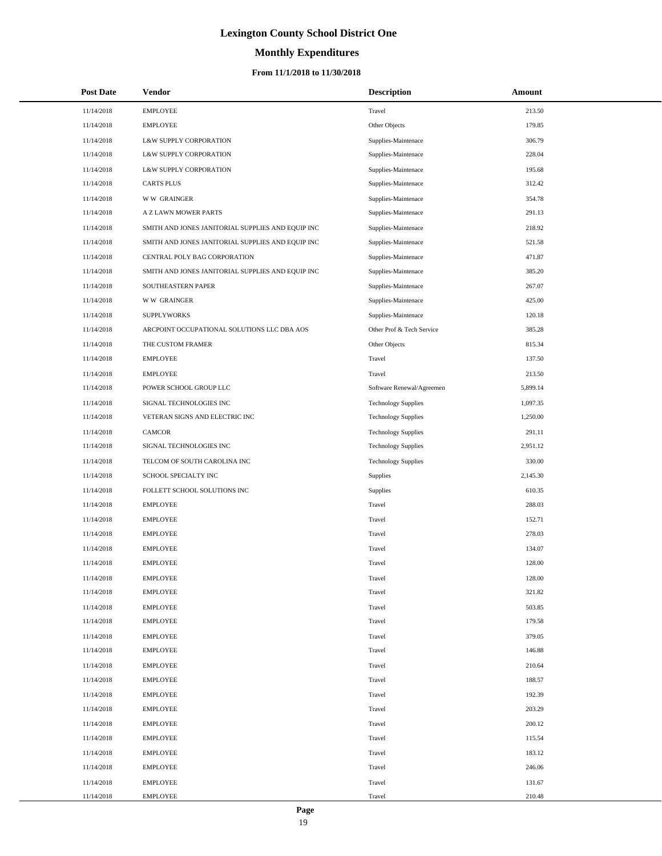# **Monthly Expenditures**

### **From 11/1/2018 to 11/30/2018**

| <b>Post Date</b> | <b>Vendor</b>                                     | <b>Description</b>         | Amount   |
|------------------|---------------------------------------------------|----------------------------|----------|
| 11/14/2018       | <b>EMPLOYEE</b>                                   | Travel                     | 213.50   |
| 11/14/2018       | <b>EMPLOYEE</b>                                   | Other Objects              | 179.85   |
| 11/14/2018       | L&W SUPPLY CORPORATION                            | Supplies-Maintenace        | 306.79   |
| 11/14/2018       | L&W SUPPLY CORPORATION                            | Supplies-Maintenace        | 228.04   |
| 11/14/2018       | L&W SUPPLY CORPORATION                            | Supplies-Maintenace        | 195.68   |
| 11/14/2018       | <b>CARTS PLUS</b>                                 | Supplies-Maintenace        | 312.42   |
| 11/14/2018       | <b>WW GRAINGER</b>                                | Supplies-Maintenace        | 354.78   |
| 11/14/2018       | A Z LAWN MOWER PARTS                              | Supplies-Maintenace        | 291.13   |
| 11/14/2018       | SMITH AND JONES JANITORIAL SUPPLIES AND EQUIP INC | Supplies-Maintenace        | 218.92   |
| 11/14/2018       | SMITH AND JONES JANITORIAL SUPPLIES AND EQUIP INC | Supplies-Maintenace        | 521.58   |
| 11/14/2018       | CENTRAL POLY BAG CORPORATION                      | Supplies-Maintenace        | 471.87   |
| 11/14/2018       | SMITH AND JONES JANITORIAL SUPPLIES AND EQUIP INC | Supplies-Maintenace        | 385.20   |
| 11/14/2018       | SOUTHEASTERN PAPER                                | Supplies-Maintenace        | 267.07   |
| 11/14/2018       | <b>WW GRAINGER</b>                                | Supplies-Maintenace        | 425.00   |
| 11/14/2018       | <b>SUPPLYWORKS</b>                                | Supplies-Maintenace        | 120.18   |
| 11/14/2018       | ARCPOINT OCCUPATIONAL SOLUTIONS LLC DBA AOS       | Other Prof & Tech Service  | 385.28   |
| 11/14/2018       | THE CUSTOM FRAMER                                 | Other Objects              | 815.34   |
| 11/14/2018       | <b>EMPLOYEE</b>                                   | Travel                     | 137.50   |
| 11/14/2018       | <b>EMPLOYEE</b>                                   | Travel                     | 213.50   |
| 11/14/2018       | POWER SCHOOL GROUP LLC                            | Software Renewal/Agreemen  | 5,899.14 |
| 11/14/2018       | SIGNAL TECHNOLOGIES INC                           | <b>Technology Supplies</b> | 1,097.35 |
| 11/14/2018       | VETERAN SIGNS AND ELECTRIC INC                    | <b>Technology Supplies</b> | 1,250.00 |
| 11/14/2018       | <b>CAMCOR</b>                                     | <b>Technology Supplies</b> | 291.11   |
| 11/14/2018       | SIGNAL TECHNOLOGIES INC                           | <b>Technology Supplies</b> | 2,951.12 |
| 11/14/2018       | TELCOM OF SOUTH CAROLINA INC                      | <b>Technology Supplies</b> | 330.00   |
| 11/14/2018       | SCHOOL SPECIALTY INC                              | Supplies                   | 2,145.30 |
| 11/14/2018       | FOLLETT SCHOOL SOLUTIONS INC                      | Supplies                   | 610.35   |
| 11/14/2018       | <b>EMPLOYEE</b>                                   | Travel                     | 288.03   |
| 11/14/2018       | <b>EMPLOYEE</b>                                   | Travel                     | 152.71   |
| 11/14/2018       | <b>EMPLOYEE</b>                                   | Travel                     | 278.03   |
| 11/14/2018       | <b>EMPLOYEE</b>                                   | Travel                     | 134.07   |
| 11/14/2018       | <b>EMPLOYEE</b>                                   | Travel                     | 128.00   |
| 11/14/2018       | <b>EMPLOYEE</b>                                   | Travel                     | 128.00   |
| 11/14/2018       | <b>EMPLOYEE</b>                                   | Travel                     | 321.82   |
| 11/14/2018       | <b>EMPLOYEE</b>                                   | Travel                     | 503.85   |
| 11/14/2018       | <b>EMPLOYEE</b>                                   | Travel                     | 179.58   |
| 11/14/2018       | <b>EMPLOYEE</b>                                   | Travel                     | 379.05   |
| 11/14/2018       | <b>EMPLOYEE</b>                                   | Travel                     | 146.88   |
| 11/14/2018       | <b>EMPLOYEE</b>                                   | Travel                     | 210.64   |
| 11/14/2018       | <b>EMPLOYEE</b>                                   | Travel                     | 188.57   |
| 11/14/2018       | <b>EMPLOYEE</b>                                   | Travel                     | 192.39   |
| 11/14/2018       | <b>EMPLOYEE</b>                                   | Travel                     | 203.29   |
| 11/14/2018       | <b>EMPLOYEE</b>                                   | Travel                     | 200.12   |
| 11/14/2018       | <b>EMPLOYEE</b>                                   | Travel                     | 115.54   |
| 11/14/2018       | <b>EMPLOYEE</b>                                   | Travel                     | 183.12   |
| 11/14/2018       | <b>EMPLOYEE</b>                                   | Travel                     | 246.06   |
| 11/14/2018       | <b>EMPLOYEE</b>                                   | Travel                     | 131.67   |
| 11/14/2018       | <b>EMPLOYEE</b>                                   | Travel                     | 210.48   |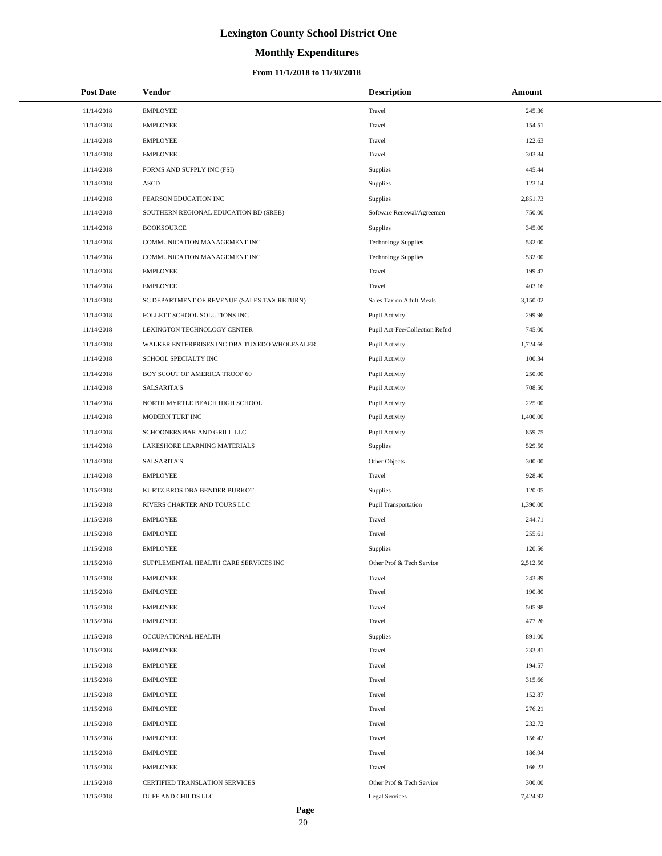# **Monthly Expenditures**

### **From 11/1/2018 to 11/30/2018**

| <b>Post Date</b> | <b>Vendor</b>                                | <b>Description</b>             | Amount   |
|------------------|----------------------------------------------|--------------------------------|----------|
| 11/14/2018       | <b>EMPLOYEE</b>                              | Travel                         | 245.36   |
| 11/14/2018       | <b>EMPLOYEE</b>                              | Travel                         | 154.51   |
| 11/14/2018       | <b>EMPLOYEE</b>                              | Travel                         | 122.63   |
| 11/14/2018       | <b>EMPLOYEE</b>                              | Travel                         | 303.84   |
| 11/14/2018       | FORMS AND SUPPLY INC (FSI)                   | Supplies                       | 445.44   |
| 11/14/2018       | <b>ASCD</b>                                  | Supplies                       | 123.14   |
| 11/14/2018       | PEARSON EDUCATION INC                        | Supplies                       | 2,851.73 |
| 11/14/2018       | SOUTHERN REGIONAL EDUCATION BD (SREB)        | Software Renewal/Agreemen      | 750.00   |
| 11/14/2018       | <b>BOOKSOURCE</b>                            | Supplies                       | 345.00   |
| 11/14/2018       | COMMUNICATION MANAGEMENT INC                 | <b>Technology Supplies</b>     | 532.00   |
| 11/14/2018       | COMMUNICATION MANAGEMENT INC                 | <b>Technology Supplies</b>     | 532.00   |
| 11/14/2018       | <b>EMPLOYEE</b>                              | Travel                         | 199.47   |
| 11/14/2018       | <b>EMPLOYEE</b>                              | Travel                         | 403.16   |
| 11/14/2018       | SC DEPARTMENT OF REVENUE (SALES TAX RETURN)  | Sales Tax on Adult Meals       | 3,150.02 |
| 11/14/2018       | FOLLETT SCHOOL SOLUTIONS INC                 | Pupil Activity                 | 299.96   |
| 11/14/2018       | LEXINGTON TECHNOLOGY CENTER                  | Pupil Act-Fee/Collection Refnd | 745.00   |
| 11/14/2018       | WALKER ENTERPRISES INC DBA TUXEDO WHOLESALER | Pupil Activity                 | 1,724.66 |
| 11/14/2018       | SCHOOL SPECIALTY INC                         | Pupil Activity                 | 100.34   |
| 11/14/2018       | BOY SCOUT OF AMERICA TROOP 60                | Pupil Activity                 | 250.00   |
| 11/14/2018       | <b>SALSARITA'S</b>                           | Pupil Activity                 | 708.50   |
| 11/14/2018       | NORTH MYRTLE BEACH HIGH SCHOOL               | Pupil Activity                 | 225.00   |
| 11/14/2018       | MODERN TURF INC                              | Pupil Activity                 | 1,400.00 |
| 11/14/2018       | SCHOONERS BAR AND GRILL LLC                  | Pupil Activity                 | 859.75   |
| 11/14/2018       | LAKESHORE LEARNING MATERIALS                 | Supplies                       | 529.50   |
| 11/14/2018       | <b>SALSARITA'S</b>                           | Other Objects                  | 300.00   |
| 11/14/2018       | <b>EMPLOYEE</b>                              | Travel                         | 928.40   |
| 11/15/2018       | KURTZ BROS DBA BENDER BURKOT                 | Supplies                       | 120.05   |
| 11/15/2018       | RIVERS CHARTER AND TOURS LLC                 | Pupil Transportation           | 1,390.00 |
| 11/15/2018       | <b>EMPLOYEE</b>                              | Travel                         | 244.71   |
| 11/15/2018       | <b>EMPLOYEE</b>                              | Travel                         | 255.61   |
| 11/15/2018       | <b>EMPLOYEE</b>                              | <b>Supplies</b>                | 120.56   |
| 11/15/2018       | SUPPLEMENTAL HEALTH CARE SERVICES INC        | Other Prof & Tech Service      | 2,512.50 |
| 11/15/2018       | <b>EMPLOYEE</b>                              | Travel                         | 243.89   |
| 11/15/2018       | <b>EMPLOYEE</b>                              | Travel                         | 190.80   |
| 11/15/2018       | <b>EMPLOYEE</b>                              | Travel                         | 505.98   |
| 11/15/2018       | <b>EMPLOYEE</b>                              | Travel                         | 477.26   |
| 11/15/2018       | OCCUPATIONAL HEALTH                          | Supplies                       | 891.00   |
| 11/15/2018       | <b>EMPLOYEE</b>                              | Travel                         | 233.81   |
| 11/15/2018       | <b>EMPLOYEE</b>                              | Travel                         | 194.57   |
| 11/15/2018       | <b>EMPLOYEE</b>                              | Travel                         | 315.66   |
| 11/15/2018       | <b>EMPLOYEE</b>                              | Travel                         | 152.87   |
| 11/15/2018       | <b>EMPLOYEE</b>                              | Travel                         | 276.21   |
| 11/15/2018       | <b>EMPLOYEE</b>                              | Travel                         | 232.72   |
| 11/15/2018       | <b>EMPLOYEE</b>                              | Travel                         | 156.42   |
| 11/15/2018       | <b>EMPLOYEE</b>                              | Travel                         | 186.94   |
| 11/15/2018       | <b>EMPLOYEE</b>                              | Travel                         | 166.23   |
| 11/15/2018       | CERTIFIED TRANSLATION SERVICES               | Other Prof & Tech Service      | 300.00   |
| 11/15/2018       | DUFF AND CHILDS LLC                          | <b>Legal Services</b>          | 7,424.92 |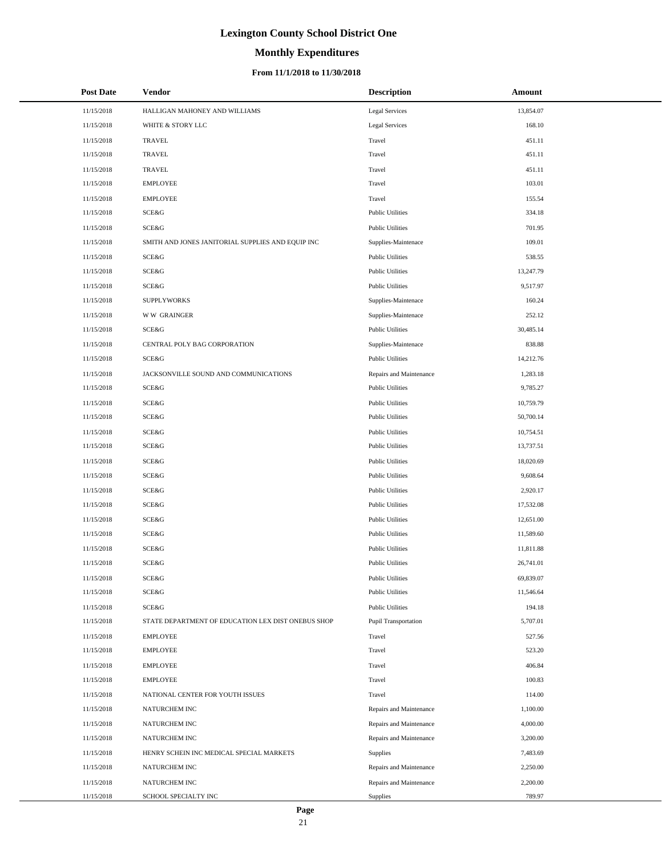# **Monthly Expenditures**

### **From 11/1/2018 to 11/30/2018**

| <b>Post Date</b> | <b>Vendor</b>                                      | <b>Description</b>          | Amount    |
|------------------|----------------------------------------------------|-----------------------------|-----------|
| 11/15/2018       | HALLIGAN MAHONEY AND WILLIAMS                      | <b>Legal Services</b>       | 13,854.07 |
| 11/15/2018       | WHITE & STORY LLC                                  | Legal Services              | 168.10    |
| 11/15/2018       | <b>TRAVEL</b>                                      | Travel                      | 451.11    |
| 11/15/2018       | <b>TRAVEL</b>                                      | Travel                      | 451.11    |
| 11/15/2018       | <b>TRAVEL</b>                                      | Travel                      | 451.11    |
| 11/15/2018       | <b>EMPLOYEE</b>                                    | Travel                      | 103.01    |
| 11/15/2018       | <b>EMPLOYEE</b>                                    | Travel                      | 155.54    |
| 11/15/2018       | SCE&G                                              | <b>Public Utilities</b>     | 334.18    |
| 11/15/2018       | SCE&G                                              | <b>Public Utilities</b>     | 701.95    |
| 11/15/2018       | SMITH AND JONES JANITORIAL SUPPLIES AND EQUIP INC  | Supplies-Maintenace         | 109.01    |
| 11/15/2018       | SCE&G                                              | <b>Public Utilities</b>     | 538.55    |
| 11/15/2018       | SCE&G                                              | <b>Public Utilities</b>     | 13,247.79 |
| 11/15/2018       | SCE&G                                              | <b>Public Utilities</b>     | 9,517.97  |
| 11/15/2018       | <b>SUPPLYWORKS</b>                                 | Supplies-Maintenace         | 160.24    |
| 11/15/2018       | <b>WW GRAINGER</b>                                 | Supplies-Maintenace         | 252.12    |
| 11/15/2018       | SCE&G                                              | <b>Public Utilities</b>     | 30,485.14 |
| 11/15/2018       | CENTRAL POLY BAG CORPORATION                       | Supplies-Maintenace         | 838.88    |
| 11/15/2018       | SCE&G                                              | <b>Public Utilities</b>     | 14,212.76 |
| 11/15/2018       | JACKSONVILLE SOUND AND COMMUNICATIONS              | Repairs and Maintenance     | 1,283.18  |
| 11/15/2018       | SCE&G                                              | <b>Public Utilities</b>     | 9,785.27  |
| 11/15/2018       | SCE&G                                              | <b>Public Utilities</b>     | 10,759.79 |
| 11/15/2018       | SCE&G                                              | <b>Public Utilities</b>     | 50,700.14 |
| 11/15/2018       | SCE&G                                              | <b>Public Utilities</b>     | 10,754.51 |
| 11/15/2018       | <b>SCE&amp;G</b>                                   | <b>Public Utilities</b>     | 13,737.51 |
| 11/15/2018       | SCE&G                                              | <b>Public Utilities</b>     | 18,020.69 |
| 11/15/2018       | SCE&G                                              | <b>Public Utilities</b>     | 9,608.64  |
| 11/15/2018       | SCE&G                                              | <b>Public Utilities</b>     | 2,920.17  |
| 11/15/2018       | <b>SCE&amp;G</b>                                   | <b>Public Utilities</b>     | 17,532.08 |
| 11/15/2018       | SCE&G                                              | <b>Public Utilities</b>     | 12,651.00 |
| 11/15/2018       | SCE&G                                              | <b>Public Utilities</b>     | 11,589.60 |
| 11/15/2018       | SCE&G                                              | <b>Public Utilities</b>     | 11,811.88 |
| 11/15/2018       | <b>SCE&amp;G</b>                                   | <b>Public Utilities</b>     | 26,741.01 |
| 11/15/2018       | SCE&G                                              | <b>Public Utilities</b>     | 69,839.07 |
| 11/15/2018       | SCE&G                                              | <b>Public Utilities</b>     | 11,546.64 |
| 11/15/2018       | SCE&G                                              | <b>Public Utilities</b>     | 194.18    |
| 11/15/2018       | STATE DEPARTMENT OF EDUCATION LEX DIST ONEBUS SHOP | <b>Pupil Transportation</b> | 5,707.01  |
| 11/15/2018       | <b>EMPLOYEE</b>                                    | Travel                      | 527.56    |
| 11/15/2018       | <b>EMPLOYEE</b>                                    | Travel                      | 523.20    |
| 11/15/2018       | <b>EMPLOYEE</b>                                    | Travel                      | 406.84    |
| 11/15/2018       | <b>EMPLOYEE</b>                                    | Travel                      | 100.83    |
| 11/15/2018       | NATIONAL CENTER FOR YOUTH ISSUES                   | Travel                      | 114.00    |
| 11/15/2018       | NATURCHEM INC                                      | Repairs and Maintenance     | 1,100.00  |
| 11/15/2018       | NATURCHEM INC                                      | Repairs and Maintenance     | 4,000.00  |
| 11/15/2018       | NATURCHEM INC                                      | Repairs and Maintenance     | 3,200.00  |
| 11/15/2018       | HENRY SCHEIN INC MEDICAL SPECIAL MARKETS           | Supplies                    | 7,483.69  |
| 11/15/2018       | NATURCHEM INC                                      | Repairs and Maintenance     | 2,250.00  |
| 11/15/2018       | NATURCHEM INC                                      | Repairs and Maintenance     | 2,200.00  |
| 11/15/2018       | SCHOOL SPECIALTY INC                               | Supplies                    | 789.97    |

L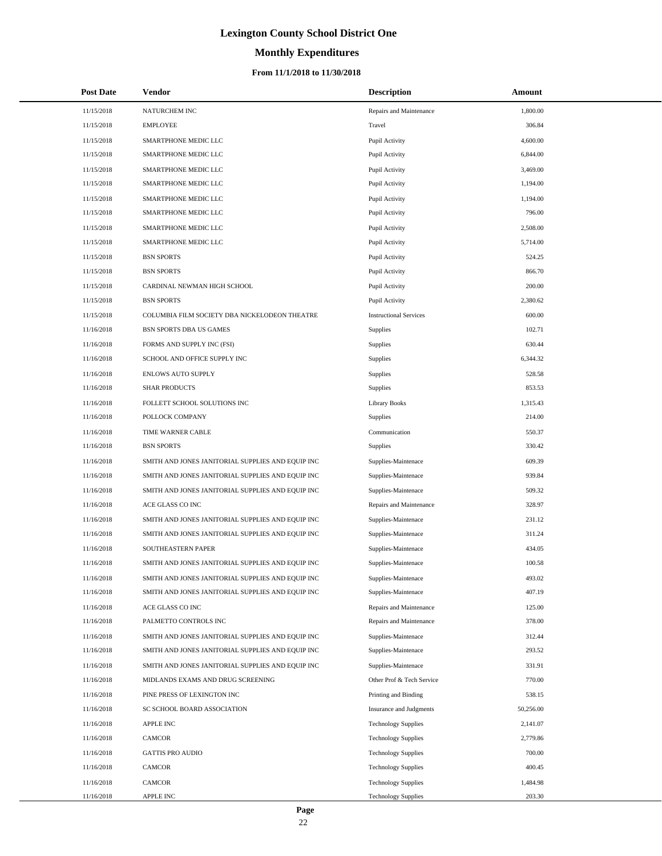# **Monthly Expenditures**

| <b>Post Date</b> | Vendor                                            | <b>Description</b>            | Amount    |
|------------------|---------------------------------------------------|-------------------------------|-----------|
| 11/15/2018       | NATURCHEM INC                                     | Repairs and Maintenance       | 1,800.00  |
| 11/15/2018       | <b>EMPLOYEE</b>                                   | Travel                        | 306.84    |
| 11/15/2018       | SMARTPHONE MEDIC LLC                              | Pupil Activity                | 4,600.00  |
| 11/15/2018       | SMARTPHONE MEDIC LLC                              | Pupil Activity                | 6,844.00  |
| 11/15/2018       | SMARTPHONE MEDIC LLC                              | Pupil Activity                | 3,469.00  |
| 11/15/2018       | SMARTPHONE MEDIC LLC                              | Pupil Activity                | 1,194.00  |
| 11/15/2018       | SMARTPHONE MEDIC LLC                              | Pupil Activity                | 1,194.00  |
| 11/15/2018       | SMARTPHONE MEDIC LLC                              | Pupil Activity                | 796.00    |
| 11/15/2018       | SMARTPHONE MEDIC LLC                              | Pupil Activity                | 2,508.00  |
| 11/15/2018       | SMARTPHONE MEDIC LLC                              | Pupil Activity                | 5,714.00  |
| 11/15/2018       | <b>BSN SPORTS</b>                                 | Pupil Activity                | 524.25    |
| 11/15/2018       | <b>BSN SPORTS</b>                                 | Pupil Activity                | 866.70    |
| 11/15/2018       | CARDINAL NEWMAN HIGH SCHOOL                       | Pupil Activity                | 200.00    |
| 11/15/2018       | <b>BSN SPORTS</b>                                 | Pupil Activity                | 2,380.62  |
| 11/15/2018       | COLUMBIA FILM SOCIETY DBA NICKELODEON THEATRE     | <b>Instructional Services</b> | 600.00    |
| 11/16/2018       | BSN SPORTS DBA US GAMES                           | Supplies                      | 102.71    |
| 11/16/2018       | FORMS AND SUPPLY INC (FSI)                        | <b>Supplies</b>               | 630.44    |
| 11/16/2018       | SCHOOL AND OFFICE SUPPLY INC                      | <b>Supplies</b>               | 6,344.32  |
| 11/16/2018       | <b>ENLOWS AUTO SUPPLY</b>                         | Supplies                      | 528.58    |
| 11/16/2018       | <b>SHAR PRODUCTS</b>                              | Supplies                      | 853.53    |
| 11/16/2018       | FOLLETT SCHOOL SOLUTIONS INC                      | <b>Library Books</b>          | 1,315.43  |
| 11/16/2018       | POLLOCK COMPANY                                   | Supplies                      | 214.00    |
| 11/16/2018       | TIME WARNER CABLE                                 | Communication                 | 550.37    |
| 11/16/2018       | <b>BSN SPORTS</b>                                 | Supplies                      | 330.42    |
| 11/16/2018       | SMITH AND JONES JANITORIAL SUPPLIES AND EQUIP INC | Supplies-Maintenace           | 609.39    |
| 11/16/2018       | SMITH AND JONES JANITORIAL SUPPLIES AND EQUIP INC | Supplies-Maintenace           | 939.84    |
| 11/16/2018       | SMITH AND JONES JANITORIAL SUPPLIES AND EQUIP INC | Supplies-Maintenace           | 509.32    |
| 11/16/2018       | ACE GLASS CO INC                                  | Repairs and Maintenance       | 328.97    |
| 11/16/2018       | SMITH AND JONES JANITORIAL SUPPLIES AND EQUIP INC | Supplies-Maintenace           | 231.12    |
| 11/16/2018       | SMITH AND JONES JANITORIAL SUPPLIES AND EQUIP INC | Supplies-Maintenace           | 311.24    |
| 11/16/2018       | SOUTHEASTERN PAPER                                | Supplies-Maintenace           | 434.05    |
| 11/16/2018       | SMITH AND JONES JANITORIAL SUPPLIES AND EQUIP INC | Supplies-Maintenace           | 100.58    |
| 11/16/2018       | SMITH AND JONES JANITORIAL SUPPLIES AND EQUIP INC | Supplies-Maintenace           | 493.02    |
| 11/16/2018       | SMITH AND JONES JANITORIAL SUPPLIES AND EQUIP INC | Supplies-Maintenace           | 407.19    |
| 11/16/2018       | ACE GLASS CO INC                                  | Repairs and Maintenance       | 125.00    |
| 11/16/2018       | PALMETTO CONTROLS INC                             | Repairs and Maintenance       | 378.00    |
| 11/16/2018       | SMITH AND JONES JANITORIAL SUPPLIES AND EQUIP INC | Supplies-Maintenace           | 312.44    |
| 11/16/2018       | SMITH AND JONES JANITORIAL SUPPLIES AND EQUIP INC | Supplies-Maintenace           | 293.52    |
| 11/16/2018       | SMITH AND JONES JANITORIAL SUPPLIES AND EQUIP INC | Supplies-Maintenace           | 331.91    |
| 11/16/2018       | MIDLANDS EXAMS AND DRUG SCREENING                 | Other Prof & Tech Service     | 770.00    |
| 11/16/2018       | PINE PRESS OF LEXINGTON INC                       | Printing and Binding          | 538.15    |
| 11/16/2018       | SC SCHOOL BOARD ASSOCIATION                       | Insurance and Judgments       | 50,256.00 |
| 11/16/2018       | <b>APPLE INC</b>                                  | <b>Technology Supplies</b>    | 2,141.07  |
| 11/16/2018       | CAMCOR                                            | <b>Technology Supplies</b>    | 2,779.86  |
| 11/16/2018       | <b>GATTIS PRO AUDIO</b>                           | <b>Technology Supplies</b>    | 700.00    |
| 11/16/2018       | CAMCOR                                            | <b>Technology Supplies</b>    | 400.45    |
| 11/16/2018       | CAMCOR                                            | <b>Technology Supplies</b>    | 1,484.98  |
| 11/16/2018       | APPLE INC                                         | <b>Technology Supplies</b>    | 203.30    |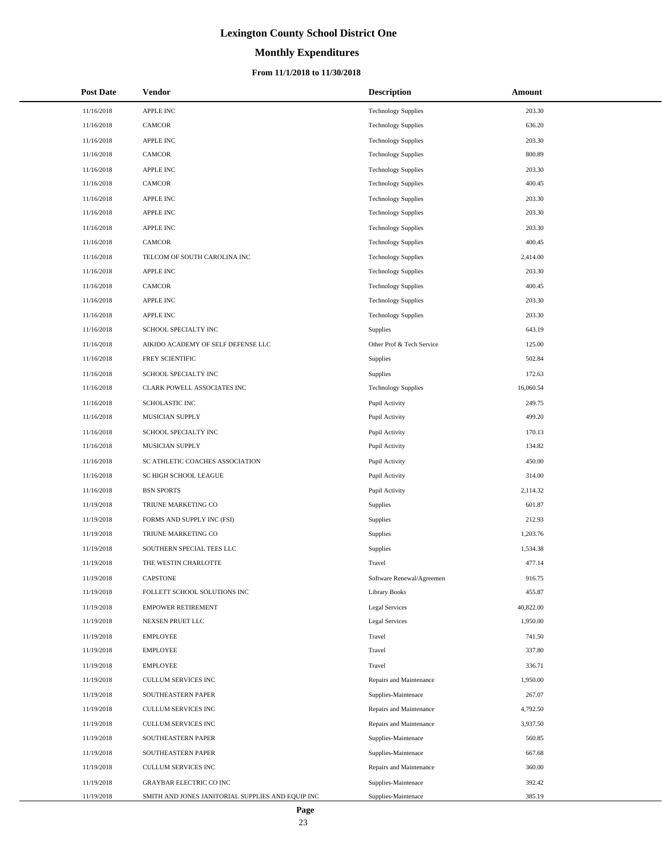# **Monthly Expenditures**

| <b>Post Date</b> | Vendor                                            | <b>Description</b>         | Amount    |
|------------------|---------------------------------------------------|----------------------------|-----------|
| 11/16/2018       | <b>APPLE INC</b>                                  | <b>Technology Supplies</b> | 203.30    |
| 11/16/2018       | CAMCOR                                            | <b>Technology Supplies</b> | 636.20    |
| 11/16/2018       | <b>APPLE INC</b>                                  | <b>Technology Supplies</b> | 203.30    |
| 11/16/2018       | CAMCOR                                            | <b>Technology Supplies</b> | 800.89    |
| 11/16/2018       | <b>APPLE INC</b>                                  | <b>Technology Supplies</b> | 203.30    |
| 11/16/2018       | CAMCOR                                            | <b>Technology Supplies</b> | 400.45    |
| 11/16/2018       | <b>APPLE INC</b>                                  | <b>Technology Supplies</b> | 203.30    |
| 11/16/2018       | APPLE INC                                         | <b>Technology Supplies</b> | 203.30    |
| 11/16/2018       | <b>APPLE INC</b>                                  | <b>Technology Supplies</b> | 203.30    |
| 11/16/2018       | <b>CAMCOR</b>                                     | <b>Technology Supplies</b> | 400.45    |
| 11/16/2018       | TELCOM OF SOUTH CAROLINA INC                      | <b>Technology Supplies</b> | 2,414.00  |
| 11/16/2018       | <b>APPLE INC</b>                                  | <b>Technology Supplies</b> | 203.30    |
| 11/16/2018       | <b>CAMCOR</b>                                     | <b>Technology Supplies</b> | 400.45    |
| 11/16/2018       | <b>APPLE INC</b>                                  | <b>Technology Supplies</b> | 203.30    |
| 11/16/2018       | <b>APPLE INC</b>                                  | <b>Technology Supplies</b> | 203.30    |
| 11/16/2018       | SCHOOL SPECIALTY INC                              | Supplies                   | 643.19    |
| 11/16/2018       | AIKIDO ACADEMY OF SELF DEFENSE LLC                | Other Prof & Tech Service  | 125.00    |
| 11/16/2018       | FREY SCIENTIFIC                                   | Supplies                   | 502.84    |
| 11/16/2018       | SCHOOL SPECIALTY INC                              | Supplies                   | 172.63    |
| 11/16/2018       | CLARK POWELL ASSOCIATES INC                       | <b>Technology Supplies</b> | 16,060.54 |
| 11/16/2018       | SCHOLASTIC INC                                    | Pupil Activity             | 249.75    |
| 11/16/2018       | MUSICIAN SUPPLY                                   | Pupil Activity             | 499.20    |
| 11/16/2018       | SCHOOL SPECIALTY INC                              | Pupil Activity             | 170.13    |
| 11/16/2018       | MUSICIAN SUPPLY                                   | Pupil Activity             | 134.82    |
| 11/16/2018       | SC ATHLETIC COACHES ASSOCIATION                   | Pupil Activity             | 450.00    |
| 11/16/2018       | SC HIGH SCHOOL LEAGUE                             | Pupil Activity             | 314.00    |
| 11/16/2018       | <b>BSN SPORTS</b>                                 | Pupil Activity             | 2,114.32  |
| 11/19/2018       | TRIUNE MARKETING CO                               | Supplies                   | 601.87    |
| 11/19/2018       | FORMS AND SUPPLY INC (FSI)                        | Supplies                   | 212.93    |
| 11/19/2018       | TRIUNE MARKETING CO                               | Supplies                   | 1,203.76  |
| 11/19/2018       | SOUTHERN SPECIAL TEES LLC                         | Supplies                   | 1,534.38  |
| 11/19/2018       | THE WESTIN CHARLOTTE                              | Travel                     | 477.14    |
| 11/19/2018       | <b>CAPSTONE</b>                                   | Software Renewal/Agreemen  | 916.75    |
| 11/19/2018       | FOLLETT SCHOOL SOLUTIONS INC                      | <b>Library Books</b>       | 455.87    |
| 11/19/2018       | <b>EMPOWER RETIREMENT</b>                         | <b>Legal Services</b>      | 40,822.00 |
| 11/19/2018       | NEXSEN PRUET LLC                                  | <b>Legal Services</b>      | 1,950.00  |
| 11/19/2018       | <b>EMPLOYEE</b>                                   | Travel                     | 741.50    |
| 11/19/2018       | <b>EMPLOYEE</b>                                   | Travel                     | 337.80    |
| 11/19/2018       | <b>EMPLOYEE</b>                                   | Travel                     | 336.71    |
| 11/19/2018       | <b>CULLUM SERVICES INC</b>                        | Repairs and Maintenance    | 1,950.00  |
| 11/19/2018       | SOUTHEASTERN PAPER                                | Supplies-Maintenace        | 267.07    |
| 11/19/2018       | CULLUM SERVICES INC                               | Repairs and Maintenance    | 4,792.50  |
| 11/19/2018       | CULLUM SERVICES INC                               | Repairs and Maintenance    | 3,937.50  |
| 11/19/2018       | SOUTHEASTERN PAPER                                | Supplies-Maintenace        | 560.85    |
| 11/19/2018       | SOUTHEASTERN PAPER                                | Supplies-Maintenace        | 667.68    |
| 11/19/2018       | CULLUM SERVICES INC                               | Repairs and Maintenance    | 360.00    |
| 11/19/2018       | <b>GRAYBAR ELECTRIC CO INC</b>                    | Supplies-Maintenace        | 392.42    |
| 11/19/2018       | SMITH AND JONES JANITORIAL SUPPLIES AND EQUIP INC | Supplies-Maintenace        | 385.19    |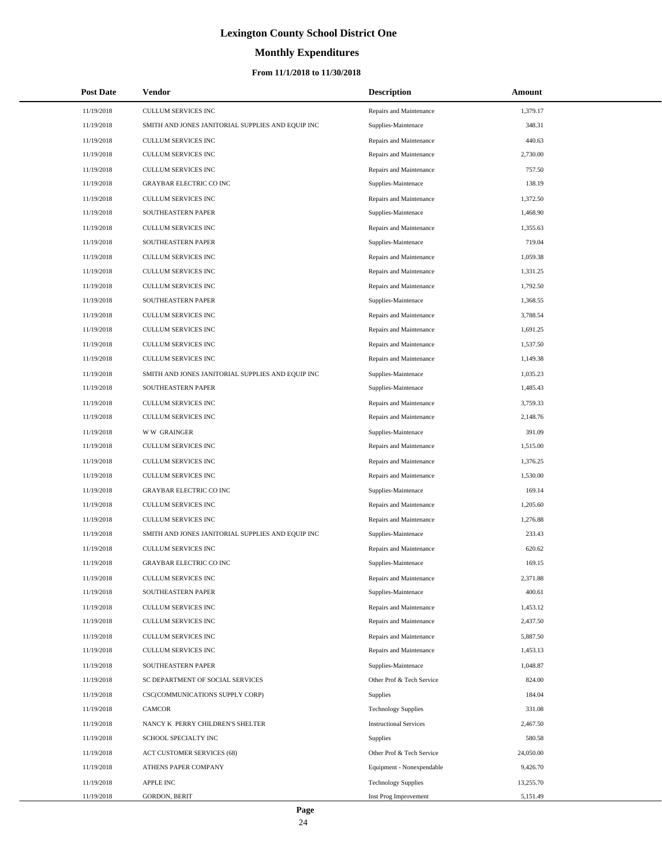# **Monthly Expenditures**

### **From 11/1/2018 to 11/30/2018**

| <b>Post Date</b> | Vendor                                            | <b>Description</b>            | <b>Amount</b> |
|------------------|---------------------------------------------------|-------------------------------|---------------|
| 11/19/2018       | CULLUM SERVICES INC                               | Repairs and Maintenance       | 1,379.17      |
| 11/19/2018       | SMITH AND JONES JANITORIAL SUPPLIES AND EQUIP INC | Supplies-Maintenace           | 348.31        |
| 11/19/2018       | CULLUM SERVICES INC                               | Repairs and Maintenance       | 440.63        |
| 11/19/2018       | <b>CULLUM SERVICES INC</b>                        | Repairs and Maintenance       | 2,730.00      |
| 11/19/2018       | CULLUM SERVICES INC                               | Repairs and Maintenance       | 757.50        |
| 11/19/2018       | <b>GRAYBAR ELECTRIC CO INC</b>                    | Supplies-Maintenace           | 138.19        |
| 11/19/2018       | CULLUM SERVICES INC                               | Repairs and Maintenance       | 1,372.50      |
| 11/19/2018       | SOUTHEASTERN PAPER                                | Supplies-Maintenace           | 1,468.90      |
| 11/19/2018       | CULLUM SERVICES INC                               | Repairs and Maintenance       | 1,355.63      |
| 11/19/2018       | SOUTHEASTERN PAPER                                | Supplies-Maintenace           | 719.04        |
| 11/19/2018       | CULLUM SERVICES INC                               | Repairs and Maintenance       | 1,059.38      |
| 11/19/2018       | CULLUM SERVICES INC                               | Repairs and Maintenance       | 1,331.25      |
| 11/19/2018       | CULLUM SERVICES INC                               | Repairs and Maintenance       | 1,792.50      |
| 11/19/2018       | SOUTHEASTERN PAPER                                | Supplies-Maintenace           | 1,368.55      |
| 11/19/2018       | CULLUM SERVICES INC                               | Repairs and Maintenance       | 3,788.54      |
| 11/19/2018       | CULLUM SERVICES INC                               | Repairs and Maintenance       | 1,691.25      |
| 11/19/2018       | CULLUM SERVICES INC                               | Repairs and Maintenance       | 1,537.50      |
| 11/19/2018       | CULLUM SERVICES INC                               | Repairs and Maintenance       | 1,149.38      |
| 11/19/2018       | SMITH AND JONES JANITORIAL SUPPLIES AND EQUIP INC | Supplies-Maintenace           | 1,035.23      |
| 11/19/2018       | SOUTHEASTERN PAPER                                | Supplies-Maintenace           | 1,485.43      |
| 11/19/2018       | CULLUM SERVICES INC                               | Repairs and Maintenance       | 3,759.33      |
| 11/19/2018       | CULLUM SERVICES INC                               | Repairs and Maintenance       | 2,148.76      |
| 11/19/2018       | <b>WW GRAINGER</b>                                | Supplies-Maintenace           | 391.09        |
| 11/19/2018       | CULLUM SERVICES INC                               | Repairs and Maintenance       | 1,515.00      |
| 11/19/2018       | CULLUM SERVICES INC                               | Repairs and Maintenance       | 1,376.25      |
| 11/19/2018       | CULLUM SERVICES INC                               | Repairs and Maintenance       | 1,530.00      |
| 11/19/2018       | <b>GRAYBAR ELECTRIC CO INC</b>                    | Supplies-Maintenace           | 169.14        |
| 11/19/2018       | CULLUM SERVICES INC                               | Repairs and Maintenance       | 1,205.60      |
| 11/19/2018       | <b>CULLUM SERVICES INC</b>                        | Repairs and Maintenance       | 1,276.88      |
| 11/19/2018       | SMITH AND JONES JANITORIAL SUPPLIES AND EQUIP INC | Supplies-Maintenace           | 233.43        |
| 11/19/2018       | <b>CULLUM SERVICES INC</b>                        | Repairs and Maintenance       | 620.62        |
| 11/19/2018       | <b>GRAYBAR ELECTRIC CO INC</b>                    | Supplies-Maintenace           | 169.15        |
| 11/19/2018       | CULLUM SERVICES INC                               | Repairs and Maintenance       | 2,371.88      |
| 11/19/2018       | SOUTHEASTERN PAPER                                | Supplies-Maintenace           | 400.61        |
| 11/19/2018       | CULLUM SERVICES INC                               | Repairs and Maintenance       | 1,453.12      |
| 11/19/2018       | CULLUM SERVICES INC                               | Repairs and Maintenance       | 2,437.50      |
| 11/19/2018       | CULLUM SERVICES INC                               | Repairs and Maintenance       | 5,887.50      |
| 11/19/2018       | CULLUM SERVICES INC                               | Repairs and Maintenance       | 1,453.13      |
| 11/19/2018       | SOUTHEASTERN PAPER                                | Supplies-Maintenace           | 1,048.87      |
| 11/19/2018       | SC DEPARTMENT OF SOCIAL SERVICES                  | Other Prof & Tech Service     | 824.00        |
| 11/19/2018       | CSC(COMMUNICATIONS SUPPLY CORP)                   | <b>Supplies</b>               | 184.04        |
| 11/19/2018       | CAMCOR                                            | <b>Technology Supplies</b>    | 331.08        |
| 11/19/2018       | NANCY K PERRY CHILDREN'S SHELTER                  | <b>Instructional Services</b> | 2,467.50      |
| 11/19/2018       | SCHOOL SPECIALTY INC                              | Supplies                      | 580.58        |
| 11/19/2018       | ACT CUSTOMER SERVICES (68)                        | Other Prof & Tech Service     | 24,050.00     |
| 11/19/2018       | ATHENS PAPER COMPANY                              | Equipment - Nonexpendable     | 9,426.70      |
| 11/19/2018       | APPLE INC                                         | <b>Technology Supplies</b>    | 13,255.70     |
| 11/19/2018       | GORDON, BERIT                                     | Inst Prog Improvement         | 5,151.49      |

 $\overline{a}$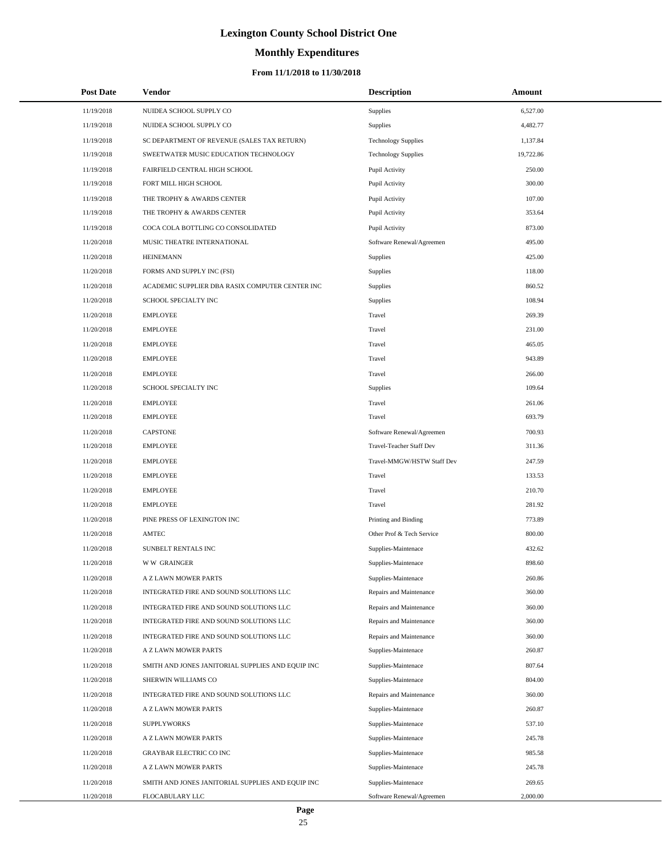# **Monthly Expenditures**

### **From 11/1/2018 to 11/30/2018**

| <b>Post Date</b> | Vendor                                            | <b>Description</b>         | Amount    |
|------------------|---------------------------------------------------|----------------------------|-----------|
| 11/19/2018       | NUIDEA SCHOOL SUPPLY CO                           | Supplies                   | 6,527.00  |
| 11/19/2018       | NUIDEA SCHOOL SUPPLY CO                           | Supplies                   | 4,482.77  |
| 11/19/2018       | SC DEPARTMENT OF REVENUE (SALES TAX RETURN)       | <b>Technology Supplies</b> | 1,137.84  |
| 11/19/2018       | SWEETWATER MUSIC EDUCATION TECHNOLOGY             | <b>Technology Supplies</b> | 19,722.86 |
| 11/19/2018       | FAIRFIELD CENTRAL HIGH SCHOOL                     | Pupil Activity             | 250.00    |
| 11/19/2018       | FORT MILL HIGH SCHOOL                             | Pupil Activity             | 300.00    |
| 11/19/2018       | THE TROPHY & AWARDS CENTER                        | Pupil Activity             | 107.00    |
| 11/19/2018       | THE TROPHY & AWARDS CENTER                        | Pupil Activity             | 353.64    |
| 11/19/2018       | COCA COLA BOTTLING CO CONSOLIDATED                | Pupil Activity             | 873.00    |
| 11/20/2018       | MUSIC THEATRE INTERNATIONAL                       | Software Renewal/Agreemen  | 495.00    |
| 11/20/2018       | <b>HEINEMANN</b>                                  | Supplies                   | 425.00    |
| 11/20/2018       | FORMS AND SUPPLY INC (FSI)                        | Supplies                   | 118.00    |
| 11/20/2018       | ACADEMIC SUPPLIER DBA RASIX COMPUTER CENTER INC   | Supplies                   | 860.52    |
| 11/20/2018       | SCHOOL SPECIALTY INC                              | Supplies                   | 108.94    |
| 11/20/2018       | <b>EMPLOYEE</b>                                   | Travel                     | 269.39    |
| 11/20/2018       | <b>EMPLOYEE</b>                                   | Travel                     | 231.00    |
| 11/20/2018       | <b>EMPLOYEE</b>                                   | Travel                     | 465.05    |
| 11/20/2018       | <b>EMPLOYEE</b>                                   | Travel                     | 943.89    |
| 11/20/2018       | <b>EMPLOYEE</b>                                   | Travel                     | 266.00    |
| 11/20/2018       | SCHOOL SPECIALTY INC                              | Supplies                   | 109.64    |
| 11/20/2018       | <b>EMPLOYEE</b>                                   | Travel                     | 261.06    |
| 11/20/2018       | <b>EMPLOYEE</b>                                   | Travel                     | 693.79    |
| 11/20/2018       | <b>CAPSTONE</b>                                   | Software Renewal/Agreemen  | 700.93    |
| 11/20/2018       | <b>EMPLOYEE</b>                                   | Travel-Teacher Staff Dev   | 311.36    |
| 11/20/2018       | <b>EMPLOYEE</b>                                   | Travel-MMGW/HSTW Staff Dev | 247.59    |
| 11/20/2018       | <b>EMPLOYEE</b>                                   | Travel                     | 133.53    |
| 11/20/2018       | <b>EMPLOYEE</b>                                   | Travel                     | 210.70    |
| 11/20/2018       | <b>EMPLOYEE</b>                                   | Travel                     | 281.92    |
| 11/20/2018       | PINE PRESS OF LEXINGTON INC                       | Printing and Binding       | 773.89    |
| 11/20/2018       | AMTEC                                             | Other Prof & Tech Service  | 800.00    |
| 11/20/2018       | SUNBELT RENTALS INC                               | Supplies-Maintenace        | 432.62    |
| 11/20/2018       | <b>WW GRAINGER</b>                                | Supplies-Maintenace        | 898.60    |
| 11/20/2018       | A Z LAWN MOWER PARTS                              | Supplies-Maintenace        | 260.86    |
| 11/20/2018       | INTEGRATED FIRE AND SOUND SOLUTIONS LLC           | Repairs and Maintenance    | 360.00    |
| 11/20/2018       | INTEGRATED FIRE AND SOUND SOLUTIONS LLC           | Repairs and Maintenance    | 360.00    |
| 11/20/2018       | INTEGRATED FIRE AND SOUND SOLUTIONS LLC           | Repairs and Maintenance    | 360.00    |
| 11/20/2018       | INTEGRATED FIRE AND SOUND SOLUTIONS LLC           | Repairs and Maintenance    | 360.00    |
| 11/20/2018       | A Z LAWN MOWER PARTS                              | Supplies-Maintenace        | 260.87    |
| 11/20/2018       | SMITH AND JONES JANITORIAL SUPPLIES AND EQUIP INC | Supplies-Maintenace        | 807.64    |
| 11/20/2018       | SHERWIN WILLIAMS CO                               | Supplies-Maintenace        | 804.00    |
| 11/20/2018       | INTEGRATED FIRE AND SOUND SOLUTIONS LLC           | Repairs and Maintenance    | 360.00    |
| 11/20/2018       | A Z LAWN MOWER PARTS                              | Supplies-Maintenace        | 260.87    |
| 11/20/2018       | <b>SUPPLYWORKS</b>                                | Supplies-Maintenace        | 537.10    |
| 11/20/2018       | A Z LAWN MOWER PARTS                              | Supplies-Maintenace        | 245.78    |
| 11/20/2018       | <b>GRAYBAR ELECTRIC CO INC</b>                    | Supplies-Maintenace        | 985.58    |
| 11/20/2018       | A Z LAWN MOWER PARTS                              | Supplies-Maintenace        | 245.78    |
| 11/20/2018       | SMITH AND JONES JANITORIAL SUPPLIES AND EQUIP INC | Supplies-Maintenace        | 269.65    |
| 11/20/2018       | FLOCABULARY LLC                                   | Software Renewal/Agreemen  | 2,000.00  |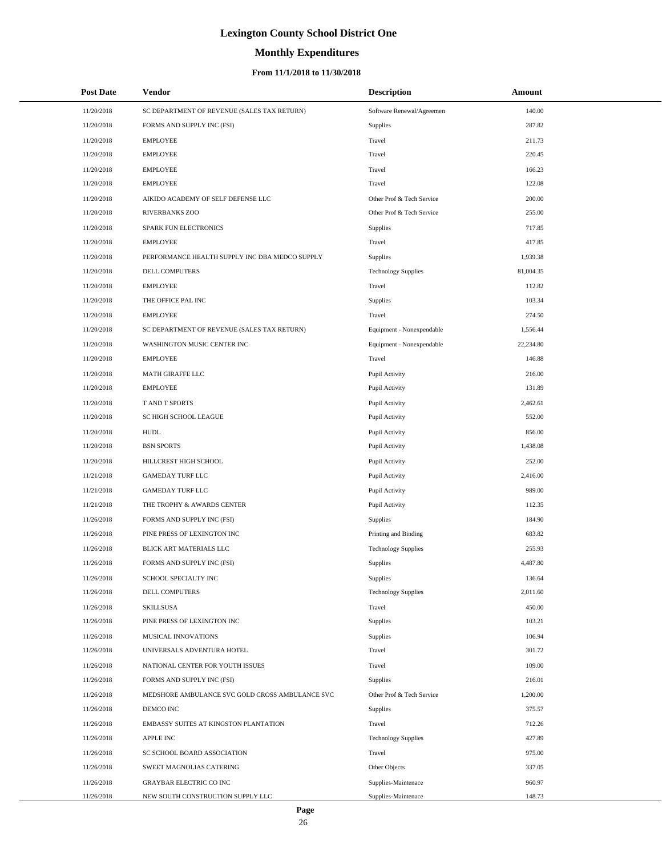# **Monthly Expenditures**

### **From 11/1/2018 to 11/30/2018**

| <b>Post Date</b> | Vendor                                          | <b>Description</b>         | <b>Amount</b> |
|------------------|-------------------------------------------------|----------------------------|---------------|
| 11/20/2018       | SC DEPARTMENT OF REVENUE (SALES TAX RETURN)     | Software Renewal/Agreemen  | 140.00        |
| 11/20/2018       | FORMS AND SUPPLY INC (FSI)                      | Supplies                   | 287.82        |
| 11/20/2018       | <b>EMPLOYEE</b>                                 | Travel                     | 211.73        |
| 11/20/2018       | <b>EMPLOYEE</b>                                 | Travel                     | 220.45        |
| 11/20/2018       | <b>EMPLOYEE</b>                                 | Travel                     | 166.23        |
| 11/20/2018       | <b>EMPLOYEE</b>                                 | Travel                     | 122.08        |
| 11/20/2018       | AIKIDO ACADEMY OF SELF DEFENSE LLC              | Other Prof & Tech Service  | 200.00        |
| 11/20/2018       | <b>RIVERBANKS ZOO</b>                           | Other Prof & Tech Service  | 255.00        |
| 11/20/2018       | SPARK FUN ELECTRONICS                           | Supplies                   | 717.85        |
| 11/20/2018       | <b>EMPLOYEE</b>                                 | Travel                     | 417.85        |
| 11/20/2018       | PERFORMANCE HEALTH SUPPLY INC DBA MEDCO SUPPLY  | Supplies                   | 1,939.38      |
| 11/20/2018       | DELL COMPUTERS                                  | <b>Technology Supplies</b> | 81,004.35     |
| 11/20/2018       | <b>EMPLOYEE</b>                                 | Travel                     | 112.82        |
| 11/20/2018       | THE OFFICE PAL INC                              | Supplies                   | 103.34        |
| 11/20/2018       | <b>EMPLOYEE</b>                                 | Travel                     | 274.50        |
| 11/20/2018       | SC DEPARTMENT OF REVENUE (SALES TAX RETURN)     | Equipment - Nonexpendable  | 1,556.44      |
| 11/20/2018       | WASHINGTON MUSIC CENTER INC                     | Equipment - Nonexpendable  | 22,234.80     |
| 11/20/2018       | <b>EMPLOYEE</b>                                 | Travel                     | 146.88        |
| 11/20/2018       | MATH GIRAFFE LLC                                | Pupil Activity             | 216.00        |
| 11/20/2018       | <b>EMPLOYEE</b>                                 | Pupil Activity             | 131.89        |
| 11/20/2018       | T AND T SPORTS                                  | Pupil Activity             | 2,462.61      |
| 11/20/2018       | SC HIGH SCHOOL LEAGUE                           | Pupil Activity             | 552.00        |
| 11/20/2018       | <b>HUDL</b>                                     | Pupil Activity             | 856.00        |
| 11/20/2018       | <b>BSN SPORTS</b>                               | Pupil Activity             | 1,438.08      |
| 11/20/2018       | HILLCREST HIGH SCHOOL                           | Pupil Activity             | 252.00        |
| 11/21/2018       | <b>GAMEDAY TURF LLC</b>                         | Pupil Activity             | 2,416.00      |
| 11/21/2018       | <b>GAMEDAY TURF LLC</b>                         | Pupil Activity             | 989.00        |
| 11/21/2018       | THE TROPHY & AWARDS CENTER                      | Pupil Activity             | 112.35        |
| 11/26/2018       | FORMS AND SUPPLY INC (FSI)                      | Supplies                   | 184.90        |
| 11/26/2018       | PINE PRESS OF LEXINGTON INC                     | Printing and Binding       | 683.82        |
| 11/26/2018       | BLICK ART MATERIALS LLC                         | <b>Technology Supplies</b> | 255.93        |
| 11/26/2018       | FORMS AND SUPPLY INC (FSI)                      | Supplies                   | 4.487.80      |
| 11/26/2018       | SCHOOL SPECIALTY INC                            | Supplies                   | 136.64        |
| 11/26/2018       | DELL COMPUTERS                                  | <b>Technology Supplies</b> | 2,011.60      |
| 11/26/2018       | <b>SKILLSUSA</b>                                | Travel                     | 450.00        |
| 11/26/2018       | PINE PRESS OF LEXINGTON INC                     | Supplies                   | 103.21        |
| 11/26/2018       | MUSICAL INNOVATIONS                             | Supplies                   | 106.94        |
| 11/26/2018       | UNIVERSALS ADVENTURA HOTEL                      | Travel                     | 301.72        |
| 11/26/2018       | NATIONAL CENTER FOR YOUTH ISSUES                | Travel                     | 109.00        |
| 11/26/2018       | FORMS AND SUPPLY INC (FSI)                      | Supplies                   | 216.01        |
| 11/26/2018       | MEDSHORE AMBULANCE SVC GOLD CROSS AMBULANCE SVC | Other Prof & Tech Service  | 1,200.00      |
| 11/26/2018       | DEMCO INC                                       | Supplies                   | 375.57        |
| 11/26/2018       | EMBASSY SUITES AT KINGSTON PLANTATION           | Travel                     | 712.26        |
| 11/26/2018       | <b>APPLE INC</b>                                | <b>Technology Supplies</b> | 427.89        |
| 11/26/2018       | SC SCHOOL BOARD ASSOCIATION                     | Travel                     | 975.00        |
| 11/26/2018       | SWEET MAGNOLIAS CATERING                        | Other Objects              | 337.05        |
| 11/26/2018       | <b>GRAYBAR ELECTRIC CO INC</b>                  | Supplies-Maintenace        | 960.97        |
| 11/26/2018       | NEW SOUTH CONSTRUCTION SUPPLY LLC               | Supplies-Maintenace        | 148.73        |

L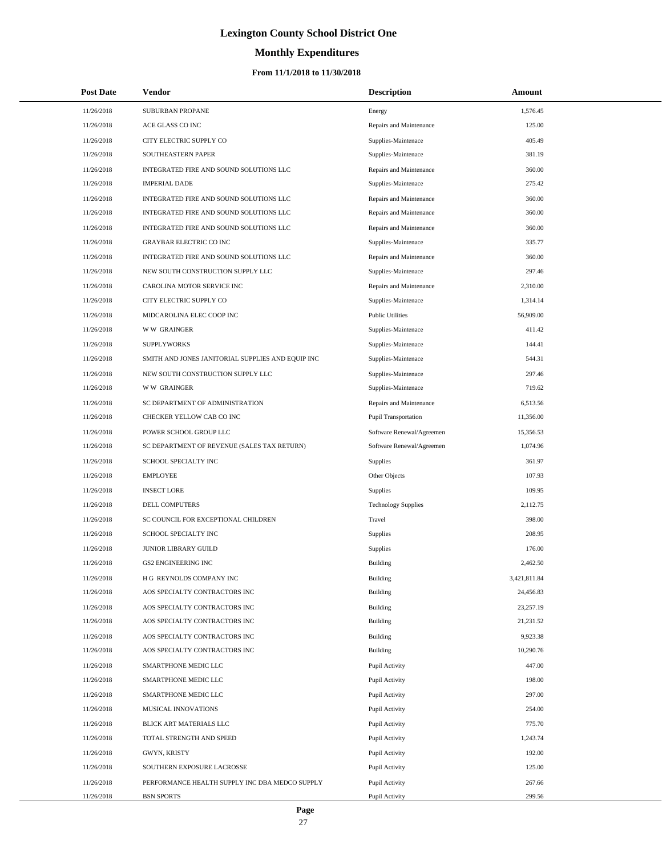# **Monthly Expenditures**

### **From 11/1/2018 to 11/30/2018**

| <b>Post Date</b> | Vendor                                            | <b>Description</b>         | Amount       |
|------------------|---------------------------------------------------|----------------------------|--------------|
| 11/26/2018       | SUBURBAN PROPANE                                  | Energy                     | 1,576.45     |
| 11/26/2018       | ACE GLASS CO INC                                  | Repairs and Maintenance    | 125.00       |
| 11/26/2018       | CITY ELECTRIC SUPPLY CO                           | Supplies-Maintenace        | 405.49       |
| 11/26/2018       | SOUTHEASTERN PAPER                                | Supplies-Maintenace        | 381.19       |
| 11/26/2018       | INTEGRATED FIRE AND SOUND SOLUTIONS LLC           | Repairs and Maintenance    | 360.00       |
| 11/26/2018       | <b>IMPERIAL DADE</b>                              | Supplies-Maintenace        | 275.42       |
| 11/26/2018       | INTEGRATED FIRE AND SOUND SOLUTIONS LLC           | Repairs and Maintenance    | 360.00       |
| 11/26/2018       | INTEGRATED FIRE AND SOUND SOLUTIONS LLC           | Repairs and Maintenance    | 360.00       |
| 11/26/2018       | INTEGRATED FIRE AND SOUND SOLUTIONS LLC           | Repairs and Maintenance    | 360.00       |
| 11/26/2018       | <b>GRAYBAR ELECTRIC CO INC</b>                    | Supplies-Maintenace        | 335.77       |
| 11/26/2018       | INTEGRATED FIRE AND SOUND SOLUTIONS LLC           | Repairs and Maintenance    | 360.00       |
| 11/26/2018       | NEW SOUTH CONSTRUCTION SUPPLY LLC                 | Supplies-Maintenace        | 297.46       |
| 11/26/2018       | CAROLINA MOTOR SERVICE INC                        | Repairs and Maintenance    | 2,310.00     |
| 11/26/2018       | CITY ELECTRIC SUPPLY CO                           | Supplies-Maintenace        | 1,314.14     |
| 11/26/2018       | MIDCAROLINA ELEC COOP INC                         | <b>Public Utilities</b>    | 56,909.00    |
| 11/26/2018       | <b>WW GRAINGER</b>                                | Supplies-Maintenace        | 411.42       |
| 11/26/2018       | <b>SUPPLYWORKS</b>                                | Supplies-Maintenace        | 144.41       |
| 11/26/2018       | SMITH AND JONES JANITORIAL SUPPLIES AND EQUIP INC | Supplies-Maintenace        | 544.31       |
| 11/26/2018       | NEW SOUTH CONSTRUCTION SUPPLY LLC                 | Supplies-Maintenace        | 297.46       |
| 11/26/2018       | <b>WW GRAINGER</b>                                | Supplies-Maintenace        | 719.62       |
| 11/26/2018       | SC DEPARTMENT OF ADMINISTRATION                   | Repairs and Maintenance    | 6,513.56     |
| 11/26/2018       | CHECKER YELLOW CAB CO INC                         | Pupil Transportation       | 11,356.00    |
| 11/26/2018       | POWER SCHOOL GROUP LLC                            | Software Renewal/Agreemen  | 15,356.53    |
| 11/26/2018       | SC DEPARTMENT OF REVENUE (SALES TAX RETURN)       | Software Renewal/Agreemen  | 1,074.96     |
| 11/26/2018       | SCHOOL SPECIALTY INC                              | <b>Supplies</b>            | 361.97       |
| 11/26/2018       | <b>EMPLOYEE</b>                                   | Other Objects              | 107.93       |
| 11/26/2018       | <b>INSECT LORE</b>                                | Supplies                   | 109.95       |
| 11/26/2018       | <b>DELL COMPUTERS</b>                             | <b>Technology Supplies</b> | 2,112.75     |
| 11/26/2018       | SC COUNCIL FOR EXCEPTIONAL CHILDREN               | Travel                     | 398.00       |
| 11/26/2018       | SCHOOL SPECIALTY INC                              | Supplies                   | 208.95       |
| 11/26/2018       | JUNIOR LIBRARY GUILD                              | Supplies                   | 176.00       |
| 11/26/2018       | <b>GS2 ENGINEERING INC</b>                        | <b>Building</b>            | 2,462.50     |
| 11/26/2018       | H G REYNOLDS COMPANY INC                          | Building                   | 3,421,811.84 |
| 11/26/2018       | AOS SPECIALTY CONTRACTORS INC                     | Building                   | 24,456.83    |
| 11/26/2018       | AOS SPECIALTY CONTRACTORS INC                     | Building                   | 23,257.19    |
| 11/26/2018       | AOS SPECIALTY CONTRACTORS INC                     | <b>Building</b>            | 21,231.52    |
| 11/26/2018       | AOS SPECIALTY CONTRACTORS INC                     | Building                   | 9,923.38     |
| 11/26/2018       | AOS SPECIALTY CONTRACTORS INC                     | Building                   | 10,290.76    |
| 11/26/2018       | SMARTPHONE MEDIC LLC                              | Pupil Activity             | 447.00       |
| 11/26/2018       | SMARTPHONE MEDIC LLC                              | Pupil Activity             | 198.00       |
| 11/26/2018       | SMARTPHONE MEDIC LLC                              | Pupil Activity             | 297.00       |
| 11/26/2018       | MUSICAL INNOVATIONS                               | Pupil Activity             | 254.00       |
| 11/26/2018       | BLICK ART MATERIALS LLC                           | Pupil Activity             | 775.70       |
| 11/26/2018       | TOTAL STRENGTH AND SPEED                          | Pupil Activity             | 1,243.74     |
| 11/26/2018       | GWYN, KRISTY                                      | Pupil Activity             | 192.00       |
| 11/26/2018       | SOUTHERN EXPOSURE LACROSSE                        | Pupil Activity             | 125.00       |
| 11/26/2018       | PERFORMANCE HEALTH SUPPLY INC DBA MEDCO SUPPLY    | Pupil Activity             | 267.66       |
| 11/26/2018       | <b>BSN SPORTS</b>                                 | Pupil Activity             | 299.56       |

L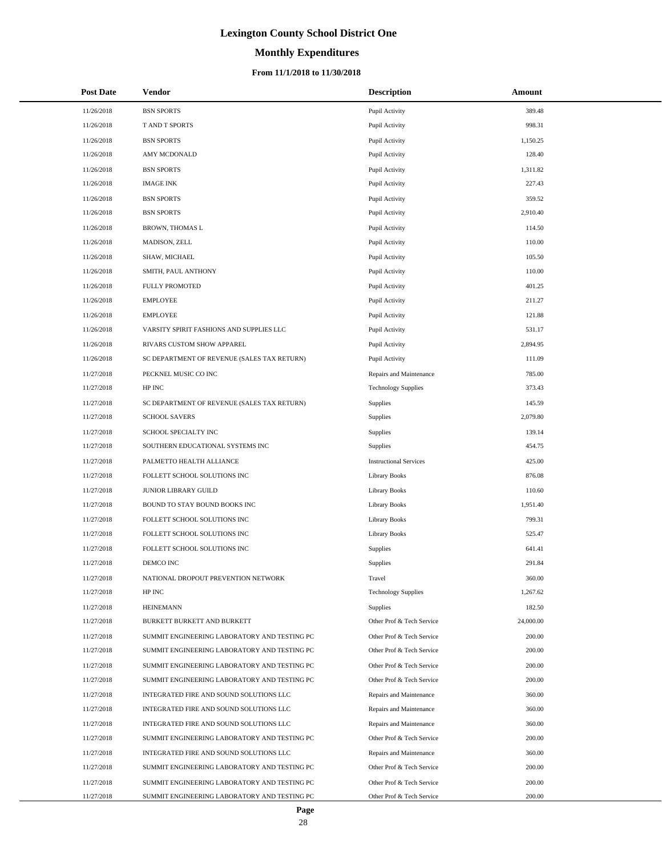# **Monthly Expenditures**

### **From 11/1/2018 to 11/30/2018**

| <b>Post Date</b> | Vendor                                       | <b>Description</b>            | Amount    |
|------------------|----------------------------------------------|-------------------------------|-----------|
| 11/26/2018       | <b>BSN SPORTS</b>                            | Pupil Activity                | 389.48    |
| 11/26/2018       | T AND T SPORTS                               | Pupil Activity                | 998.31    |
| 11/26/2018       | <b>BSN SPORTS</b>                            | Pupil Activity                | 1,150.25  |
| 11/26/2018       | AMY MCDONALD                                 | Pupil Activity                | 128.40    |
| 11/26/2018       | <b>BSN SPORTS</b>                            | Pupil Activity                | 1,311.82  |
| 11/26/2018       | <b>IMAGE INK</b>                             | Pupil Activity                | 227.43    |
| 11/26/2018       | <b>BSN SPORTS</b>                            | Pupil Activity                | 359.52    |
| 11/26/2018       | <b>BSN SPORTS</b>                            | Pupil Activity                | 2,910.40  |
| 11/26/2018       | <b>BROWN, THOMAS L</b>                       | Pupil Activity                | 114.50    |
| 11/26/2018       | MADISON, ZELL                                | Pupil Activity                | 110.00    |
| 11/26/2018       | SHAW, MICHAEL                                | Pupil Activity                | 105.50    |
| 11/26/2018       | SMITH, PAUL ANTHONY                          | Pupil Activity                | 110.00    |
| 11/26/2018       | <b>FULLY PROMOTED</b>                        | Pupil Activity                | 401.25    |
| 11/26/2018       | <b>EMPLOYEE</b>                              | Pupil Activity                | 211.27    |
| 11/26/2018       | <b>EMPLOYEE</b>                              | Pupil Activity                | 121.88    |
| 11/26/2018       | VARSITY SPIRIT FASHIONS AND SUPPLIES LLC     | Pupil Activity                | 531.17    |
| 11/26/2018       | RIVARS CUSTOM SHOW APPAREL                   | Pupil Activity                | 2,894.95  |
| 11/26/2018       | SC DEPARTMENT OF REVENUE (SALES TAX RETURN)  | Pupil Activity                | 111.09    |
| 11/27/2018       | PECKNEL MUSIC CO INC                         | Repairs and Maintenance       | 785.00    |
| 11/27/2018       | HP INC                                       | <b>Technology Supplies</b>    | 373.43    |
| 11/27/2018       | SC DEPARTMENT OF REVENUE (SALES TAX RETURN)  | Supplies                      | 145.59    |
| 11/27/2018       | <b>SCHOOL SAVERS</b>                         | <b>Supplies</b>               | 2,079.80  |
| 11/27/2018       | SCHOOL SPECIALTY INC                         | <b>Supplies</b>               | 139.14    |
| 11/27/2018       | SOUTHERN EDUCATIONAL SYSTEMS INC             | Supplies                      | 454.75    |
| 11/27/2018       | PALMETTO HEALTH ALLIANCE                     | <b>Instructional Services</b> | 425.00    |
| 11/27/2018       | FOLLETT SCHOOL SOLUTIONS INC                 | Library Books                 | 876.08    |
| 11/27/2018       | JUNIOR LIBRARY GUILD                         | <b>Library Books</b>          | 110.60    |
| 11/27/2018       | BOUND TO STAY BOUND BOOKS INC                | Library Books                 | 1,951.40  |
| 11/27/2018       | FOLLETT SCHOOL SOLUTIONS INC                 | Library Books                 | 799.31    |
| 11/27/2018       | FOLLETT SCHOOL SOLUTIONS INC                 | <b>Library Books</b>          | 525.47    |
| 11/27/2018       | FOLLETT SCHOOL SOLUTIONS INC                 | <b>Supplies</b>               | 641.41    |
| 11/27/2018       | DEMCO INC                                    | Supplies                      | 291.84    |
| 11/27/2018       | NATIONAL DROPOUT PREVENTION NETWORK          | Travel                        | 360.00    |
| 11/27/2018       | HP INC                                       | <b>Technology Supplies</b>    | 1,267.62  |
| 11/27/2018       | <b>HEINEMANN</b>                             | <b>Supplies</b>               | 182.50    |
| 11/27/2018       | BURKETT BURKETT AND BURKETT                  | Other Prof & Tech Service     | 24,000.00 |
| 11/27/2018       | SUMMIT ENGINEERING LABORATORY AND TESTING PC | Other Prof & Tech Service     | 200.00    |
| 11/27/2018       | SUMMIT ENGINEERING LABORATORY AND TESTING PC | Other Prof & Tech Service     | 200.00    |
| 11/27/2018       | SUMMIT ENGINEERING LABORATORY AND TESTING PC | Other Prof & Tech Service     | 200.00    |
| 11/27/2018       | SUMMIT ENGINEERING LABORATORY AND TESTING PC | Other Prof & Tech Service     | 200.00    |
| 11/27/2018       | INTEGRATED FIRE AND SOUND SOLUTIONS LLC      | Repairs and Maintenance       | 360.00    |
| 11/27/2018       | INTEGRATED FIRE AND SOUND SOLUTIONS LLC      | Repairs and Maintenance       | 360.00    |
| 11/27/2018       | INTEGRATED FIRE AND SOUND SOLUTIONS LLC      | Repairs and Maintenance       | 360.00    |
| 11/27/2018       | SUMMIT ENGINEERING LABORATORY AND TESTING PC | Other Prof & Tech Service     | 200.00    |
| 11/27/2018       | INTEGRATED FIRE AND SOUND SOLUTIONS LLC      | Repairs and Maintenance       | 360.00    |
| 11/27/2018       | SUMMIT ENGINEERING LABORATORY AND TESTING PC | Other Prof & Tech Service     | 200.00    |
| 11/27/2018       | SUMMIT ENGINEERING LABORATORY AND TESTING PC | Other Prof & Tech Service     | 200.00    |
| 11/27/2018       | SUMMIT ENGINEERING LABORATORY AND TESTING PC | Other Prof & Tech Service     | 200.00    |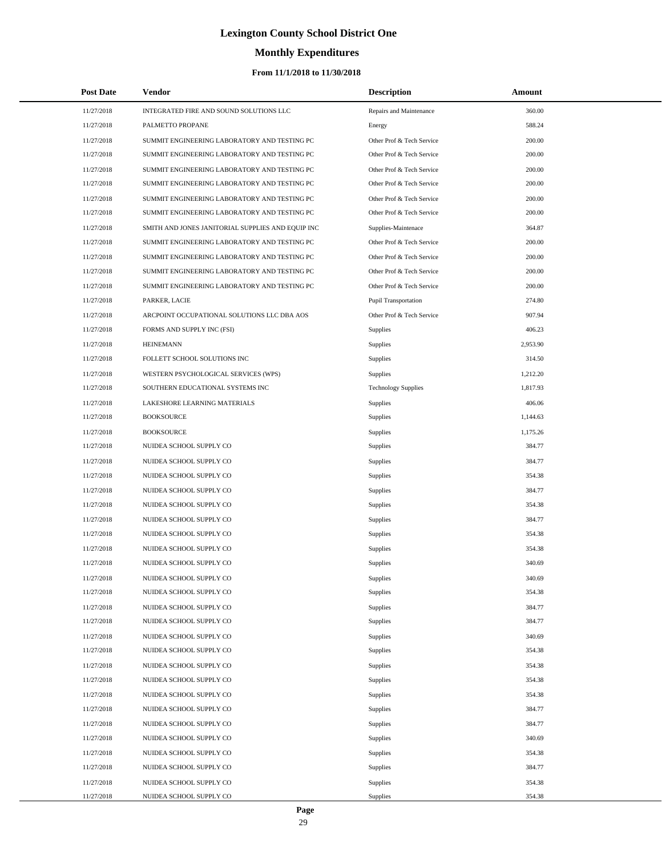# **Monthly Expenditures**

### **From 11/1/2018 to 11/30/2018**

| <b>Post Date</b> | <b>Vendor</b>                                     | <b>Description</b>         | Amount   |
|------------------|---------------------------------------------------|----------------------------|----------|
| 11/27/2018       | INTEGRATED FIRE AND SOUND SOLUTIONS LLC           | Repairs and Maintenance    | 360.00   |
| 11/27/2018       | PALMETTO PROPANE                                  | Energy                     | 588.24   |
| 11/27/2018       | SUMMIT ENGINEERING LABORATORY AND TESTING PC      | Other Prof & Tech Service  | 200.00   |
| 11/27/2018       | SUMMIT ENGINEERING LABORATORY AND TESTING PC      | Other Prof & Tech Service  | 200.00   |
| 11/27/2018       | SUMMIT ENGINEERING LABORATORY AND TESTING PC      | Other Prof & Tech Service  | 200.00   |
| 11/27/2018       | SUMMIT ENGINEERING LABORATORY AND TESTING PC      | Other Prof & Tech Service  | 200.00   |
| 11/27/2018       | SUMMIT ENGINEERING LABORATORY AND TESTING PC      | Other Prof & Tech Service  | 200.00   |
| 11/27/2018       | SUMMIT ENGINEERING LABORATORY AND TESTING PC      | Other Prof & Tech Service  | 200.00   |
| 11/27/2018       | SMITH AND JONES JANITORIAL SUPPLIES AND EQUIP INC | Supplies-Maintenace        | 364.87   |
| 11/27/2018       | SUMMIT ENGINEERING LABORATORY AND TESTING PC      | Other Prof & Tech Service  | 200.00   |
| 11/27/2018       | SUMMIT ENGINEERING LABORATORY AND TESTING PC      | Other Prof & Tech Service  | 200.00   |
| 11/27/2018       | SUMMIT ENGINEERING LABORATORY AND TESTING PC      | Other Prof & Tech Service  | 200.00   |
| 11/27/2018       | SUMMIT ENGINEERING LABORATORY AND TESTING PC      | Other Prof & Tech Service  | 200.00   |
| 11/27/2018       | PARKER, LACIE                                     | Pupil Transportation       | 274.80   |
| 11/27/2018       | ARCPOINT OCCUPATIONAL SOLUTIONS LLC DBA AOS       | Other Prof & Tech Service  | 907.94   |
| 11/27/2018       | FORMS AND SUPPLY INC (FSI)                        | Supplies                   | 406.23   |
| 11/27/2018       | <b>HEINEMANN</b>                                  | Supplies                   | 2,953.90 |
| 11/27/2018       | FOLLETT SCHOOL SOLUTIONS INC                      | Supplies                   | 314.50   |
| 11/27/2018       | WESTERN PSYCHOLOGICAL SERVICES (WPS)              | Supplies                   | 1,212.20 |
| 11/27/2018       | SOUTHERN EDUCATIONAL SYSTEMS INC                  | <b>Technology Supplies</b> | 1,817.93 |
| 11/27/2018       | LAKESHORE LEARNING MATERIALS                      | Supplies                   | 406.06   |
| 11/27/2018       | <b>BOOKSOURCE</b>                                 | Supplies                   | 1,144.63 |
| 11/27/2018       | <b>BOOKSOURCE</b>                                 | Supplies                   | 1,175.26 |
| 11/27/2018       | NUIDEA SCHOOL SUPPLY CO                           | Supplies                   | 384.77   |
| 11/27/2018       | NUIDEA SCHOOL SUPPLY CO                           | Supplies                   | 384.77   |
| 11/27/2018       | NUIDEA SCHOOL SUPPLY CO                           | Supplies                   | 354.38   |
| 11/27/2018       | NUIDEA SCHOOL SUPPLY CO                           | Supplies                   | 384.77   |
| 11/27/2018       | NUIDEA SCHOOL SUPPLY CO                           | Supplies                   | 354.38   |
| 11/27/2018       | NUIDEA SCHOOL SUPPLY CO                           | Supplies                   | 384.77   |
| 11/27/2018       | NUIDEA SCHOOL SUPPLY CO                           | Supplies                   | 354.38   |
| 11/27/2018       | NUIDEA SCHOOL SUPPLY CO                           | <b>Supplies</b>            | 354.38   |
| 11/27/2018       | NUIDEA SCHOOL SUPPLY CO                           | <b>Supplies</b>            | 340.69   |
| 11/27/2018       | NUIDEA SCHOOL SUPPLY CO                           | Supplies                   | 340.69   |
| 11/27/2018       | NUIDEA SCHOOL SUPPLY CO                           | Supplies                   | 354.38   |
| 11/27/2018       | NUIDEA SCHOOL SUPPLY CO                           | Supplies                   | 384.77   |
| 11/27/2018       | NUIDEA SCHOOL SUPPLY CO                           | Supplies                   | 384.77   |
| 11/27/2018       | NUIDEA SCHOOL SUPPLY CO                           | Supplies                   | 340.69   |
| 11/27/2018       | NUIDEA SCHOOL SUPPLY CO                           | Supplies                   | 354.38   |
| 11/27/2018       | NUIDEA SCHOOL SUPPLY CO                           | Supplies                   | 354.38   |
| 11/27/2018       | NUIDEA SCHOOL SUPPLY CO                           | Supplies                   | 354.38   |
| 11/27/2018       | NUIDEA SCHOOL SUPPLY CO                           | Supplies                   | 354.38   |
| 11/27/2018       | NUIDEA SCHOOL SUPPLY CO                           | Supplies                   | 384.77   |
| 11/27/2018       | NUIDEA SCHOOL SUPPLY CO                           | Supplies                   | 384.77   |
| 11/27/2018       | NUIDEA SCHOOL SUPPLY CO                           | Supplies                   | 340.69   |
| 11/27/2018       | NUIDEA SCHOOL SUPPLY CO                           | Supplies                   | 354.38   |
| 11/27/2018       | NUIDEA SCHOOL SUPPLY CO                           | Supplies                   | 384.77   |
| 11/27/2018       | NUIDEA SCHOOL SUPPLY CO                           | Supplies                   | 354.38   |
| 11/27/2018       | NUIDEA SCHOOL SUPPLY CO                           | Supplies                   | 354.38   |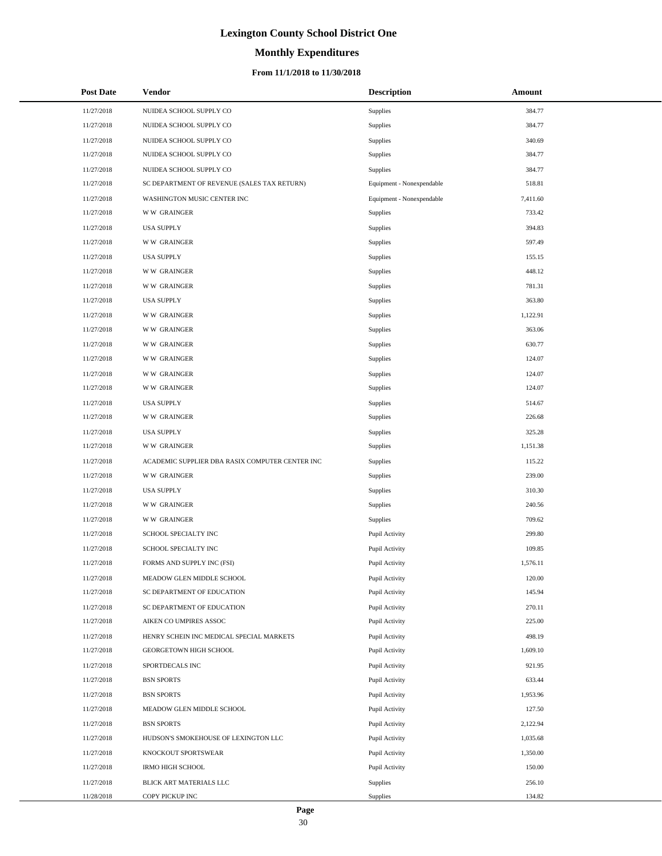# **Monthly Expenditures**

### **From 11/1/2018 to 11/30/2018**

| <b>Post Date</b> | Vendor                                          | <b>Description</b>        | Amount   |
|------------------|-------------------------------------------------|---------------------------|----------|
| 11/27/2018       | NUIDEA SCHOOL SUPPLY CO                         | Supplies                  | 384.77   |
| 11/27/2018       | NUIDEA SCHOOL SUPPLY CO                         | Supplies                  | 384.77   |
| 11/27/2018       | NUIDEA SCHOOL SUPPLY CO                         | Supplies                  | 340.69   |
| 11/27/2018       | NUIDEA SCHOOL SUPPLY CO                         | Supplies                  | 384.77   |
| 11/27/2018       | NUIDEA SCHOOL SUPPLY CO                         | Supplies                  | 384.77   |
| 11/27/2018       | SC DEPARTMENT OF REVENUE (SALES TAX RETURN)     | Equipment - Nonexpendable | 518.81   |
| 11/27/2018       | WASHINGTON MUSIC CENTER INC                     | Equipment - Nonexpendable | 7,411.60 |
| 11/27/2018       | <b>WW GRAINGER</b>                              | Supplies                  | 733.42   |
| 11/27/2018       | <b>USA SUPPLY</b>                               | Supplies                  | 394.83   |
| 11/27/2018       | <b>WW GRAINGER</b>                              | Supplies                  | 597.49   |
| 11/27/2018       | <b>USA SUPPLY</b>                               | Supplies                  | 155.15   |
| 11/27/2018       | <b>WW GRAINGER</b>                              | Supplies                  | 448.12   |
| 11/27/2018       | <b>WW GRAINGER</b>                              | Supplies                  | 781.31   |
| 11/27/2018       | <b>USA SUPPLY</b>                               | Supplies                  | 363.80   |
| 11/27/2018       | <b>WW GRAINGER</b>                              | Supplies                  | 1,122.91 |
| 11/27/2018       | <b>WW GRAINGER</b>                              | Supplies                  | 363.06   |
| 11/27/2018       | <b>WW GRAINGER</b>                              | Supplies                  | 630.77   |
| 11/27/2018       | <b>WW GRAINGER</b>                              | Supplies                  | 124.07   |
| 11/27/2018       | <b>WW GRAINGER</b>                              | Supplies                  | 124.07   |
| 11/27/2018       | <b>WW GRAINGER</b>                              | Supplies                  | 124.07   |
| 11/27/2018       | <b>USA SUPPLY</b>                               | Supplies                  | 514.67   |
| 11/27/2018       | <b>WW GRAINGER</b>                              | Supplies                  | 226.68   |
| 11/27/2018       | <b>USA SUPPLY</b>                               | Supplies                  | 325.28   |
| 11/27/2018       | <b>WW GRAINGER</b>                              | Supplies                  | 1,151.38 |
| 11/27/2018       | ACADEMIC SUPPLIER DBA RASIX COMPUTER CENTER INC | Supplies                  | 115.22   |
| 11/27/2018       | <b>WW GRAINGER</b>                              | Supplies                  | 239.00   |
| 11/27/2018       | <b>USA SUPPLY</b>                               | Supplies                  | 310.30   |
| 11/27/2018       | <b>WW GRAINGER</b>                              | Supplies                  | 240.56   |
| 11/27/2018       | <b>WW GRAINGER</b>                              | Supplies                  | 709.62   |
| 11/27/2018       | SCHOOL SPECIALTY INC                            | Pupil Activity            | 299.80   |
| 11/27/2018       | SCHOOL SPECIALTY INC                            | Pupil Activity            | 109.85   |
| 11/27/2018       | FORMS AND SUPPLY INC (FSI)                      | Pupil Activity            | 1,576.11 |
| 11/27/2018       | MEADOW GLEN MIDDLE SCHOOL                       | Pupil Activity            | 120.00   |
| 11/27/2018       | SC DEPARTMENT OF EDUCATION                      | Pupil Activity            | 145.94   |
| 11/27/2018       | SC DEPARTMENT OF EDUCATION                      | Pupil Activity            | 270.11   |
| 11/27/2018       | AIKEN CO UMPIRES ASSOC                          | Pupil Activity            | 225.00   |
| 11/27/2018       | HENRY SCHEIN INC MEDICAL SPECIAL MARKETS        | Pupil Activity            | 498.19   |
| 11/27/2018       | GEORGETOWN HIGH SCHOOL                          | Pupil Activity            | 1,609.10 |
| 11/27/2018       | SPORTDECALS INC                                 | Pupil Activity            | 921.95   |
| 11/27/2018       | <b>BSN SPORTS</b>                               | Pupil Activity            | 633.44   |
| 11/27/2018       | <b>BSN SPORTS</b>                               | Pupil Activity            | 1,953.96 |
| 11/27/2018       | MEADOW GLEN MIDDLE SCHOOL                       | Pupil Activity            | 127.50   |
| 11/27/2018       | <b>BSN SPORTS</b>                               | Pupil Activity            | 2,122.94 |
| 11/27/2018       | HUDSON'S SMOKEHOUSE OF LEXINGTON LLC            | Pupil Activity            | 1,035.68 |
| 11/27/2018       | KNOCKOUT SPORTSWEAR                             | Pupil Activity            | 1,350.00 |
| 11/27/2018       | <b>IRMO HIGH SCHOOL</b>                         | Pupil Activity            | 150.00   |
| 11/27/2018       | BLICK ART MATERIALS LLC                         | Supplies                  | 256.10   |
| 11/28/2018       | COPY PICKUP INC                                 | Supplies                  | 134.82   |

÷.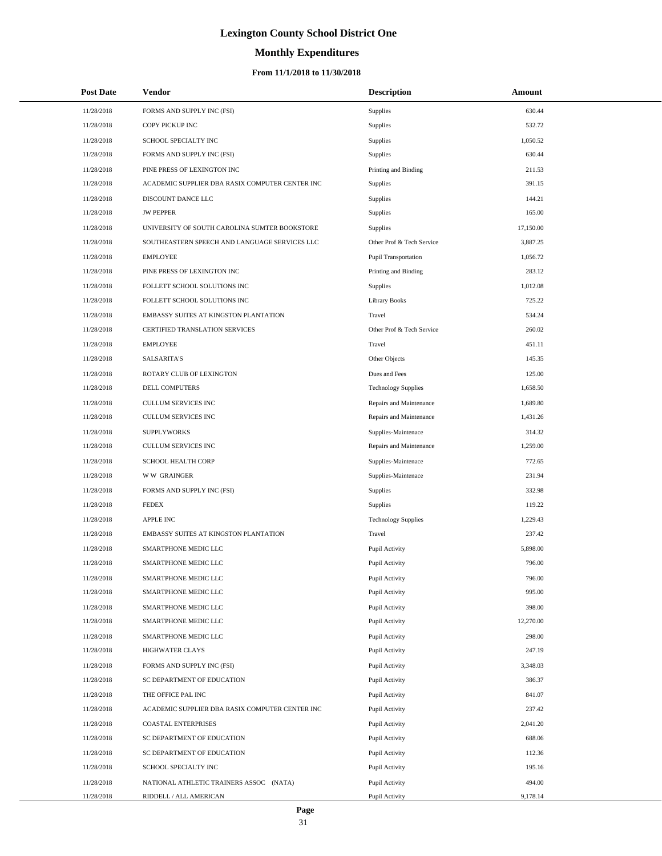# **Monthly Expenditures**

| <b>Post Date</b> | Vendor                                          | <b>Description</b>         | Amount    |
|------------------|-------------------------------------------------|----------------------------|-----------|
| 11/28/2018       | FORMS AND SUPPLY INC (FSI)                      | Supplies                   | 630.44    |
| 11/28/2018       | COPY PICKUP INC                                 | Supplies                   | 532.72    |
| 11/28/2018       | SCHOOL SPECIALTY INC                            | Supplies                   | 1,050.52  |
| 11/28/2018       | FORMS AND SUPPLY INC (FSI)                      | Supplies                   | 630.44    |
| 11/28/2018       | PINE PRESS OF LEXINGTON INC                     | Printing and Binding       | 211.53    |
| 11/28/2018       | ACADEMIC SUPPLIER DBA RASIX COMPUTER CENTER INC | Supplies                   | 391.15    |
| 11/28/2018       | DISCOUNT DANCE LLC                              | Supplies                   | 144.21    |
| 11/28/2018       | <b>JW PEPPER</b>                                | Supplies                   | 165.00    |
| 11/28/2018       | UNIVERSITY OF SOUTH CAROLINA SUMTER BOOKSTORE   | Supplies                   | 17,150.00 |
| 11/28/2018       | SOUTHEASTERN SPEECH AND LANGUAGE SERVICES LLC   | Other Prof & Tech Service  | 3,887.25  |
| 11/28/2018       | <b>EMPLOYEE</b>                                 | Pupil Transportation       | 1,056.72  |
| 11/28/2018       | PINE PRESS OF LEXINGTON INC                     | Printing and Binding       | 283.12    |
| 11/28/2018       | FOLLETT SCHOOL SOLUTIONS INC                    | Supplies                   | 1,012.08  |
| 11/28/2018       | FOLLETT SCHOOL SOLUTIONS INC                    | <b>Library Books</b>       | 725.22    |
| 11/28/2018       | EMBASSY SUITES AT KINGSTON PLANTATION           | Travel                     | 534.24    |
| 11/28/2018       | CERTIFIED TRANSLATION SERVICES                  | Other Prof & Tech Service  | 260.02    |
| 11/28/2018       | <b>EMPLOYEE</b>                                 | Travel                     | 451.11    |
| 11/28/2018       | <b>SALSARITA'S</b>                              | Other Objects              | 145.35    |
| 11/28/2018       | ROTARY CLUB OF LEXINGTON                        | Dues and Fees              | 125.00    |
| 11/28/2018       | DELL COMPUTERS                                  | <b>Technology Supplies</b> | 1,658.50  |
| 11/28/2018       | CULLUM SERVICES INC                             | Repairs and Maintenance    | 1,689.80  |
| 11/28/2018       | CULLUM SERVICES INC                             | Repairs and Maintenance    | 1,431.26  |
| 11/28/2018       | <b>SUPPLYWORKS</b>                              | Supplies-Maintenace        | 314.32    |
| 11/28/2018       | CULLUM SERVICES INC                             | Repairs and Maintenance    | 1,259.00  |
| 11/28/2018       | SCHOOL HEALTH CORP                              | Supplies-Maintenace        | 772.65    |
| 11/28/2018       | <b>WW GRAINGER</b>                              | Supplies-Maintenace        | 231.94    |
| 11/28/2018       | FORMS AND SUPPLY INC (FSI)                      | Supplies                   | 332.98    |
| 11/28/2018       | <b>FEDEX</b>                                    | Supplies                   | 119.22    |
| 11/28/2018       | <b>APPLE INC</b>                                | <b>Technology Supplies</b> | 1,229.43  |
| 11/28/2018       | EMBASSY SUITES AT KINGSTON PLANTATION           | Travel                     | 237.42    |
| 11/28/2018       | SMARTPHONE MEDIC LLC                            | Pupil Activity             | 5,898.00  |
| 11/28/2018       | <b>SMARTPHONE MEDIC LLC</b>                     | Pupil Activity             | 796.00    |
| 11/28/2018       | SMARTPHONE MEDIC LLC                            | Pupil Activity             | 796.00    |
| 11/28/2018       | SMARTPHONE MEDIC LLC                            | Pupil Activity             | 995.00    |
| 11/28/2018       | SMARTPHONE MEDIC LLC                            | Pupil Activity             | 398.00    |
| 11/28/2018       | SMARTPHONE MEDIC LLC                            | Pupil Activity             | 12,270.00 |
| 11/28/2018       | SMARTPHONE MEDIC LLC                            | Pupil Activity             | 298.00    |
| 11/28/2018       | HIGHWATER CLAYS                                 | Pupil Activity             | 247.19    |
| 11/28/2018       | FORMS AND SUPPLY INC (FSI)                      | Pupil Activity             | 3,348.03  |
| 11/28/2018       | SC DEPARTMENT OF EDUCATION                      | Pupil Activity             | 386.37    |
| 11/28/2018       | THE OFFICE PAL INC                              | Pupil Activity             | 841.07    |
| 11/28/2018       | ACADEMIC SUPPLIER DBA RASIX COMPUTER CENTER INC | Pupil Activity             | 237.42    |
| 11/28/2018       | <b>COASTAL ENTERPRISES</b>                      | Pupil Activity             | 2,041.20  |
| 11/28/2018       | SC DEPARTMENT OF EDUCATION                      | Pupil Activity             | 688.06    |
| 11/28/2018       | SC DEPARTMENT OF EDUCATION                      | Pupil Activity             | 112.36    |
| 11/28/2018       | SCHOOL SPECIALTY INC                            | Pupil Activity             | 195.16    |
| 11/28/2018       | NATIONAL ATHLETIC TRAINERS ASSOC (NATA)         | Pupil Activity             | 494.00    |
| 11/28/2018       | RIDDELL / ALL AMERICAN                          | Pupil Activity             | 9,178.14  |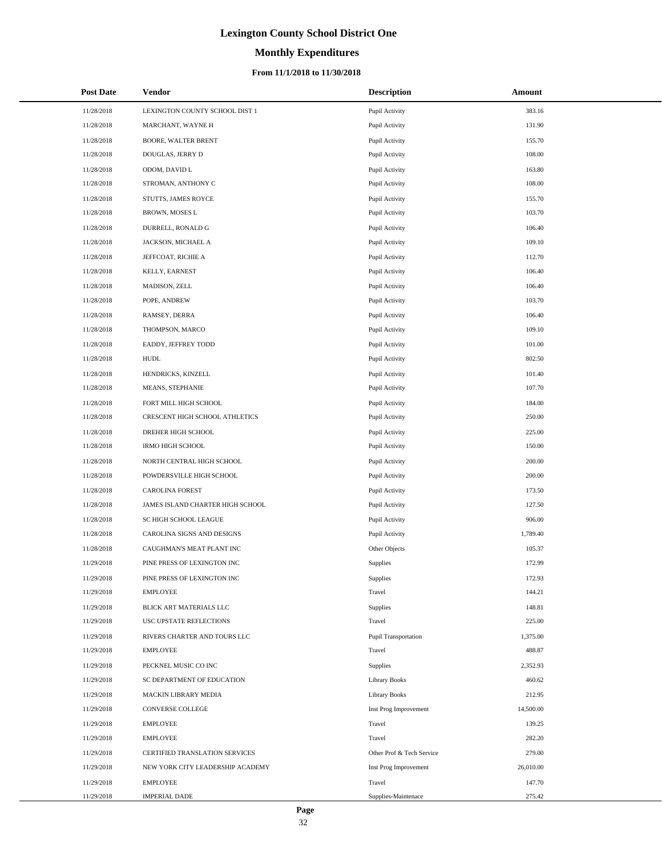# **Monthly Expenditures**

### **From 11/1/2018 to 11/30/2018**

| <b>Post Date</b> | Vendor                           | <b>Description</b>        | Amount    |
|------------------|----------------------------------|---------------------------|-----------|
| 11/28/2018       | LEXINGTON COUNTY SCHOOL DIST 1   | Pupil Activity            | 383.16    |
| 11/28/2018       | MARCHANT, WAYNE H                | Pupil Activity            | 131.90    |
| 11/28/2018       | BOORE, WALTER BRENT              | Pupil Activity            | 155.70    |
| 11/28/2018       | DOUGLAS, JERRY D                 | Pupil Activity            | 108.00    |
| 11/28/2018       | ODOM, DAVID L                    | Pupil Activity            | 163.80    |
| 11/28/2018       | STROMAN, ANTHONY C               | Pupil Activity            | 108.00    |
| 11/28/2018       | STUTTS, JAMES ROYCE              | Pupil Activity            | 155.70    |
| 11/28/2018       | BROWN, MOSES L                   | Pupil Activity            | 103.70    |
| 11/28/2018       | DURRELL, RONALD G                | Pupil Activity            | 106.40    |
| 11/28/2018       | JACKSON, MICHAEL A               | Pupil Activity            | 109.10    |
| 11/28/2018       | JEFFCOAT, RICHIE A               | Pupil Activity            | 112.70    |
| 11/28/2018       | KELLY, EARNEST                   | Pupil Activity            | 106.40    |
| 11/28/2018       | MADISON, ZELL                    | Pupil Activity            | 106.40    |
| 11/28/2018       | POPE, ANDREW                     | Pupil Activity            | 103.70    |
| 11/28/2018       | RAMSEY, DERRA                    | Pupil Activity            | 106.40    |
| 11/28/2018       | THOMPSON, MARCO                  | Pupil Activity            | 109.10    |
| 11/28/2018       | EADDY, JEFFREY TODD              | Pupil Activity            | 101.00    |
| 11/28/2018       | HUDL                             | Pupil Activity            | 802.50    |
| 11/28/2018       | HENDRICKS, KINZELL               | Pupil Activity            | 101.40    |
| 11/28/2018       | MEANS, STEPHANIE                 | Pupil Activity            | 107.70    |
| 11/28/2018       | FORT MILL HIGH SCHOOL            | Pupil Activity            | 184.00    |
| 11/28/2018       | CRESCENT HIGH SCHOOL ATHLETICS   | Pupil Activity            | 250.00    |
| 11/28/2018       | DREHER HIGH SCHOOL               | Pupil Activity            | 225.00    |
| 11/28/2018       | IRMO HIGH SCHOOL                 | Pupil Activity            | 150.00    |
| 11/28/2018       | NORTH CENTRAL HIGH SCHOOL        | Pupil Activity            | 200.00    |
| 11/28/2018       | POWDERSVILLE HIGH SCHOOL         | Pupil Activity            | 200.00    |
| 11/28/2018       | CAROLINA FOREST                  | Pupil Activity            | 173.50    |
| 11/28/2018       | JAMES ISLAND CHARTER HIGH SCHOOL | Pupil Activity            | 127.50    |
| 11/28/2018       | SC HIGH SCHOOL LEAGUE            | Pupil Activity            | 906.00    |
| 11/28/2018       | CAROLINA SIGNS AND DESIGNS       | Pupil Activity            | 1,789.40  |
| 11/28/2018       | CAUGHMAN'S MEAT PLANT INC        | Other Objects             | 105.37    |
| 11/29/2018       | PINE PRESS OF LEXINGTON INC      | Supplies                  | 172.99    |
| 11/29/2018       | PINE PRESS OF LEXINGTON INC      | Supplies                  | 172.93    |
| 11/29/2018       | <b>EMPLOYEE</b>                  | Travel                    | 144.21    |
| 11/29/2018       | BLICK ART MATERIALS LLC          | Supplies                  | 148.81    |
| 11/29/2018       | USC UPSTATE REFLECTIONS          | Travel                    | 225.00    |
| 11/29/2018       | RIVERS CHARTER AND TOURS LLC     | Pupil Transportation      | 1,375.00  |
| 11/29/2018       | <b>EMPLOYEE</b>                  | Travel                    | 488.87    |
| 11/29/2018       | PECKNEL MUSIC CO INC             | Supplies                  | 2,352.93  |
| 11/29/2018       | SC DEPARTMENT OF EDUCATION       | <b>Library Books</b>      | 460.62    |
| 11/29/2018       | MACKIN LIBRARY MEDIA             | <b>Library Books</b>      | 212.95    |
| 11/29/2018       | CONVERSE COLLEGE                 | Inst Prog Improvement     | 14,500.00 |
| 11/29/2018       | <b>EMPLOYEE</b>                  | Travel                    | 139.25    |
| 11/29/2018       | <b>EMPLOYEE</b>                  | Travel                    | 282.20    |
| 11/29/2018       | CERTIFIED TRANSLATION SERVICES   | Other Prof & Tech Service | 279.00    |
| 11/29/2018       | NEW YORK CITY LEADERSHIP ACADEMY | Inst Prog Improvement     | 26,010.00 |
| 11/29/2018       | <b>EMPLOYEE</b>                  | Travel                    | 147.70    |
| 11/29/2018       | <b>IMPERIAL DADE</b>             | Supplies-Maintenace       | 275.42    |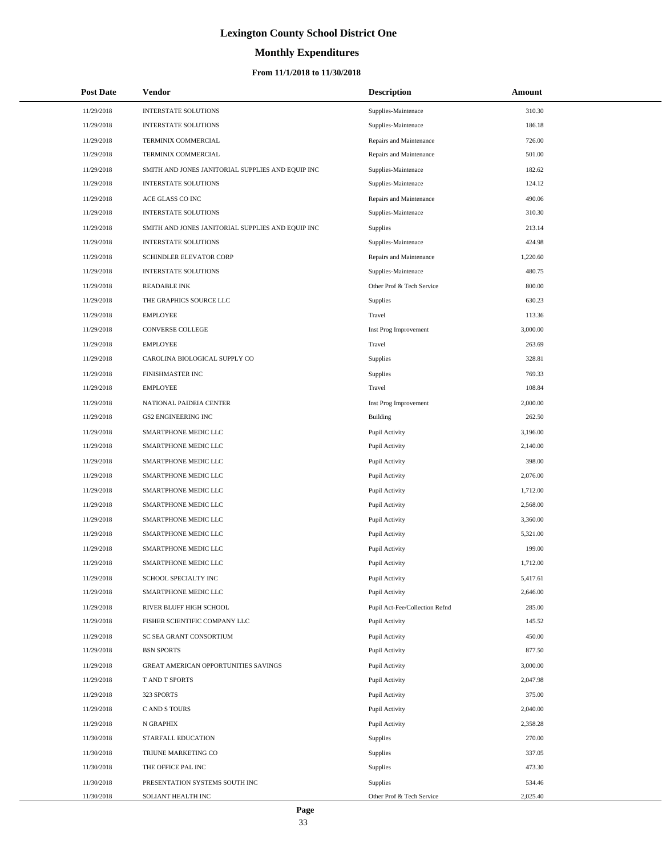# **Monthly Expenditures**

| <b>Post Date</b> | Vendor                                            | <b>Description</b>             | Amount   |
|------------------|---------------------------------------------------|--------------------------------|----------|
| 11/29/2018       | <b>INTERSTATE SOLUTIONS</b>                       | Supplies-Maintenace            | 310.30   |
| 11/29/2018       | INTERSTATE SOLUTIONS                              | Supplies-Maintenace            | 186.18   |
| 11/29/2018       | TERMINIX COMMERCIAL                               | Repairs and Maintenance        | 726.00   |
| 11/29/2018       | TERMINIX COMMERCIAL                               | Repairs and Maintenance        | 501.00   |
| 11/29/2018       | SMITH AND JONES JANITORIAL SUPPLIES AND EQUIP INC | Supplies-Maintenace            | 182.62   |
| 11/29/2018       | <b>INTERSTATE SOLUTIONS</b>                       | Supplies-Maintenace            | 124.12   |
| 11/29/2018       | ACE GLASS CO INC                                  | Repairs and Maintenance        | 490.06   |
| 11/29/2018       | <b>INTERSTATE SOLUTIONS</b>                       | Supplies-Maintenace            | 310.30   |
| 11/29/2018       | SMITH AND JONES JANITORIAL SUPPLIES AND EQUIP INC | <b>Supplies</b>                | 213.14   |
| 11/29/2018       | <b>INTERSTATE SOLUTIONS</b>                       | Supplies-Maintenace            | 424.98   |
| 11/29/2018       | SCHINDLER ELEVATOR CORP                           | Repairs and Maintenance        | 1,220.60 |
| 11/29/2018       | <b>INTERSTATE SOLUTIONS</b>                       | Supplies-Maintenace            | 480.75   |
| 11/29/2018       | <b>READABLE INK</b>                               | Other Prof & Tech Service      | 800.00   |
| 11/29/2018       | THE GRAPHICS SOURCE LLC                           | Supplies                       | 630.23   |
| 11/29/2018       | <b>EMPLOYEE</b>                                   | Travel                         | 113.36   |
| 11/29/2018       | <b>CONVERSE COLLEGE</b>                           | Inst Prog Improvement          | 3,000.00 |
| 11/29/2018       | <b>EMPLOYEE</b>                                   | Travel                         | 263.69   |
| 11/29/2018       | CAROLINA BIOLOGICAL SUPPLY CO                     | Supplies                       | 328.81   |
| 11/29/2018       | FINISHMASTER INC                                  | Supplies                       | 769.33   |
| 11/29/2018       | <b>EMPLOYEE</b>                                   | Travel                         | 108.84   |
| 11/29/2018       | NATIONAL PAIDEIA CENTER                           | Inst Prog Improvement          | 2,000.00 |
| 11/29/2018       | <b>GS2 ENGINEERING INC</b>                        | <b>Building</b>                | 262.50   |
| 11/29/2018       | SMARTPHONE MEDIC LLC                              | Pupil Activity                 | 3,196.00 |
| 11/29/2018       | SMARTPHONE MEDIC LLC                              | Pupil Activity                 | 2,140.00 |
| 11/29/2018       | SMARTPHONE MEDIC LLC                              | Pupil Activity                 | 398.00   |
| 11/29/2018       | SMARTPHONE MEDIC LLC                              | Pupil Activity                 | 2,076.00 |
| 11/29/2018       | SMARTPHONE MEDIC LLC                              | Pupil Activity                 | 1,712.00 |
| 11/29/2018       | SMARTPHONE MEDIC LLC                              | Pupil Activity                 | 2,568.00 |
| 11/29/2018       | SMARTPHONE MEDIC LLC                              | Pupil Activity                 | 3,360.00 |
| 11/29/2018       | SMARTPHONE MEDIC LLC                              | Pupil Activity                 | 5,321.00 |
| 11/29/2018       | SMARTPHONE MEDIC LLC                              | Pupil Activity                 | 199.00   |
| 11/29/2018       | SMARTPHONE MEDIC LLC                              | Pupil Activity                 | 1,712.00 |
| 11/29/2018       | SCHOOL SPECIALTY INC                              | Pupil Activity                 | 5,417.61 |
| 11/29/2018       | SMARTPHONE MEDIC LLC                              | Pupil Activity                 | 2,646.00 |
| 11/29/2018       | RIVER BLUFF HIGH SCHOOL                           | Pupil Act-Fee/Collection Refnd | 285.00   |
| 11/29/2018       | FISHER SCIENTIFIC COMPANY LLC                     | Pupil Activity                 | 145.52   |
| 11/29/2018       | SC SEA GRANT CONSORTIUM                           | Pupil Activity                 | 450.00   |
| 11/29/2018       | <b>BSN SPORTS</b>                                 | Pupil Activity                 | 877.50   |
| 11/29/2018       | GREAT AMERICAN OPPORTUNITIES SAVINGS              | Pupil Activity                 | 3,000.00 |
| 11/29/2018       | T AND T SPORTS                                    | Pupil Activity                 | 2,047.98 |
| 11/29/2018       | 323 SPORTS                                        | Pupil Activity                 | 375.00   |
| 11/29/2018       | C AND S TOURS                                     | Pupil Activity                 | 2,040.00 |
| 11/29/2018       | N GRAPHIX                                         | Pupil Activity                 | 2,358.28 |
| 11/30/2018       | STARFALL EDUCATION                                | Supplies                       | 270.00   |
| 11/30/2018       | TRIUNE MARKETING CO                               | Supplies                       | 337.05   |
| 11/30/2018       | THE OFFICE PAL INC                                | Supplies                       | 473.30   |
| 11/30/2018       | PRESENTATION SYSTEMS SOUTH INC                    | Supplies                       | 534.46   |
| 11/30/2018       | SOLIANT HEALTH INC                                | Other Prof & Tech Service      | 2,025.40 |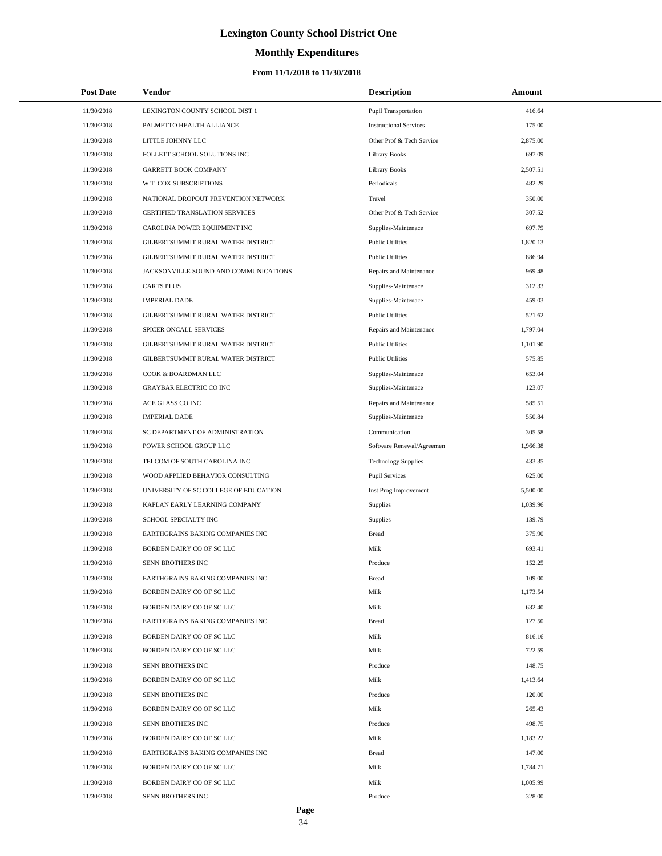# **Monthly Expenditures**

### **From 11/1/2018 to 11/30/2018**

| <b>Post Date</b> | Vendor                                | <b>Description</b>            | Amount   |  |
|------------------|---------------------------------------|-------------------------------|----------|--|
| 11/30/2018       | LEXINGTON COUNTY SCHOOL DIST 1        | <b>Pupil Transportation</b>   | 416.64   |  |
| 11/30/2018       | PALMETTO HEALTH ALLIANCE              | <b>Instructional Services</b> | 175.00   |  |
| 11/30/2018       | LITTLE JOHNNY LLC                     | Other Prof & Tech Service     | 2,875.00 |  |
| 11/30/2018       | FOLLETT SCHOOL SOLUTIONS INC          | Library Books                 | 697.09   |  |
| 11/30/2018       | <b>GARRETT BOOK COMPANY</b>           | <b>Library Books</b>          | 2,507.51 |  |
| 11/30/2018       | W T COX SUBSCRIPTIONS                 | Periodicals                   | 482.29   |  |
| 11/30/2018       | NATIONAL DROPOUT PREVENTION NETWORK   | Travel                        | 350.00   |  |
| 11/30/2018       | <b>CERTIFIED TRANSLATION SERVICES</b> | Other Prof & Tech Service     | 307.52   |  |
| 11/30/2018       | CAROLINA POWER EQUIPMENT INC          | Supplies-Maintenace           | 697.79   |  |
| 11/30/2018       | GILBERTSUMMIT RURAL WATER DISTRICT    | <b>Public Utilities</b>       | 1,820.13 |  |
| 11/30/2018       | GILBERTSUMMIT RURAL WATER DISTRICT    | <b>Public Utilities</b>       | 886.94   |  |
| 11/30/2018       | JACKSONVILLE SOUND AND COMMUNICATIONS | Repairs and Maintenance       | 969.48   |  |
| 11/30/2018       | <b>CARTS PLUS</b>                     | Supplies-Maintenace           | 312.33   |  |
| 11/30/2018       | <b>IMPERIAL DADE</b>                  | Supplies-Maintenace           | 459.03   |  |
| 11/30/2018       | GILBERTSUMMIT RURAL WATER DISTRICT    | <b>Public Utilities</b>       | 521.62   |  |
| 11/30/2018       | SPICER ONCALL SERVICES                | Repairs and Maintenance       | 1,797.04 |  |
| 11/30/2018       | GILBERTSUMMIT RURAL WATER DISTRICT    | <b>Public Utilities</b>       | 1,101.90 |  |
| 11/30/2018       | GILBERTSUMMIT RURAL WATER DISTRICT    | <b>Public Utilities</b>       | 575.85   |  |
| 11/30/2018       | COOK & BOARDMAN LLC                   | Supplies-Maintenace           | 653.04   |  |
| 11/30/2018       | <b>GRAYBAR ELECTRIC CO INC</b>        | Supplies-Maintenace           | 123.07   |  |
| 11/30/2018       | ACE GLASS CO INC                      | Repairs and Maintenance       | 585.51   |  |
| 11/30/2018       | <b>IMPERIAL DADE</b>                  | Supplies-Maintenace           | 550.84   |  |
| 11/30/2018       | SC DEPARTMENT OF ADMINISTRATION       | Communication                 | 305.58   |  |
| 11/30/2018       | POWER SCHOOL GROUP LLC                | Software Renewal/Agreemen     | 1,966.38 |  |
| 11/30/2018       | TELCOM OF SOUTH CAROLINA INC          | <b>Technology Supplies</b>    | 433.35   |  |
| 11/30/2018       | WOOD APPLIED BEHAVIOR CONSULTING      | <b>Pupil Services</b>         | 625.00   |  |
| 11/30/2018       | UNIVERSITY OF SC COLLEGE OF EDUCATION | Inst Prog Improvement         | 5,500.00 |  |
| 11/30/2018       | KAPLAN EARLY LEARNING COMPANY         | Supplies                      | 1,039.96 |  |
| 11/30/2018       | SCHOOL SPECIALTY INC                  | Supplies                      | 139.79   |  |
| 11/30/2018       | EARTHGRAINS BAKING COMPANIES INC      | <b>Bread</b>                  | 375.90   |  |
| 11/30/2018       | BORDEN DAIRY CO OF SC LLC             | Milk                          | 693.41   |  |
| 11/30/2018       | SENN BROTHERS INC                     | Produce                       | 152.25   |  |
| 11/30/2018       | EARTHGRAINS BAKING COMPANIES INC      | Bread                         | 109.00   |  |
| 11/30/2018       | BORDEN DAIRY CO OF SC LLC             | Milk                          | 1,173.54 |  |
| 11/30/2018       | BORDEN DAIRY CO OF SC LLC             | Milk                          | 632.40   |  |
| 11/30/2018       | EARTHGRAINS BAKING COMPANIES INC      | <b>Bread</b>                  | 127.50   |  |
| 11/30/2018       | BORDEN DAIRY CO OF SC LLC             | Milk                          | 816.16   |  |
| 11/30/2018       | BORDEN DAIRY CO OF SC LLC             | Milk                          | 722.59   |  |
| 11/30/2018       | SENN BROTHERS INC                     | Produce                       | 148.75   |  |
| 11/30/2018       | BORDEN DAIRY CO OF SC LLC             | Milk                          | 1,413.64 |  |
| 11/30/2018       | SENN BROTHERS INC                     | Produce                       | 120.00   |  |
| 11/30/2018       | BORDEN DAIRY CO OF SC LLC             | Milk                          | 265.43   |  |
| 11/30/2018       | SENN BROTHERS INC                     | Produce                       | 498.75   |  |
| 11/30/2018       | BORDEN DAIRY CO OF SC LLC             | Milk                          | 1,183.22 |  |
| 11/30/2018       | EARTHGRAINS BAKING COMPANIES INC      | <b>Bread</b>                  | 147.00   |  |
| 11/30/2018       | BORDEN DAIRY CO OF SC LLC             | Milk                          | 1,784.71 |  |
| 11/30/2018       | BORDEN DAIRY CO OF SC LLC             | Milk                          | 1,005.99 |  |
| 11/30/2018       | SENN BROTHERS INC                     | Produce                       | 328.00   |  |

 $\overline{a}$